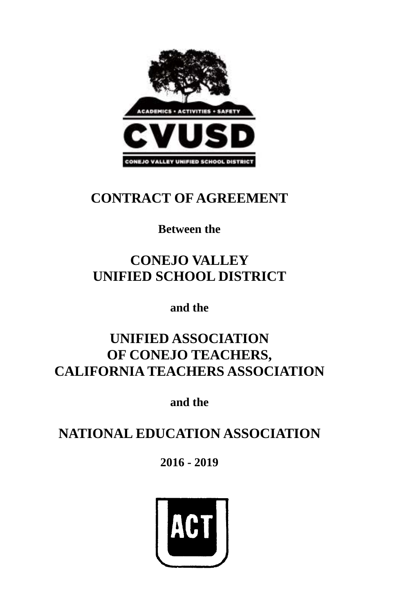

# **CONTRACT OF AGREEMENT**

## **Between the**

# **CONEJO VALLEY UNIFIED SCHOOL DISTRICT**

**and the**

# **UNIFIED ASSOCIATION OF CONEJO TEACHERS, CALIFORNIA TEACHERS ASSOCIATION**

**and the**

# **NATIONAL EDUCATION ASSOCIATION**

## **2016 - 2019**

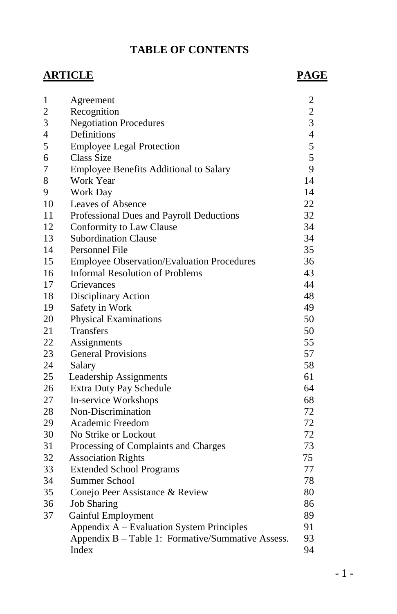### **TABLE OF CONTENTS**

### **ARTICLE PAGE**

| $\mathbf{1}$   | Agreement                                         | $\overline{c}$ |
|----------------|---------------------------------------------------|----------------|
| $\overline{c}$ | Recognition                                       | $\overline{c}$ |
| 3              | <b>Negotiation Procedures</b>                     | $\overline{3}$ |
| 4              | Definitions                                       | $\overline{4}$ |
| 5              | <b>Employee Legal Protection</b>                  | 5              |
| 6              | <b>Class Size</b>                                 | 5              |
| 7              | <b>Employee Benefits Additional to Salary</b>     | 9              |
| 8              | Work Year                                         | 14             |
| 9              | Work Day                                          | 14             |
| 10             | Leaves of Absence                                 | 22             |
| 11             | Professional Dues and Payroll Deductions          | 32             |
| 12             | Conformity to Law Clause                          | 34             |
| 13             | <b>Subordination Clause</b>                       | 34             |
| 14             | Personnel File                                    | 35             |
| 15             | <b>Employee Observation/Evaluation Procedures</b> | 36             |
| 16             | <b>Informal Resolution of Problems</b>            | 43             |
| 17             | Grievances                                        | 44             |
| 18             | Disciplinary Action                               | 48             |
| 19             | Safety in Work                                    | 49             |
| 20             | <b>Physical Examinations</b>                      | 50             |
| 21             | <b>Transfers</b>                                  | 50             |
| 22             | Assignments                                       | 55             |
| 23             | <b>General Provisions</b>                         | 57             |
| 24             | Salary                                            | 58             |
| 25             | Leadership Assignments                            | 61             |
| 26             | Extra Duty Pay Schedule                           | 64             |
| 27             | In-service Workshops                              | 68             |
| 28             | Non-Discrimination                                | 72             |
| 29             | Academic Freedom                                  | 72             |
| 30             | No Strike or Lockout                              | 72             |
| 31             | Processing of Complaints and Charges              | 73             |
| 32             | <b>Association Rights</b>                         | 75             |
| 33             | <b>Extended School Programs</b>                   | 77             |
| 34             | Summer School                                     | 78             |
| 35             | Conejo Peer Assistance & Review                   | 80             |
| 36             | <b>Job Sharing</b>                                | 86             |
| 37             | Gainful Employment                                | 89             |
|                | Appendix A - Evaluation System Principles         | 91             |
|                | Appendix B - Table 1: Formative/Summative Assess. | 93             |
|                | Index                                             | 94             |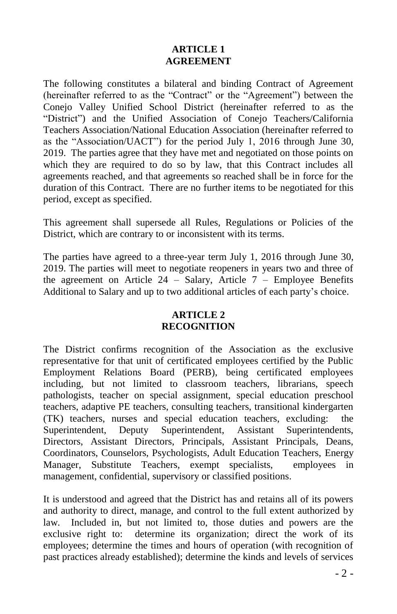#### **ARTICLE 1 AGREEMENT**

The following constitutes a bilateral and binding Contract of Agreement (hereinafter referred to as the "Contract" or the "Agreement") between the Conejo Valley Unified School District (hereinafter referred to as the "District") and the Unified Association of Conejo Teachers/California Teachers Association/National Education Association (hereinafter referred to as the "Association/UACT") for the period July 1, 2016 through June 30, 2019. The parties agree that they have met and negotiated on those points on which they are required to do so by law, that this Contract includes all agreements reached, and that agreements so reached shall be in force for the duration of this Contract. There are no further items to be negotiated for this period, except as specified.

This agreement shall supersede all Rules, Regulations or Policies of the District, which are contrary to or inconsistent with its terms.

The parties have agreed to a three-year term July 1, 2016 through June 30, 2019. The parties will meet to negotiate reopeners in years two and three of the agreement on Article  $24$  – Salary, Article 7 – Employee Benefits Additional to Salary and up to two additional articles of each party's choice.

#### **ARTICLE 2 RECOGNITION**

The District confirms recognition of the Association as the exclusive representative for that unit of certificated employees certified by the Public Employment Relations Board (PERB), being certificated employees including, but not limited to classroom teachers, librarians, speech pathologists, teacher on special assignment, special education preschool teachers, adaptive PE teachers, consulting teachers, transitional kindergarten (TK) teachers, nurses and special education teachers, excluding: the Superintendent, Deputy Superintendent, Assistant Superintendents, Directors, Assistant Directors, Principals, Assistant Principals, Deans, Coordinators, Counselors, Psychologists, Adult Education Teachers, Energy Manager, Substitute Teachers, exempt specialists, employees in management, confidential, supervisory or classified positions.

It is understood and agreed that the District has and retains all of its powers and authority to direct, manage, and control to the full extent authorized by law. Included in, but not limited to, those duties and powers are the exclusive right to: determine its organization; direct the work of its employees; determine the times and hours of operation (with recognition of past practices already established); determine the kinds and levels of services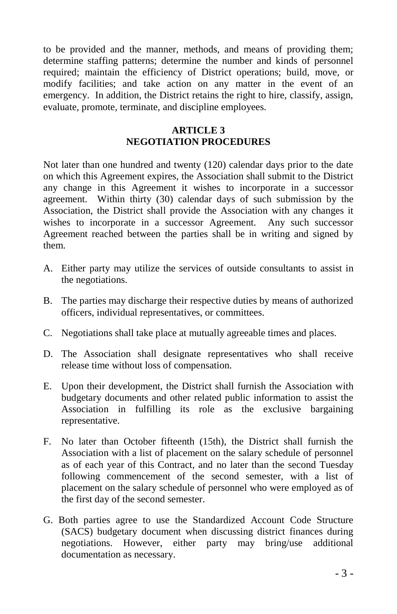to be provided and the manner, methods, and means of providing them; determine staffing patterns; determine the number and kinds of personnel required; maintain the efficiency of District operations; build, move, or modify facilities; and take action on any matter in the event of an emergency. In addition, the District retains the right to hire, classify, assign, evaluate, promote, terminate, and discipline employees.

### **ARTICLE 3 NEGOTIATION PROCEDURES**

Not later than one hundred and twenty (120) calendar days prior to the date on which this Agreement expires, the Association shall submit to the District any change in this Agreement it wishes to incorporate in a successor agreement. Within thirty (30) calendar days of such submission by the Association, the District shall provide the Association with any changes it wishes to incorporate in a successor Agreement. Any such successor Agreement reached between the parties shall be in writing and signed by them.

- A. Either party may utilize the services of outside consultants to assist in the negotiations.
- B. The parties may discharge their respective duties by means of authorized officers, individual representatives, or committees.
- C. Negotiations shall take place at mutually agreeable times and places.
- D. The Association shall designate representatives who shall receive release time without loss of compensation.
- E. Upon their development, the District shall furnish the Association with budgetary documents and other related public information to assist the Association in fulfilling its role as the exclusive bargaining representative.
- F. No later than October fifteenth (15th), the District shall furnish the Association with a list of placement on the salary schedule of personnel as of each year of this Contract, and no later than the second Tuesday following commencement of the second semester, with a list of placement on the salary schedule of personnel who were employed as of the first day of the second semester.
- G. Both parties agree to use the Standardized Account Code Structure (SACS) budgetary document when discussing district finances during negotiations. However, either party may bring/use additional documentation as necessary.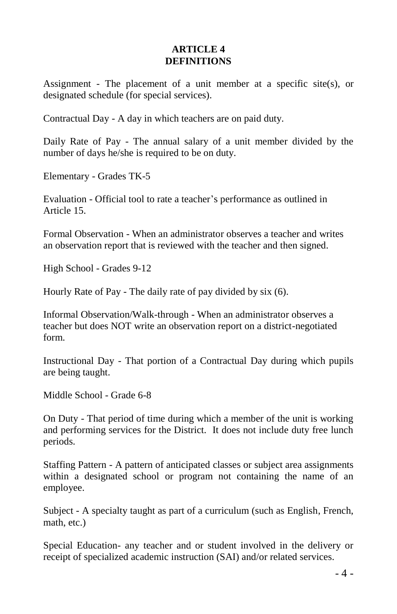#### **ARTICLE 4 DEFINITIONS**

Assignment - The placement of a unit member at a specific site(s), or designated schedule (for special services).

Contractual Day - A day in which teachers are on paid duty.

Daily Rate of Pay - The annual salary of a unit member divided by the number of days he/she is required to be on duty.

Elementary - Grades TK-5

Evaluation - Official tool to rate a teacher's performance as outlined in Article 15.

Formal Observation - When an administrator observes a teacher and writes an observation report that is reviewed with the teacher and then signed.

High School - Grades 9-12

Hourly Rate of Pay - The daily rate of pay divided by six (6).

Informal Observation/Walk-through - When an administrator observes a teacher but does NOT write an observation report on a district-negotiated form.

Instructional Day - That portion of a Contractual Day during which pupils are being taught.

Middle School - Grade 6-8

On Duty - That period of time during which a member of the unit is working and performing services for the District. It does not include duty free lunch periods.

Staffing Pattern - A pattern of anticipated classes or subject area assignments within a designated school or program not containing the name of an employee.

Subject - A specialty taught as part of a curriculum (such as English, French, math, etc.)

Special Education- any teacher and or student involved in the delivery or receipt of specialized academic instruction (SAI) and/or related services.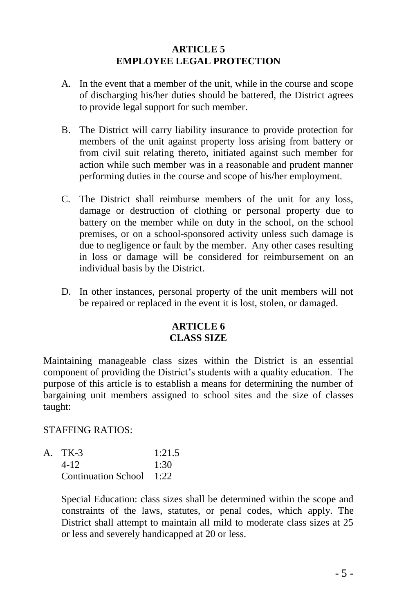#### **ARTICLE 5 EMPLOYEE LEGAL PROTECTION**

- A. In the event that a member of the unit, while in the course and scope of discharging his/her duties should be battered, the District agrees to provide legal support for such member.
- B. The District will carry liability insurance to provide protection for members of the unit against property loss arising from battery or from civil suit relating thereto, initiated against such member for action while such member was in a reasonable and prudent manner performing duties in the course and scope of his/her employment.
- C. The District shall reimburse members of the unit for any loss, damage or destruction of clothing or personal property due to battery on the member while on duty in the school, on the school premises, or on a school-sponsored activity unless such damage is due to negligence or fault by the member. Any other cases resulting in loss or damage will be considered for reimbursement on an individual basis by the District.
- D. In other instances, personal property of the unit members will not be repaired or replaced in the event it is lost, stolen, or damaged.

#### **ARTICLE 6 CLASS SIZE**

Maintaining manageable class sizes within the District is an essential component of providing the District's students with a quality education. The purpose of this article is to establish a means for determining the number of bargaining unit members assigned to school sites and the size of classes taught:

#### STAFFING RATIOS:

| A. TK-3                  | 1:21.5 |  |
|--------------------------|--------|--|
| $4 - 12$                 | 1.30   |  |
| Continuation School 1:22 |        |  |

Special Education: class sizes shall be determined within the scope and constraints of the laws, statutes, or penal codes, which apply. The District shall attempt to maintain all mild to moderate class sizes at 25 or less and severely handicapped at 20 or less.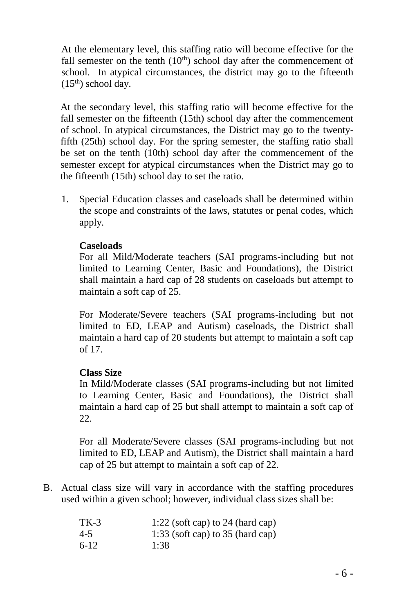At the elementary level, this staffing ratio will become effective for the fall semester on the tenth  $(10<sup>th</sup>)$  school day after the commencement of school. In atypical circumstances, the district may go to the fifteenth  $(15<sup>th</sup>)$  school day.

At the secondary level, this staffing ratio will become effective for the fall semester on the fifteenth (15th) school day after the commencement of school. In atypical circumstances, the District may go to the twentyfifth (25th) school day. For the spring semester, the staffing ratio shall be set on the tenth (10th) school day after the commencement of the semester except for atypical circumstances when the District may go to the fifteenth (15th) school day to set the ratio.

1. Special Education classes and caseloads shall be determined within the scope and constraints of the laws, statutes or penal codes, which apply.

#### **Caseloads**

For all Mild/Moderate teachers (SAI programs-including but not limited to Learning Center, Basic and Foundations), the District shall maintain a hard cap of 28 students on caseloads but attempt to maintain a soft cap of 25.

For Moderate/Severe teachers (SAI programs-including but not limited to ED, LEAP and Autism) caseloads, the District shall maintain a hard cap of 20 students but attempt to maintain a soft cap of 17.

#### **Class Size**

In Mild/Moderate classes (SAI programs-including but not limited to Learning Center, Basic and Foundations), the District shall maintain a hard cap of 25 but shall attempt to maintain a soft cap of 22.

For all Moderate/Severe classes (SAI programs-including but not limited to ED, LEAP and Autism), the District shall maintain a hard cap of 25 but attempt to maintain a soft cap of 22.

B. Actual class size will vary in accordance with the staffing procedures used within a given school; however, individual class sizes shall be:

| $TK-3$  | 1:22 (soft cap) to 24 (hard cap)   |
|---------|------------------------------------|
| $4 - 5$ | 1:33 (soft cap) to $35$ (hard cap) |
| $6-12$  | 1:38                               |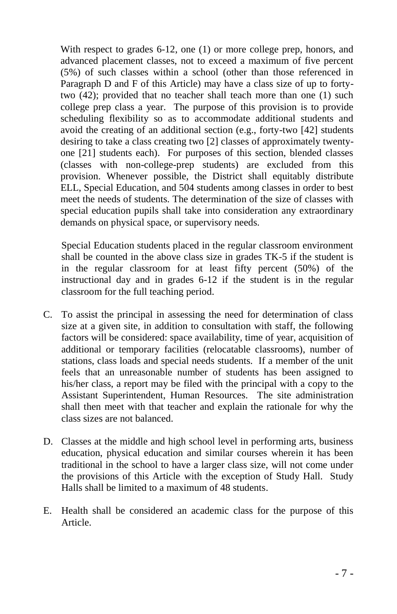With respect to grades 6-12, one (1) or more college prep, honors, and advanced placement classes, not to exceed a maximum of five percent (5%) of such classes within a school (other than those referenced in Paragraph D and F of this Article) may have a class size of up to fortytwo (42); provided that no teacher shall teach more than one (1) such college prep class a year. The purpose of this provision is to provide scheduling flexibility so as to accommodate additional students and avoid the creating of an additional section (e.g., forty-two [42] students desiring to take a class creating two [2] classes of approximately twentyone [21] students each). For purposes of this section, blended classes (classes with non-college-prep students) are excluded from this provision. Whenever possible, the District shall equitably distribute ELL, Special Education, and 504 students among classes in order to best meet the needs of students. The determination of the size of classes with special education pupils shall take into consideration any extraordinary demands on physical space, or supervisory needs.

Special Education students placed in the regular classroom environment shall be counted in the above class size in grades TK-5 if the student is in the regular classroom for at least fifty percent (50%) of the instructional day and in grades 6-12 if the student is in the regular classroom for the full teaching period.

- C. To assist the principal in assessing the need for determination of class size at a given site, in addition to consultation with staff, the following factors will be considered: space availability, time of year, acquisition of additional or temporary facilities (relocatable classrooms), number of stations, class loads and special needs students. If a member of the unit feels that an unreasonable number of students has been assigned to his/her class, a report may be filed with the principal with a copy to the Assistant Superintendent, Human Resources. The site administration shall then meet with that teacher and explain the rationale for why the class sizes are not balanced.
- D. Classes at the middle and high school level in performing arts, business education, physical education and similar courses wherein it has been traditional in the school to have a larger class size, will not come under the provisions of this Article with the exception of Study Hall. Study Halls shall be limited to a maximum of 48 students.
- E. Health shall be considered an academic class for the purpose of this Article.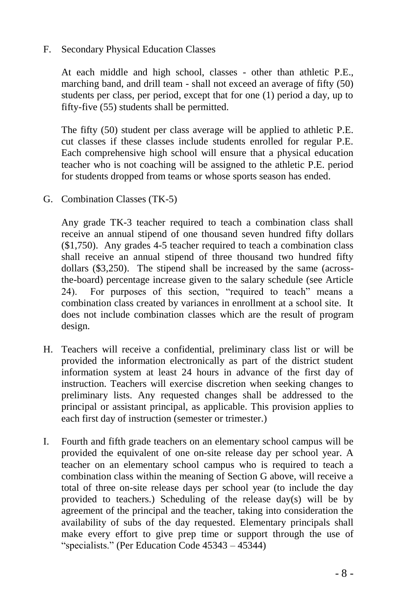#### F. Secondary Physical Education Classes

At each middle and high school, classes - other than athletic P.E., marching band, and drill team - shall not exceed an average of fifty (50) students per class, per period, except that for one (1) period a day, up to fifty-five (55) students shall be permitted.

The fifty (50) student per class average will be applied to athletic P.E. cut classes if these classes include students enrolled for regular P.E. Each comprehensive high school will ensure that a physical education teacher who is not coaching will be assigned to the athletic P.E. period for students dropped from teams or whose sports season has ended.

G. Combination Classes (TK-5)

Any grade TK-3 teacher required to teach a combination class shall receive an annual stipend of one thousand seven hundred fifty dollars (\$1,750). Any grades 4-5 teacher required to teach a combination class shall receive an annual stipend of three thousand two hundred fifty dollars (\$3,250). The stipend shall be increased by the same (acrossthe-board) percentage increase given to the salary schedule (see Article 24). For purposes of this section, "required to teach" means a combination class created by variances in enrollment at a school site. It does not include combination classes which are the result of program design.

- H. Teachers will receive a confidential, preliminary class list or will be provided the information electronically as part of the district student information system at least 24 hours in advance of the first day of instruction. Teachers will exercise discretion when seeking changes to preliminary lists. Any requested changes shall be addressed to the principal or assistant principal, as applicable. This provision applies to each first day of instruction (semester or trimester.)
- I. Fourth and fifth grade teachers on an elementary school campus will be provided the equivalent of one on-site release day per school year. A teacher on an elementary school campus who is required to teach a combination class within the meaning of Section G above, will receive a total of three on-site release days per school year (to include the day provided to teachers.) Scheduling of the release day(s) will be by agreement of the principal and the teacher, taking into consideration the availability of subs of the day requested. Elementary principals shall make every effort to give prep time or support through the use of "specialists." (Per Education Code 45343 – 45344)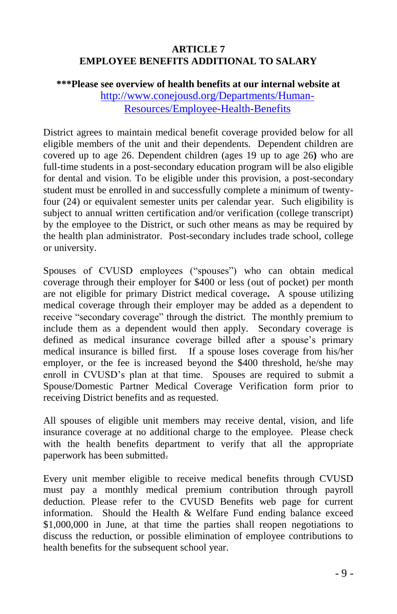#### **ARTICLE 7 EMPLOYEE BENEFITS ADDITIONAL TO SALARY**

#### **\*\*\*Please see overview of health benefits at our internal website at**  [http://www.conejousd.org/Departments/Human-](http://www.conejousd.org/Departments/Human-Resources/Employee-Health-Benefits)[Resources/Employee-Health-Benefits](http://www.conejousd.org/Departments/Human-Resources/Employee-Health-Benefits)

District agrees to maintain medical benefit coverage provided below for all eligible members of the unit and their dependents. Dependent children are covered up to age 26. Dependent children (ages 19 up to age 26**)** who are full-time students in a post-secondary education program will be also eligible for dental and vision. To be eligible under this provision, a post-secondary student must be enrolled in and successfully complete a minimum of twentyfour (24) or equivalent semester units per calendar year. Such eligibility is subject to annual written certification and/or verification (college transcript) by the employee to the District, or such other means as may be required by the health plan administrator. Post-secondary includes trade school, college or university.

Spouses of CVUSD employees ("spouses") who can obtain medical coverage through their employer for \$400 or less (out of pocket) per month are not eligible for primary District medical coverage**.** A spouse utilizing medical coverage through their employer may be added as a dependent to receive "secondary coverage" through the district. The monthly premium to include them as a dependent would then apply. Secondary coverage is defined as medical insurance coverage billed after a spouse's primary medical insurance is billed first. If a spouse loses coverage from his/her employer, or the fee is increased beyond the \$400 threshold, he/she may enroll in CVUSD's plan at that time.Spouses are required to submit a Spouse/Domestic Partner Medical Coverage Verification form prior to receiving District benefits and as requested.

All spouses of eligible unit members may receive dental, vision, and life insurance coverage at no additional charge to the employee. Please check with the health benefits department to verify that all the appropriate paperwork has been submitted.

Every unit member eligible to receive medical benefits through CVUSD must pay a monthly medical premium contribution through payroll deduction. Please refer to the CVUSD Benefits web page for current information. Should the Health & Welfare Fund ending balance exceed \$1,000,000 in June, at that time the parties shall reopen negotiations to discuss the reduction, or possible elimination of employee contributions to health benefits for the subsequent school year.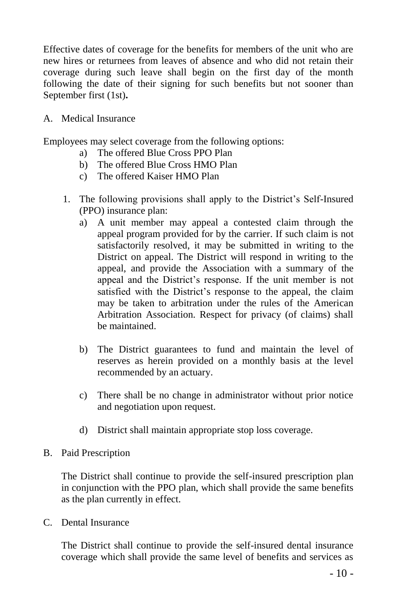Effective dates of coverage for the benefits for members of the unit who are new hires or returnees from leaves of absence and who did not retain their coverage during such leave shall begin on the first day of the month following the date of their signing for such benefits but not sooner than September first (1st)**.**

A. Medical Insurance

Employees may select coverage from the following options:

- a) The offered Blue Cross PPO Plan
- b) The offered Blue Cross HMO Plan
- c) The offered Kaiser HMO Plan
- 1. The following provisions shall apply to the District's Self-Insured (PPO) insurance plan:
	- a) A unit member may appeal a contested claim through the appeal program provided for by the carrier. If such claim is not satisfactorily resolved, it may be submitted in writing to the District on appeal. The District will respond in writing to the appeal, and provide the Association with a summary of the appeal and the District's response. If the unit member is not satisfied with the District's response to the appeal, the claim may be taken to arbitration under the rules of the American Arbitration Association. Respect for privacy (of claims) shall be maintained.
	- b) The District guarantees to fund and maintain the level of reserves as herein provided on a monthly basis at the level recommended by an actuary.
	- c) There shall be no change in administrator without prior notice and negotiation upon request.
	- d) District shall maintain appropriate stop loss coverage.
- B. Paid Prescription

The District shall continue to provide the self-insured prescription plan in conjunction with the PPO plan, which shall provide the same benefits as the plan currently in effect.

C. Dental Insurance

The District shall continue to provide the self-insured dental insurance coverage which shall provide the same level of benefits and services as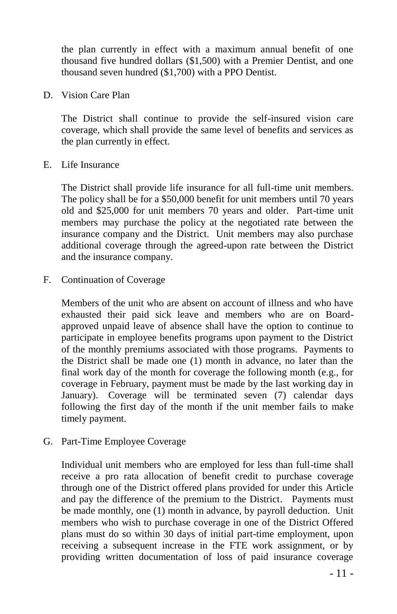the plan currently in effect with a maximum annual benefit of one thousand five hundred dollars (\$1,500) with a Premier Dentist, and one thousand seven hundred (\$1,700) with a PPO Dentist.

D. Vision Care Plan

The District shall continue to provide the self-insured vision care coverage, which shall provide the same level of benefits and services as the plan currently in effect.

E. Life Insurance

The District shall provide life insurance for all full-time unit members. The policy shall be for a \$50,000 benefit for unit members until 70 years old and \$25,000 for unit members 70 years and older. Part-time unit members may purchase the policy at the negotiated rate between the insurance company and the District. Unit members may also purchase additional coverage through the agreed-upon rate between the District and the insurance company.

F. Continuation of Coverage

Members of the unit who are absent on account of illness and who have exhausted their paid sick leave and members who are on Boardapproved unpaid leave of absence shall have the option to continue to participate in employee benefits programs upon payment to the District of the monthly premiums associated with those programs. Payments to the District shall be made one (1) month in advance, no later than the final work day of the month for coverage the following month (e.g., for coverage in February, payment must be made by the last working day in January). Coverage will be terminated seven (7) calendar days following the first day of the month if the unit member fails to make timely payment.

G. Part-Time Employee Coverage

Individual unit members who are employed for less than full-time shall receive a pro rata allocation of benefit credit to purchase coverage through one of the District offered plans provided for under this Article and pay the difference of the premium to the District. Payments must be made monthly, one (1) month in advance, by payroll deduction. Unit members who wish to purchase coverage in one of the District Offered plans must do so within 30 days of initial part-time employment, upon receiving a subsequent increase in the FTE work assignment, or by providing written documentation of loss of paid insurance coverage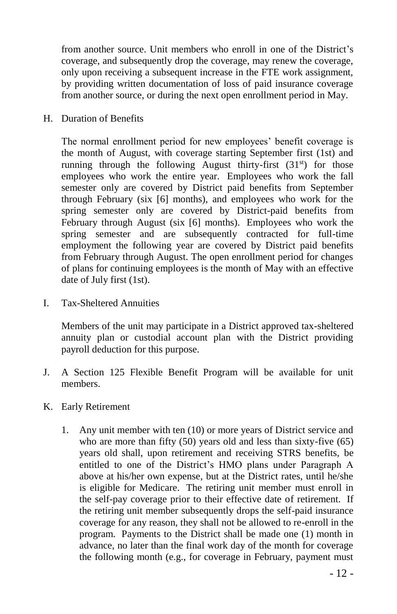from another source. Unit members who enroll in one of the District's coverage, and subsequently drop the coverage, may renew the coverage, only upon receiving a subsequent increase in the FTE work assignment, by providing written documentation of loss of paid insurance coverage from another source, or during the next open enrollment period in May.

H. Duration of Benefits

The normal enrollment period for new employees' benefit coverage is the month of August, with coverage starting September first (1st) and running through the following August thirty-first  $(31<sup>st</sup>)$  for those employees who work the entire year. Employees who work the fall semester only are covered by District paid benefits from September through February (six [6] months), and employees who work for the spring semester only are covered by District-paid benefits from February through August (six [6] months). Employees who work the spring semester and are subsequently contracted for full-time employment the following year are covered by District paid benefits from February through August. The open enrollment period for changes of plans for continuing employees is the month of May with an effective date of July first (1st).

I. Tax-Sheltered Annuities

Members of the unit may participate in a District approved tax-sheltered annuity plan or custodial account plan with the District providing payroll deduction for this purpose.

- J. A Section 125 Flexible Benefit Program will be available for unit members.
- K. Early Retirement
	- 1. Any unit member with ten (10) or more years of District service and who are more than fifty (50) years old and less than sixty-five (65) years old shall, upon retirement and receiving STRS benefits, be entitled to one of the District's HMO plans under Paragraph A above at his/her own expense, but at the District rates, until he/she is eligible for Medicare. The retiring unit member must enroll in the self-pay coverage prior to their effective date of retirement. If the retiring unit member subsequently drops the self-paid insurance coverage for any reason, they shall not be allowed to re-enroll in the program. Payments to the District shall be made one (1) month in advance, no later than the final work day of the month for coverage the following month (e.g., for coverage in February, payment must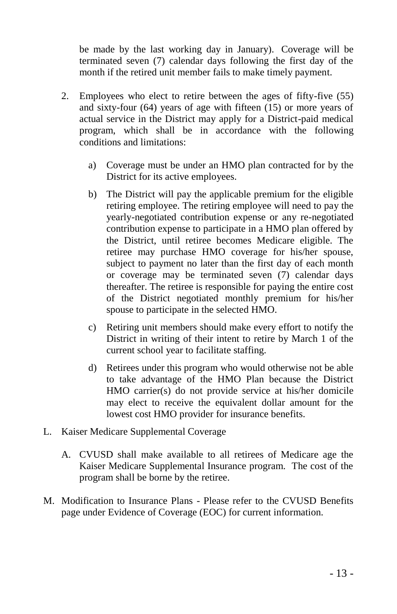be made by the last working day in January). Coverage will be terminated seven (7) calendar days following the first day of the month if the retired unit member fails to make timely payment.

- 2. Employees who elect to retire between the ages of fifty-five (55) and sixty-four (64) years of age with fifteen (15) or more years of actual service in the District may apply for a District-paid medical program, which shall be in accordance with the following conditions and limitations:
	- a) Coverage must be under an HMO plan contracted for by the District for its active employees.
	- b) The District will pay the applicable premium for the eligible retiring employee. The retiring employee will need to pay the yearly-negotiated contribution expense or any re-negotiated contribution expense to participate in a HMO plan offered by the District, until retiree becomes Medicare eligible. The retiree may purchase HMO coverage for his/her spouse, subject to payment no later than the first day of each month or coverage may be terminated seven (7) calendar days thereafter. The retiree is responsible for paying the entire cost of the District negotiated monthly premium for his/her spouse to participate in the selected HMO.
	- c) Retiring unit members should make every effort to notify the District in writing of their intent to retire by March 1 of the current school year to facilitate staffing.
	- d) Retirees under this program who would otherwise not be able to take advantage of the HMO Plan because the District HMO carrier(s) do not provide service at his/her domicile may elect to receive the equivalent dollar amount for the lowest cost HMO provider for insurance benefits.
- L. Kaiser Medicare Supplemental Coverage
	- A. CVUSD shall make available to all retirees of Medicare age the Kaiser Medicare Supplemental Insurance program. The cost of the program shall be borne by the retiree.
- M. Modification to Insurance Plans Please refer to the CVUSD Benefits page under Evidence of Coverage (EOC) for current information.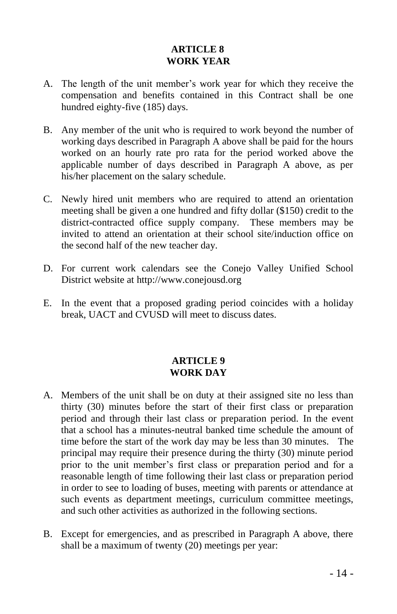#### **ARTICLE 8 WORK YEAR**

- A. The length of the unit member's work year for which they receive the compensation and benefits contained in this Contract shall be one hundred eighty-five (185) days.
- B. Any member of the unit who is required to work beyond the number of working days described in Paragraph A above shall be paid for the hours worked on an hourly rate pro rata for the period worked above the applicable number of days described in Paragraph A above, as per his/her placement on the salary schedule.
- C. Newly hired unit members who are required to attend an orientation meeting shall be given a one hundred and fifty dollar (\$150) credit to the district-contracted office supply company. These members may be invited to attend an orientation at their school site/induction office on the second half of the new teacher day.
- D. For current work calendars see the Conejo Valley Unified School District website at [http://www.conejousd.org](http://www.conejousd.org/)
- E. In the event that a proposed grading period coincides with a holiday break, UACT and CVUSD will meet to discuss dates.

#### **ARTICLE 9 WORK DAY**

- A. Members of the unit shall be on duty at their assigned site no less than thirty (30) minutes before the start of their first class or preparation period and through their last class or preparation period. In the event that a school has a minutes-neutral banked time schedule the amount of time before the start of the work day may be less than 30 minutes. The principal may require their presence during the thirty (30) minute period prior to the unit member's first class or preparation period and for a reasonable length of time following their last class or preparation period in order to see to loading of buses, meeting with parents or attendance at such events as department meetings, curriculum committee meetings, and such other activities as authorized in the following sections.
- B. Except for emergencies, and as prescribed in Paragraph A above, there shall be a maximum of twenty (20) meetings per year: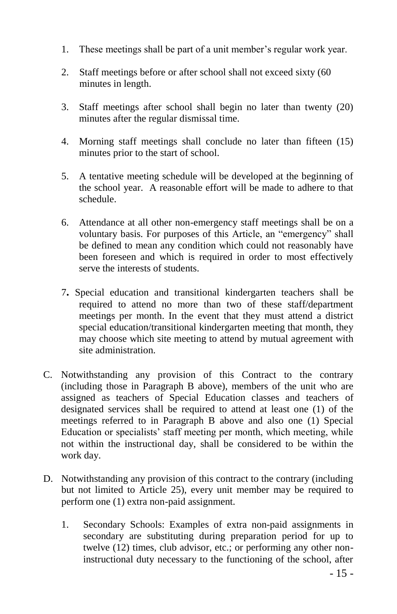- 1. These meetings shall be part of a unit member's regular work year.
- 2. Staff meetings before or after school shall not exceed sixty (60 minutes in length.
- 3. Staff meetings after school shall begin no later than twenty (20) minutes after the regular dismissal time.
- 4. Morning staff meetings shall conclude no later than fifteen (15) minutes prior to the start of school.
- 5. A tentative meeting schedule will be developed at the beginning of the school year. A reasonable effort will be made to adhere to that schedule.
- 6. Attendance at all other non-emergency staff meetings shall be on a voluntary basis. For purposes of this Article, an "emergency" shall be defined to mean any condition which could not reasonably have been foreseen and which is required in order to most effectively serve the interests of students.
- 7**.** Special education and transitional kindergarten teachers shall be required to attend no more than two of these staff/department meetings per month. In the event that they must attend a district special education/transitional kindergarten meeting that month, they may choose which site meeting to attend by mutual agreement with site administration.
- C. Notwithstanding any provision of this Contract to the contrary (including those in Paragraph B above), members of the unit who are assigned as teachers of Special Education classes and teachers of designated services shall be required to attend at least one (1) of the meetings referred to in Paragraph B above and also one (1) Special Education or specialists' staff meeting per month, which meeting, while not within the instructional day, shall be considered to be within the work day.
- D. Notwithstanding any provision of this contract to the contrary (including but not limited to Article 25), every unit member may be required to perform one (1) extra non-paid assignment.
	- 1. Secondary Schools: Examples of extra non-paid assignments in secondary are substituting during preparation period for up to twelve (12) times, club advisor, etc.; or performing any other noninstructional duty necessary to the functioning of the school, after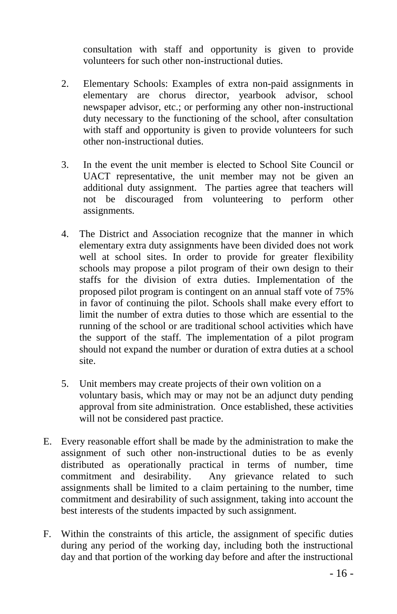consultation with staff and opportunity is given to provide volunteers for such other non-instructional duties.

- 2. Elementary Schools: Examples of extra non-paid assignments in elementary are chorus director, yearbook advisor, school newspaper advisor, etc.; or performing any other non-instructional duty necessary to the functioning of the school, after consultation with staff and opportunity is given to provide volunteers for such other non-instructional duties.
- 3. In the event the unit member is elected to School Site Council or UACT representative, the unit member may not be given an additional duty assignment. The parties agree that teachers will not be discouraged from volunteering to perform other assignments.
- 4. The District and Association recognize that the manner in which elementary extra duty assignments have been divided does not work well at school sites. In order to provide for greater flexibility schools may propose a pilot program of their own design to their staffs for the division of extra duties. Implementation of the proposed pilot program is contingent on an annual staff vote of 75% in favor of continuing the pilot. Schools shall make every effort to limit the number of extra duties to those which are essential to the running of the school or are traditional school activities which have the support of the staff. The implementation of a pilot program should not expand the number or duration of extra duties at a school site.
- 5. Unit members may create projects of their own volition on a voluntary basis, which may or may not be an adjunct duty pending approval from site administration. Once established, these activities will not be considered past practice.
- E. Every reasonable effort shall be made by the administration to make the assignment of such other non-instructional duties to be as evenly distributed as operationally practical in terms of number, time commitment and desirability. Any grievance related to such assignments shall be limited to a claim pertaining to the number, time commitment and desirability of such assignment, taking into account the best interests of the students impacted by such assignment.
- F. Within the constraints of this article, the assignment of specific duties during any period of the working day, including both the instructional day and that portion of the working day before and after the instructional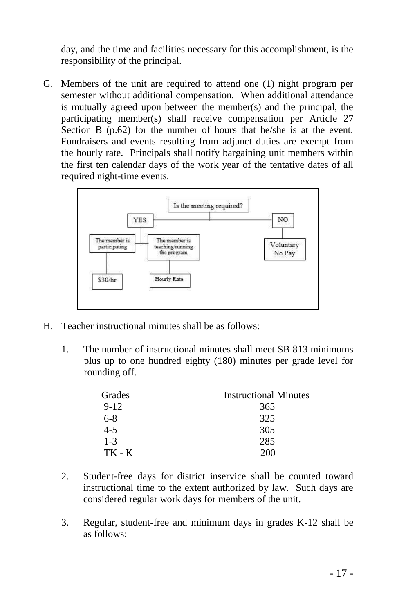day, and the time and facilities necessary for this accomplishment, is the responsibility of the principal.

G. Members of the unit are required to attend one (1) night program per semester without additional compensation. When additional attendance is mutually agreed upon between the member(s) and the principal, the participating member(s) shall receive compensation per Article 27 Section B (p.62) for the number of hours that he/she is at the event. Fundraisers and events resulting from adjunct duties are exempt from the hourly rate. Principals shall notify bargaining unit members within the first ten calendar days of the work year of the tentative dates of all required night-time events.



- H. Teacher instructional minutes shall be as follows:
	- 1. The number of instructional minutes shall meet SB 813 minimums plus up to one hundred eighty (180) minutes per grade level for rounding off.

| Grades   | <b>Instructional Minutes</b> |
|----------|------------------------------|
| $9 - 12$ | 365                          |
| $6-8$    | 325                          |
| $4 - 5$  | 305                          |
| $1 - 3$  | 285                          |
| TK - K   | 200                          |

- 2. Student-free days for district inservice shall be counted toward instructional time to the extent authorized by law. Such days are considered regular work days for members of the unit.
- 3. Regular, student-free and minimum days in grades K-12 shall be as follows: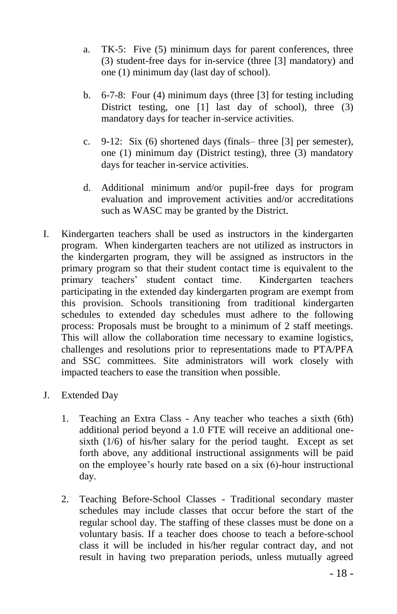- a. TK-5: Five (5) minimum days for parent conferences, three (3) student-free days for in-service (three [3] mandatory) and one (1) minimum day (last day of school).
- b. 6-7-8: Four (4) minimum days (three [3] for testing including District testing, one [1] last day of school), three (3) mandatory days for teacher in-service activities.
- c. 9-12: Six (6) shortened days (finals– three [3] per semester), one (1) minimum day (District testing), three (3) mandatory days for teacher in-service activities.
- d. Additional minimum and/or pupil-free days for program evaluation and improvement activities and/or accreditations such as WASC may be granted by the District.
- I. Kindergarten teachers shall be used as instructors in the kindergarten program. When kindergarten teachers are not utilized as instructors in the kindergarten program, they will be assigned as instructors in the primary program so that their student contact time is equivalent to the primary teachers' student contact time. Kindergarten teachers participating in the extended day kindergarten program are exempt from this provision. Schools transitioning from traditional kindergarten schedules to extended day schedules must adhere to the following process: Proposals must be brought to a minimum of 2 staff meetings. This will allow the collaboration time necessary to examine logistics, challenges and resolutions prior to representations made to PTA/PFA and SSC committees. Site administrators will work closely with impacted teachers to ease the transition when possible.
- J. Extended Day
	- 1. Teaching an Extra Class Any teacher who teaches a sixth (6th) additional period beyond a 1.0 FTE will receive an additional onesixth (1/6) of his/her salary for the period taught. Except as set forth above, any additional instructional assignments will be paid on the employee's hourly rate based on a six (6)-hour instructional day.
	- 2. Teaching Before-School Classes Traditional secondary master schedules may include classes that occur before the start of the regular school day. The staffing of these classes must be done on a voluntary basis. If a teacher does choose to teach a before-school class it will be included in his/her regular contract day, and not result in having two preparation periods, unless mutually agreed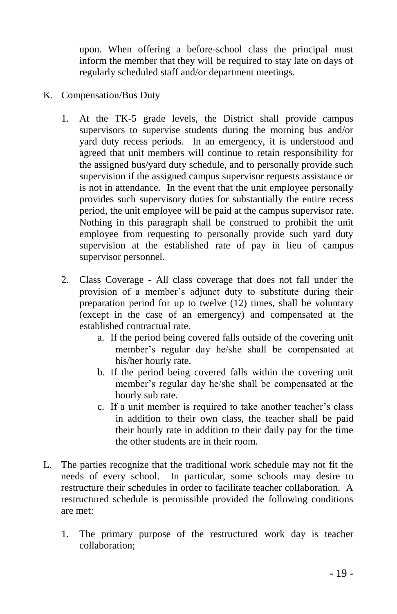upon. When offering a before-school class the principal must inform the member that they will be required to stay late on days of regularly scheduled staff and/or department meetings.

- K. Compensation/Bus Duty
	- 1. At the TK-5 grade levels, the District shall provide campus supervisors to supervise students during the morning bus and/or yard duty recess periods. In an emergency, it is understood and agreed that unit members will continue to retain responsibility for the assigned bus/yard duty schedule, and to personally provide such supervision if the assigned campus supervisor requests assistance or is not in attendance. In the event that the unit employee personally provides such supervisory duties for substantially the entire recess period, the unit employee will be paid at the campus supervisor rate. Nothing in this paragraph shall be construed to prohibit the unit employee from requesting to personally provide such yard duty supervision at the established rate of pay in lieu of campus supervisor personnel.
	- 2. Class Coverage All class coverage that does not fall under the provision of a member's adjunct duty to substitute during their preparation period for up to twelve (12) times, shall be voluntary (except in the case of an emergency) and compensated at the established contractual rate.
		- a. If the period being covered falls outside of the covering unit member's regular day he/she shall be compensated at his/her hourly rate.
		- b. If the period being covered falls within the covering unit member's regular day he/she shall be compensated at the hourly sub rate.
		- c. If a unit member is required to take another teacher's class in addition to their own class, the teacher shall be paid their hourly rate in addition to their daily pay for the time the other students are in their room.
- L. The parties recognize that the traditional work schedule may not fit the needs of every school. In particular, some schools may desire to restructure their schedules in order to facilitate teacher collaboration. A restructured schedule is permissible provided the following conditions are met:
	- 1. The primary purpose of the restructured work day is teacher collaboration;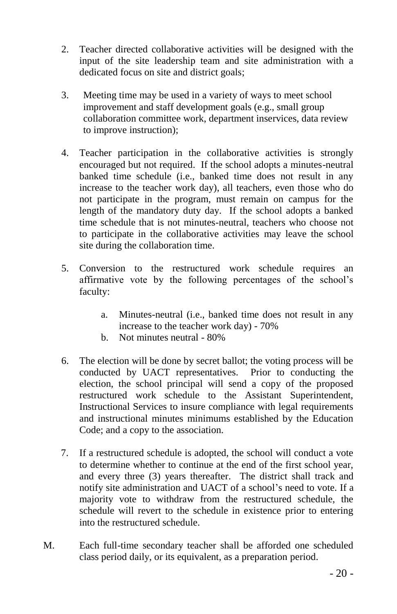- 2. Teacher directed collaborative activities will be designed with the input of the site leadership team and site administration with a dedicated focus on site and district goals;
- 3. Meeting time may be used in a variety of ways to meet school improvement and staff development goals (e.g., small group collaboration committee work, department inservices, data review to improve instruction);
- 4. Teacher participation in the collaborative activities is strongly encouraged but not required. If the school adopts a minutes-neutral banked time schedule (i.e., banked time does not result in any increase to the teacher work day), all teachers, even those who do not participate in the program, must remain on campus for the length of the mandatory duty day. If the school adopts a banked time schedule that is not minutes-neutral, teachers who choose not to participate in the collaborative activities may leave the school site during the collaboration time.
- 5. Conversion to the restructured work schedule requires an affirmative vote by the following percentages of the school's faculty:
	- a. Minutes-neutral (i.e., banked time does not result in any increase to the teacher work day) - 70%
	- b. Not minutes neutral 80%
- 6. The election will be done by secret ballot; the voting process will be conducted by UACT representatives. Prior to conducting the election, the school principal will send a copy of the proposed restructured work schedule to the Assistant Superintendent, Instructional Services to insure compliance with legal requirements and instructional minutes minimums established by the Education Code; and a copy to the association.
- 7. If a restructured schedule is adopted, the school will conduct a vote to determine whether to continue at the end of the first school year, and every three (3) years thereafter. The district shall track and notify site administration and UACT of a school's need to vote. If a majority vote to withdraw from the restructured schedule, the schedule will revert to the schedule in existence prior to entering into the restructured schedule.
- M. Each full-time secondary teacher shall be afforded one scheduled class period daily, or its equivalent, as a preparation period.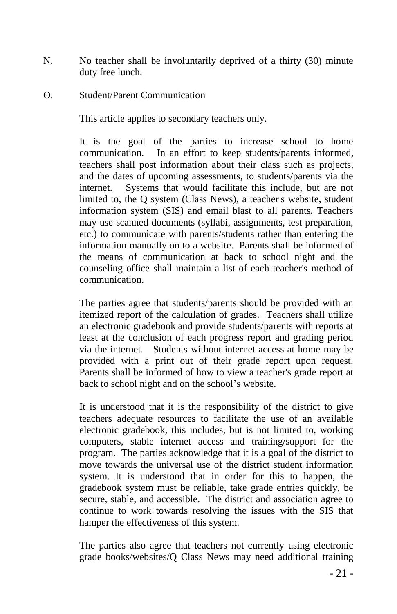- N. No teacher shall be involuntarily deprived of a thirty (30) minute duty free lunch.
- O. Student/Parent Communication

This article applies to secondary teachers only.

It is the goal of the parties to increase school to home communication. In an effort to keep students/parents informed, teachers shall post information about their class such as projects, and the dates of upcoming assessments, to students/parents via the internet. Systems that would facilitate this include, but are not limited to, the Q system (Class News), a teacher's website, student information system (SIS) and email blast to all parents. Teachers may use scanned documents (syllabi, assignments, test preparation, etc.) to communicate with parents/students rather than entering the information manually on to a website. Parents shall be informed of the means of communication at back to school night and the counseling office shall maintain a list of each teacher's method of communication.

The parties agree that students/parents should be provided with an itemized report of the calculation of grades. Teachers shall utilize an electronic gradebook and provide students/parents with reports at least at the conclusion of each progress report and grading period via the internet. Students without internet access at home may be provided with a print out of their grade report upon request. Parents shall be informed of how to view a teacher's grade report at back to school night and on the school's website.

It is understood that it is the responsibility of the district to give teachers adequate resources to facilitate the use of an available electronic gradebook, this includes, but is not limited to, working computers, stable internet access and training/support for the program. The parties acknowledge that it is a goal of the district to move towards the universal use of the district student information system. It is understood that in order for this to happen, the gradebook system must be reliable, take grade entries quickly, be secure, stable, and accessible. The district and association agree to continue to work towards resolving the issues with the SIS that hamper the effectiveness of this system.

The parties also agree that teachers not currently using electronic grade books/websites/Q Class News may need additional training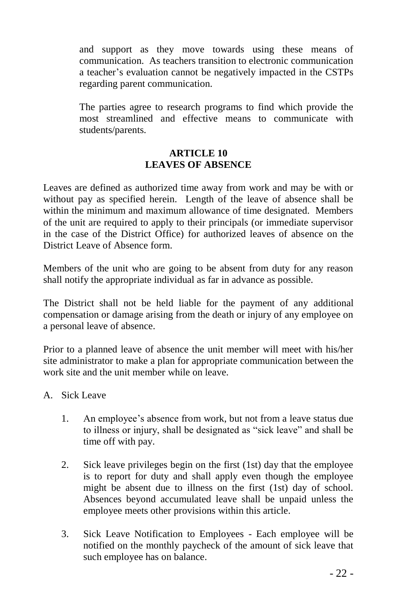and support as they move towards using these means of communication. As teachers transition to electronic communication a teacher's evaluation cannot be negatively impacted in the CSTPs regarding parent communication.

The parties agree to research programs to find which provide the most streamlined and effective means to communicate with students/parents.

#### **ARTICLE 10 LEAVES OF ABSENCE**

Leaves are defined as authorized time away from work and may be with or without pay as specified herein. Length of the leave of absence shall be within the minimum and maximum allowance of time designated. Members of the unit are required to apply to their principals (or immediate supervisor in the case of the District Office) for authorized leaves of absence on the District Leave of Absence form.

Members of the unit who are going to be absent from duty for any reason shall notify the appropriate individual as far in advance as possible.

The District shall not be held liable for the payment of any additional compensation or damage arising from the death or injury of any employee on a personal leave of absence.

Prior to a planned leave of absence the unit member will meet with his/her site administrator to make a plan for appropriate communication between the work site and the unit member while on leave.

A. Sick Leave

- 1. An employee's absence from work, but not from a leave status due to illness or injury, shall be designated as "sick leave" and shall be time off with pay.
- 2. Sick leave privileges begin on the first (1st) day that the employee is to report for duty and shall apply even though the employee might be absent due to illness on the first (1st) day of school. Absences beyond accumulated leave shall be unpaid unless the employee meets other provisions within this article.
- 3. Sick Leave Notification to Employees Each employee will be notified on the monthly paycheck of the amount of sick leave that such employee has on balance.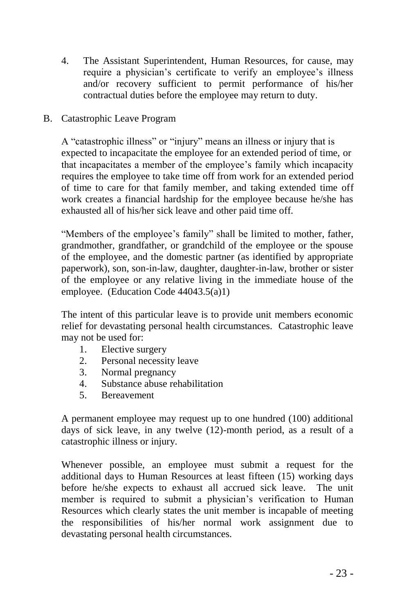4. The Assistant Superintendent, Human Resources, for cause, may require a physician's certificate to verify an employee's illness and/or recovery sufficient to permit performance of his/her contractual duties before the employee may return to duty.

#### B. Catastrophic Leave Program

A "catastrophic illness" or "injury" means an illness or injury that is expected to incapacitate the employee for an extended period of time, or that incapacitates a member of the employee's family which incapacity requires the employee to take time off from work for an extended period of time to care for that family member, and taking extended time off work creates a financial hardship for the employee because he/she has exhausted all of his/her sick leave and other paid time off.

"Members of the employee's family" shall be limited to mother, father, grandmother, grandfather, or grandchild of the employee or the spouse of the employee, and the domestic partner (as identified by appropriate paperwork), son, son-in-law, daughter, daughter-in-law, brother or sister of the employee or any relative living in the immediate house of the employee. (Education Code 44043.5(a)1)

The intent of this particular leave is to provide unit members economic relief for devastating personal health circumstances. Catastrophic leave may not be used for:

- 1. Elective surgery
- 2. Personal necessity leave
- 3. Normal pregnancy
- 4. Substance abuse rehabilitation
- 5. Bereavement

A permanent employee may request up to one hundred (100) additional days of sick leave, in any twelve (12)-month period, as a result of a catastrophic illness or injury.

Whenever possible, an employee must submit a request for the additional days to Human Resources at least fifteen (15) working days before he/she expects to exhaust all accrued sick leave. The unit member is required to submit a physician's verification to Human Resources which clearly states the unit member is incapable of meeting the responsibilities of his/her normal work assignment due to devastating personal health circumstances.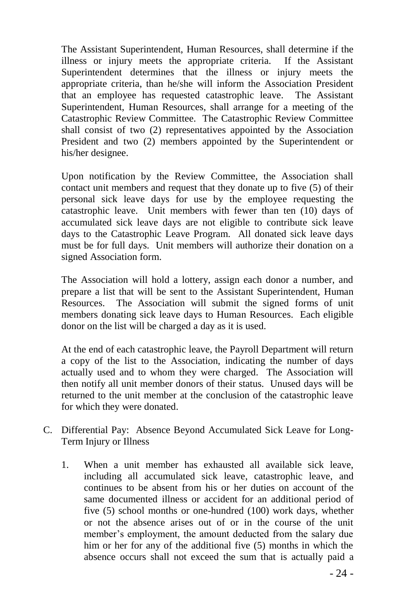The Assistant Superintendent, Human Resources, shall determine if the illness or injury meets the appropriate criteria. If the Assistant Superintendent determines that the illness or injury meets the appropriate criteria, than he/she will inform the Association President that an employee has requested catastrophic leave. The Assistant Superintendent, Human Resources, shall arrange for a meeting of the Catastrophic Review Committee. The Catastrophic Review Committee shall consist of two (2) representatives appointed by the Association President and two (2) members appointed by the Superintendent or his/her designee.

Upon notification by the Review Committee, the Association shall contact unit members and request that they donate up to five (5) of their personal sick leave days for use by the employee requesting the catastrophic leave. Unit members with fewer than ten (10) days of accumulated sick leave days are not eligible to contribute sick leave days to the Catastrophic Leave Program. All donated sick leave days must be for full days. Unit members will authorize their donation on a signed Association form.

The Association will hold a lottery, assign each donor a number, and prepare a list that will be sent to the Assistant Superintendent, Human Resources. The Association will submit the signed forms of unit members donating sick leave days to Human Resources. Each eligible donor on the list will be charged a day as it is used.

At the end of each catastrophic leave, the Payroll Department will return a copy of the list to the Association, indicating the number of days actually used and to whom they were charged. The Association will then notify all unit member donors of their status. Unused days will be returned to the unit member at the conclusion of the catastrophic leave for which they were donated.

- C. Differential Pay: Absence Beyond Accumulated Sick Leave for Long-Term Injury or Illness
	- 1. When a unit member has exhausted all available sick leave, including all accumulated sick leave, catastrophic leave, and continues to be absent from his or her duties on account of the same documented illness or accident for an additional period of five (5) school months or one-hundred (100) work days, whether or not the absence arises out of or in the course of the unit member's employment, the amount deducted from the salary due him or her for any of the additional five (5) months in which the absence occurs shall not exceed the sum that is actually paid a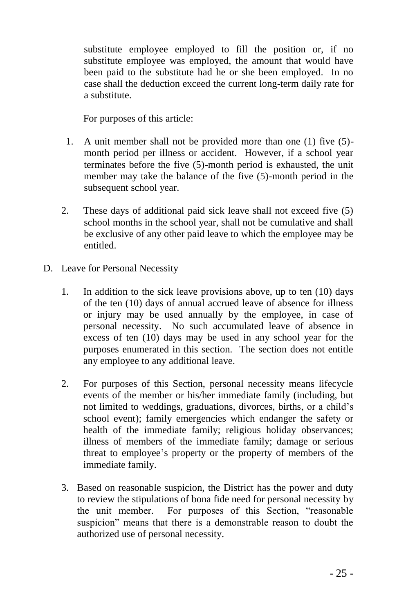substitute employee employed to fill the position or, if no substitute employee was employed, the amount that would have been paid to the substitute had he or she been employed. In no case shall the deduction exceed the current long-term daily rate for a substitute.

For purposes of this article:

- 1. A unit member shall not be provided more than one (1) five (5) month period per illness or accident. However, if a school year terminates before the five (5)-month period is exhausted, the unit member may take the balance of the five (5)-month period in the subsequent school year.
- 2. These days of additional paid sick leave shall not exceed five (5) school months in the school year, shall not be cumulative and shall be exclusive of any other paid leave to which the employee may be entitled.
- D. Leave for Personal Necessity
	- 1. In addition to the sick leave provisions above, up to ten (10) days of the ten (10) days of annual accrued leave of absence for illness or injury may be used annually by the employee, in case of personal necessity. No such accumulated leave of absence in excess of ten (10) days may be used in any school year for the purposes enumerated in this section. The section does not entitle any employee to any additional leave.
	- 2. For purposes of this Section, personal necessity means lifecycle events of the member or his/her immediate family (including, but not limited to weddings, graduations, divorces, births, or a child's school event); family emergencies which endanger the safety or health of the immediate family; religious holiday observances; illness of members of the immediate family; damage or serious threat to employee's property or the property of members of the immediate family.
	- 3. Based on reasonable suspicion, the District has the power and duty to review the stipulations of bona fide need for personal necessity by the unit member. For purposes of this Section, "reasonable suspicion" means that there is a demonstrable reason to doubt the authorized use of personal necessity.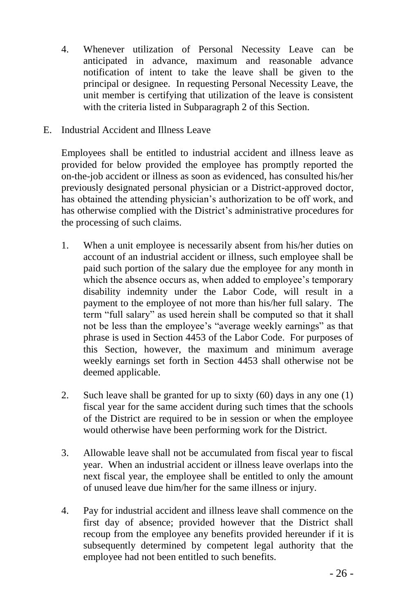- 4. Whenever utilization of Personal Necessity Leave can be anticipated in advance, maximum and reasonable advance notification of intent to take the leave shall be given to the principal or designee. In requesting Personal Necessity Leave, the unit member is certifying that utilization of the leave is consistent with the criteria listed in Subparagraph 2 of this Section.
- E. Industrial Accident and Illness Leave

Employees shall be entitled to industrial accident and illness leave as provided for below provided the employee has promptly reported the on-the-job accident or illness as soon as evidenced, has consulted his/her previously designated personal physician or a District-approved doctor, has obtained the attending physician's authorization to be off work, and has otherwise complied with the District's administrative procedures for the processing of such claims.

- 1. When a unit employee is necessarily absent from his/her duties on account of an industrial accident or illness, such employee shall be paid such portion of the salary due the employee for any month in which the absence occurs as, when added to employee's temporary disability indemnity under the Labor Code, will result in a payment to the employee of not more than his/her full salary. The term "full salary" as used herein shall be computed so that it shall not be less than the employee's "average weekly earnings" as that phrase is used in Section 4453 of the Labor Code. For purposes of this Section, however, the maximum and minimum average weekly earnings set forth in Section 4453 shall otherwise not be deemed applicable.
- 2. Such leave shall be granted for up to sixty (60) days in any one (1) fiscal year for the same accident during such times that the schools of the District are required to be in session or when the employee would otherwise have been performing work for the District.
- 3. Allowable leave shall not be accumulated from fiscal year to fiscal year. When an industrial accident or illness leave overlaps into the next fiscal year, the employee shall be entitled to only the amount of unused leave due him/her for the same illness or injury.
- 4. Pay for industrial accident and illness leave shall commence on the first day of absence; provided however that the District shall recoup from the employee any benefits provided hereunder if it is subsequently determined by competent legal authority that the employee had not been entitled to such benefits.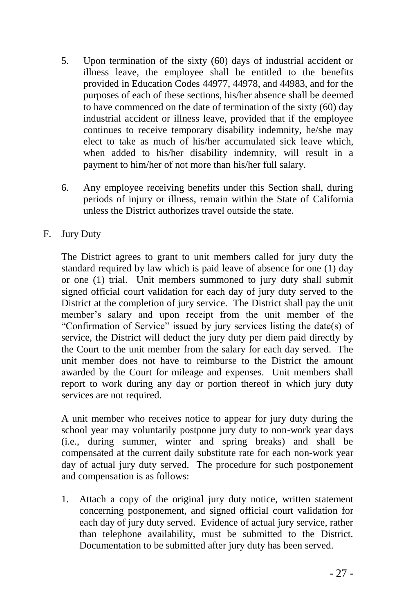- 5. Upon termination of the sixty (60) days of industrial accident or illness leave, the employee shall be entitled to the benefits provided in Education Codes 44977, 44978, and 44983, and for the purposes of each of these sections, his/her absence shall be deemed to have commenced on the date of termination of the sixty (60) day industrial accident or illness leave, provided that if the employee continues to receive temporary disability indemnity, he/she may elect to take as much of his/her accumulated sick leave which, when added to his/her disability indemnity, will result in a payment to him/her of not more than his/her full salary.
- 6. Any employee receiving benefits under this Section shall, during periods of injury or illness, remain within the State of California unless the District authorizes travel outside the state.
- F. Jury Duty

The District agrees to grant to unit members called for jury duty the standard required by law which is paid leave of absence for one (1) day or one (1) trial. Unit members summoned to jury duty shall submit signed official court validation for each day of jury duty served to the District at the completion of jury service. The District shall pay the unit member's salary and upon receipt from the unit member of the "Confirmation of Service" issued by jury services listing the date(s) of service, the District will deduct the jury duty per diem paid directly by the Court to the unit member from the salary for each day served. The unit member does not have to reimburse to the District the amount awarded by the Court for mileage and expenses. Unit members shall report to work during any day or portion thereof in which jury duty services are not required.

A unit member who receives notice to appear for jury duty during the school year may voluntarily postpone jury duty to non-work year days (i.e., during summer, winter and spring breaks) and shall be compensated at the current daily substitute rate for each non-work year day of actual jury duty served. The procedure for such postponement and compensation is as follows:

1. Attach a copy of the original jury duty notice, written statement concerning postponement, and signed official court validation for each day of jury duty served. Evidence of actual jury service, rather than telephone availability, must be submitted to the District. Documentation to be submitted after jury duty has been served.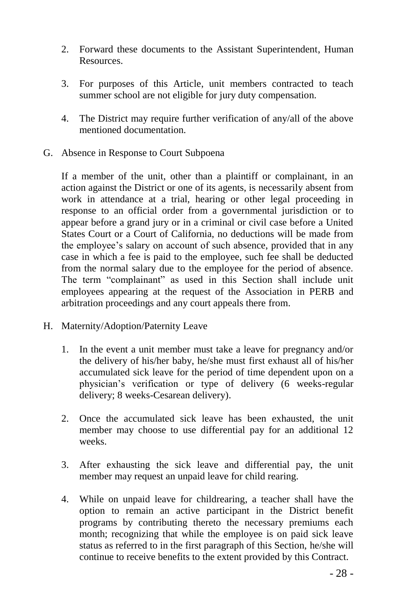- 2. Forward these documents to the Assistant Superintendent, Human Resources.
- 3. For purposes of this Article, unit members contracted to teach summer school are not eligible for jury duty compensation.
- 4. The District may require further verification of any/all of the above mentioned documentation.
- G. Absence in Response to Court Subpoena

If a member of the unit, other than a plaintiff or complainant, in an action against the District or one of its agents, is necessarily absent from work in attendance at a trial, hearing or other legal proceeding in response to an official order from a governmental jurisdiction or to appear before a grand jury or in a criminal or civil case before a United States Court or a Court of California, no deductions will be made from the employee's salary on account of such absence, provided that in any case in which a fee is paid to the employee, such fee shall be deducted from the normal salary due to the employee for the period of absence. The term "complainant" as used in this Section shall include unit employees appearing at the request of the Association in PERB and arbitration proceedings and any court appeals there from.

- H. Maternity/Adoption/Paternity Leave
	- 1. In the event a unit member must take a leave for pregnancy and/or the delivery of his/her baby, he/she must first exhaust all of his/her accumulated sick leave for the period of time dependent upon on a physician's verification or type of delivery (6 weeks-regular delivery; 8 weeks-Cesarean delivery).
	- 2. Once the accumulated sick leave has been exhausted, the unit member may choose to use differential pay for an additional 12 weeks.
	- 3. After exhausting the sick leave and differential pay, the unit member may request an unpaid leave for child rearing.
	- 4. While on unpaid leave for childrearing, a teacher shall have the option to remain an active participant in the District benefit programs by contributing thereto the necessary premiums each month; recognizing that while the employee is on paid sick leave status as referred to in the first paragraph of this Section, he/she will continue to receive benefits to the extent provided by this Contract.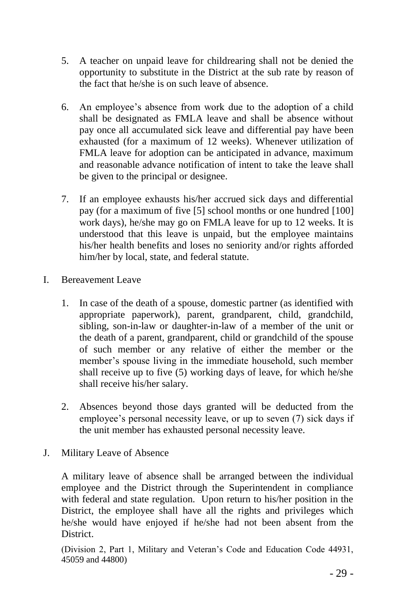- 5. A teacher on unpaid leave for childrearing shall not be denied the opportunity to substitute in the District at the sub rate by reason of the fact that he/she is on such leave of absence.
- 6. An employee's absence from work due to the adoption of a child shall be designated as FMLA leave and shall be absence without pay once all accumulated sick leave and differential pay have been exhausted (for a maximum of 12 weeks). Whenever utilization of FMLA leave for adoption can be anticipated in advance, maximum and reasonable advance notification of intent to take the leave shall be given to the principal or designee.
- 7. If an employee exhausts his/her accrued sick days and differential pay (for a maximum of five [5] school months or one hundred [100] work days), he/she may go on FMLA leave for up to 12 weeks. It is understood that this leave is unpaid, but the employee maintains his/her health benefits and loses no seniority and/or rights afforded him/her by local, state, and federal statute.
- I. Bereavement Leave
	- 1. In case of the death of a spouse, domestic partner (as identified with appropriate paperwork), parent, grandparent, child, grandchild, sibling, son-in-law or daughter-in-law of a member of the unit or the death of a parent, grandparent, child or grandchild of the spouse of such member or any relative of either the member or the member's spouse living in the immediate household, such member shall receive up to five (5) working days of leave, for which he/she shall receive his/her salary.
	- 2. Absences beyond those days granted will be deducted from the employee's personal necessity leave, or up to seven (7) sick days if the unit member has exhausted personal necessity leave.
- J. Military Leave of Absence

A military leave of absence shall be arranged between the individual employee and the District through the Superintendent in compliance with federal and state regulation. Upon return to his/her position in the District, the employee shall have all the rights and privileges which he/she would have enjoyed if he/she had not been absent from the District.

(Division 2, Part 1, Military and Veteran's Code and Education Code 44931, 45059 and 44800)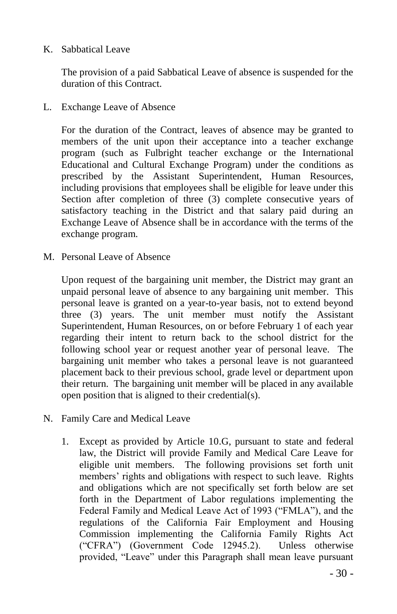#### K. Sabbatical Leave

The provision of a paid Sabbatical Leave of absence is suspended for the duration of this Contract.

L. Exchange Leave of Absence

For the duration of the Contract, leaves of absence may be granted to members of the unit upon their acceptance into a teacher exchange program (such as Fulbright teacher exchange or the International Educational and Cultural Exchange Program) under the conditions as prescribed by the Assistant Superintendent, Human Resources, including provisions that employees shall be eligible for leave under this Section after completion of three (3) complete consecutive years of satisfactory teaching in the District and that salary paid during an Exchange Leave of Absence shall be in accordance with the terms of the exchange program.

M. Personal Leave of Absence

Upon request of the bargaining unit member, the District may grant an unpaid personal leave of absence to any bargaining unit member. This personal leave is granted on a year-to-year basis, not to extend beyond three (3) years. The unit member must notify the Assistant Superintendent, Human Resources, on or before February 1 of each year regarding their intent to return back to the school district for the following school year or request another year of personal leave. The bargaining unit member who takes a personal leave is not guaranteed placement back to their previous school, grade level or department upon their return. The bargaining unit member will be placed in any available open position that is aligned to their credential(s).

- N. Family Care and Medical Leave
	- 1. Except as provided by Article 10.G, pursuant to state and federal law, the District will provide Family and Medical Care Leave for eligible unit members. The following provisions set forth unit members' rights and obligations with respect to such leave. Rights and obligations which are not specifically set forth below are set forth in the Department of Labor regulations implementing the Federal Family and Medical Leave Act of 1993 ("FMLA"), and the regulations of the California Fair Employment and Housing Commission implementing the California Family Rights Act ("CFRA") (Government Code 12945.2). Unless otherwise provided, "Leave" under this Paragraph shall mean leave pursuant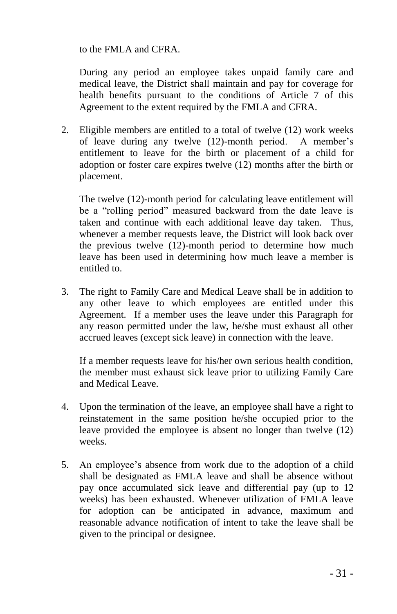to the FMLA and CFRA.

During any period an employee takes unpaid family care and medical leave, the District shall maintain and pay for coverage for health benefits pursuant to the conditions of Article 7 of this Agreement to the extent required by the FMLA and CFRA.

2. Eligible members are entitled to a total of twelve (12) work weeks of leave during any twelve (12)-month period. A member's entitlement to leave for the birth or placement of a child for adoption or foster care expires twelve (12) months after the birth or placement.

The twelve (12)-month period for calculating leave entitlement will be a "rolling period" measured backward from the date leave is taken and continue with each additional leave day taken. Thus, whenever a member requests leave, the District will look back over the previous twelve (12)-month period to determine how much leave has been used in determining how much leave a member is entitled to.

3. The right to Family Care and Medical Leave shall be in addition to any other leave to which employees are entitled under this Agreement. If a member uses the leave under this Paragraph for any reason permitted under the law, he/she must exhaust all other accrued leaves (except sick leave) in connection with the leave.

If a member requests leave for his/her own serious health condition, the member must exhaust sick leave prior to utilizing Family Care and Medical Leave.

- 4. Upon the termination of the leave, an employee shall have a right to reinstatement in the same position he/she occupied prior to the leave provided the employee is absent no longer than twelve (12) weeks.
- 5. An employee's absence from work due to the adoption of a child shall be designated as FMLA leave and shall be absence without pay once accumulated sick leave and differential pay (up to 12 weeks) has been exhausted. Whenever utilization of FMLA leave for adoption can be anticipated in advance, maximum and reasonable advance notification of intent to take the leave shall be given to the principal or designee.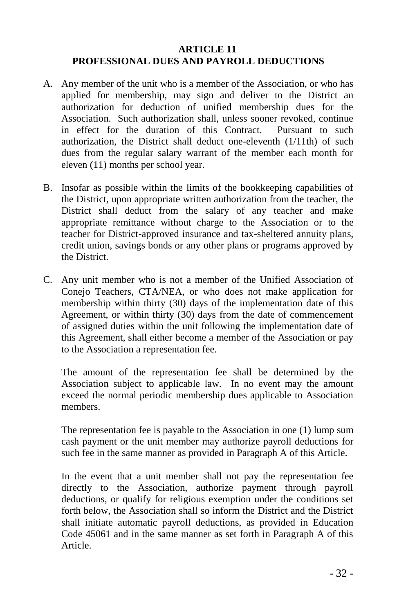#### **ARTICLE 11 PROFESSIONAL DUES AND PAYROLL DEDUCTIONS**

- A. Any member of the unit who is a member of the Association, or who has applied for membership, may sign and deliver to the District an authorization for deduction of unified membership dues for the Association. Such authorization shall, unless sooner revoked, continue in effect for the duration of this Contract. Pursuant to such authorization, the District shall deduct one-eleventh (1/11th) of such dues from the regular salary warrant of the member each month for eleven (11) months per school year.
- B. Insofar as possible within the limits of the bookkeeping capabilities of the District, upon appropriate written authorization from the teacher, the District shall deduct from the salary of any teacher and make appropriate remittance without charge to the Association or to the teacher for District-approved insurance and tax-sheltered annuity plans, credit union, savings bonds or any other plans or programs approved by the District.
- C. Any unit member who is not a member of the Unified Association of Conejo Teachers, CTA/NEA, or who does not make application for membership within thirty (30) days of the implementation date of this Agreement, or within thirty (30) days from the date of commencement of assigned duties within the unit following the implementation date of this Agreement, shall either become a member of the Association or pay to the Association a representation fee.

The amount of the representation fee shall be determined by the Association subject to applicable law. In no event may the amount exceed the normal periodic membership dues applicable to Association members.

The representation fee is payable to the Association in one (1) lump sum cash payment or the unit member may authorize payroll deductions for such fee in the same manner as provided in Paragraph A of this Article.

In the event that a unit member shall not pay the representation fee directly to the Association, authorize payment through payroll deductions, or qualify for religious exemption under the conditions set forth below, the Association shall so inform the District and the District shall initiate automatic payroll deductions, as provided in Education Code 45061 and in the same manner as set forth in Paragraph A of this Article.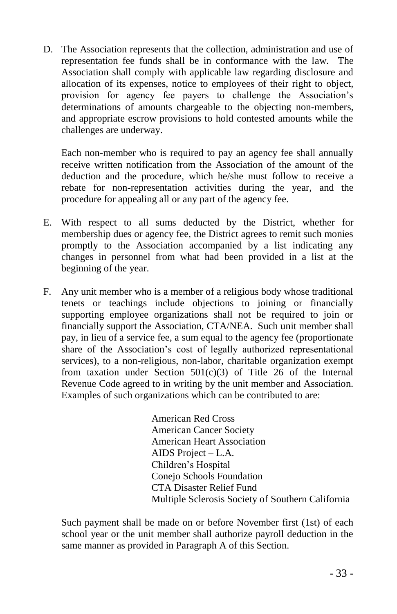D. The Association represents that the collection, administration and use of representation fee funds shall be in conformance with the law. The Association shall comply with applicable law regarding disclosure and allocation of its expenses, notice to employees of their right to object, provision for agency fee payers to challenge the Association's determinations of amounts chargeable to the objecting non-members, and appropriate escrow provisions to hold contested amounts while the challenges are underway.

Each non-member who is required to pay an agency fee shall annually receive written notification from the Association of the amount of the deduction and the procedure, which he/she must follow to receive a rebate for non-representation activities during the year, and the procedure for appealing all or any part of the agency fee.

- E. With respect to all sums deducted by the District, whether for membership dues or agency fee, the District agrees to remit such monies promptly to the Association accompanied by a list indicating any changes in personnel from what had been provided in a list at the beginning of the year.
- F. Any unit member who is a member of a religious body whose traditional tenets or teachings include objections to joining or financially supporting employee organizations shall not be required to join or financially support the Association, CTA/NEA. Such unit member shall pay, in lieu of a service fee, a sum equal to the agency fee (proportionate share of the Association's cost of legally authorized representational services), to a non-religious, non-labor, charitable organization exempt from taxation under Section  $501(c)(3)$  of Title 26 of the Internal Revenue Code agreed to in writing by the unit member and Association. Examples of such organizations which can be contributed to are:

American Red Cross American Cancer Society American Heart Association AIDS Project – L.A. Children's Hospital Conejo Schools Foundation CTA Disaster Relief Fund Multiple Sclerosis Society of Southern California

Such payment shall be made on or before November first (1st) of each school year or the unit member shall authorize payroll deduction in the same manner as provided in Paragraph A of this Section.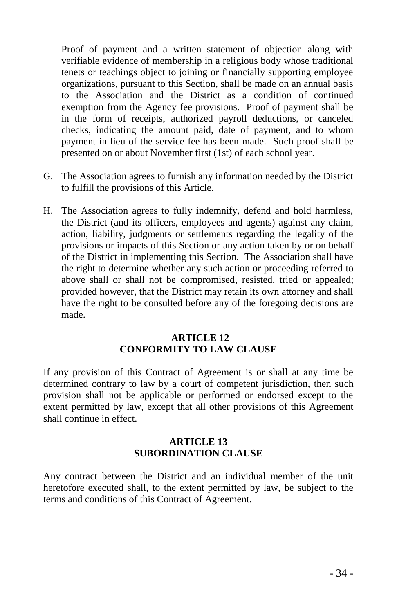Proof of payment and a written statement of objection along with verifiable evidence of membership in a religious body whose traditional tenets or teachings object to joining or financially supporting employee organizations, pursuant to this Section, shall be made on an annual basis to the Association and the District as a condition of continued exemption from the Agency fee provisions. Proof of payment shall be in the form of receipts, authorized payroll deductions, or canceled checks, indicating the amount paid, date of payment, and to whom payment in lieu of the service fee has been made. Such proof shall be presented on or about November first (1st) of each school year.

- G. The Association agrees to furnish any information needed by the District to fulfill the provisions of this Article.
- H. The Association agrees to fully indemnify, defend and hold harmless, the District (and its officers, employees and agents) against any claim, action, liability, judgments or settlements regarding the legality of the provisions or impacts of this Section or any action taken by or on behalf of the District in implementing this Section. The Association shall have the right to determine whether any such action or proceeding referred to above shall or shall not be compromised, resisted, tried or appealed; provided however, that the District may retain its own attorney and shall have the right to be consulted before any of the foregoing decisions are made.

#### **ARTICLE 12 CONFORMITY TO LAW CLAUSE**

If any provision of this Contract of Agreement is or shall at any time be determined contrary to law by a court of competent jurisdiction, then such provision shall not be applicable or performed or endorsed except to the extent permitted by law, except that all other provisions of this Agreement shall continue in effect.

#### **ARTICLE 13 SUBORDINATION CLAUSE**

Any contract between the District and an individual member of the unit heretofore executed shall, to the extent permitted by law, be subject to the terms and conditions of this Contract of Agreement.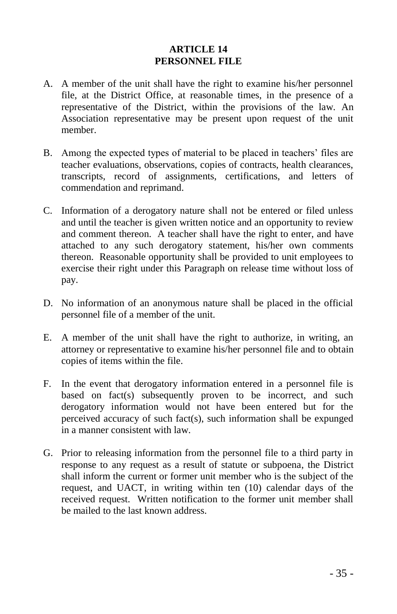#### **ARTICLE 14 PERSONNEL FILE**

- A. A member of the unit shall have the right to examine his/her personnel file, at the District Office, at reasonable times, in the presence of a representative of the District, within the provisions of the law. An Association representative may be present upon request of the unit member.
- B. Among the expected types of material to be placed in teachers' files are teacher evaluations, observations, copies of contracts, health clearances, transcripts, record of assignments, certifications, and letters of commendation and reprimand.
- C. Information of a derogatory nature shall not be entered or filed unless and until the teacher is given written notice and an opportunity to review and comment thereon. A teacher shall have the right to enter, and have attached to any such derogatory statement, his/her own comments thereon. Reasonable opportunity shall be provided to unit employees to exercise their right under this Paragraph on release time without loss of pay.
- D. No information of an anonymous nature shall be placed in the official personnel file of a member of the unit.
- E. A member of the unit shall have the right to authorize, in writing, an attorney or representative to examine his/her personnel file and to obtain copies of items within the file.
- F. In the event that derogatory information entered in a personnel file is based on fact(s) subsequently proven to be incorrect, and such derogatory information would not have been entered but for the perceived accuracy of such fact(s), such information shall be expunged in a manner consistent with law.
- G. Prior to releasing information from the personnel file to a third party in response to any request as a result of statute or subpoena, the District shall inform the current or former unit member who is the subject of the request, and UACT, in writing within ten (10) calendar days of the received request. Written notification to the former unit member shall be mailed to the last known address.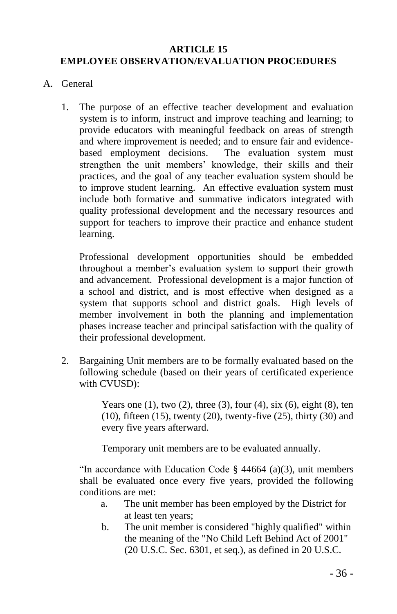#### **ARTICLE 15 EMPLOYEE OBSERVATION/EVALUATION PROCEDURES**

- A. General
	- 1. The purpose of an effective teacher development and evaluation system is to inform, instruct and improve teaching and learning; to provide educators with meaningful feedback on areas of strength and where improvement is needed; and to ensure fair and evidencebased employment decisions. The evaluation system must strengthen the unit members' knowledge, their skills and their practices, and the goal of any teacher evaluation system should be to improve student learning. An effective evaluation system must include both formative and summative indicators integrated with quality professional development and the necessary resources and support for teachers to improve their practice and enhance student learning.

Professional development opportunities should be embedded throughout a member's evaluation system to support their growth and advancement. Professional development is a major function of a school and district, and is most effective when designed as a system that supports school and district goals. High levels of member involvement in both the planning and implementation phases increase teacher and principal satisfaction with the quality of their professional development.

2. Bargaining Unit members are to be formally evaluated based on the following schedule (based on their years of certificated experience with CVUSD):

> Years one  $(1)$ , two  $(2)$ , three  $(3)$ , four  $(4)$ , six  $(6)$ , eight  $(8)$ , ten (10), fifteen (15), twenty (20), twenty-five (25), thirty (30) and every five years afterward.

Temporary unit members are to be evaluated annually.

"In accordance with Education Code  $\S$  44664 (a)(3), unit members shall be evaluated once every five years, provided the following conditions are met:

- a. The unit member has been employed by the District for at least ten years;
- b. The unit member is considered "highly qualified" within the meaning of the "No Child Left Behind Act of 2001" (20 U.S.C. Sec. 6301, et seq.), as defined in 20 U.S.C.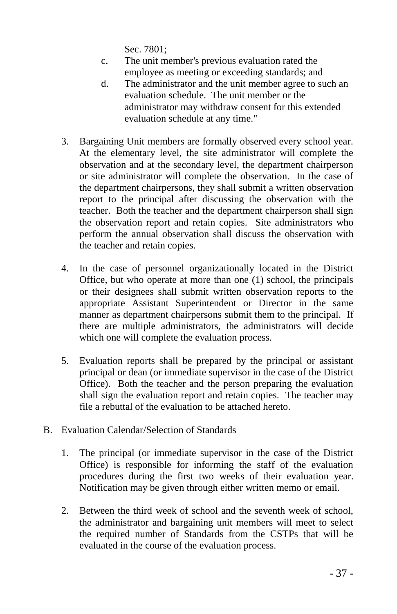Sec. 7801;

- c. The unit member's previous evaluation rated the employee as meeting or exceeding standards; and
- d. The administrator and the unit member agree to such an evaluation schedule. The unit member or the administrator may withdraw consent for this extended evaluation schedule at any time."
- 3. Bargaining Unit members are formally observed every school year. At the elementary level, the site administrator will complete the observation and at the secondary level, the department chairperson or site administrator will complete the observation. In the case of the department chairpersons, they shall submit a written observation report to the principal after discussing the observation with the teacher. Both the teacher and the department chairperson shall sign the observation report and retain copies. Site administrators who perform the annual observation shall discuss the observation with the teacher and retain copies.
- 4. In the case of personnel organizationally located in the District Office, but who operate at more than one (1) school, the principals or their designees shall submit written observation reports to the appropriate Assistant Superintendent or Director in the same manner as department chairpersons submit them to the principal. If there are multiple administrators, the administrators will decide which one will complete the evaluation process.
- 5. Evaluation reports shall be prepared by the principal or assistant principal or dean (or immediate supervisor in the case of the District Office). Both the teacher and the person preparing the evaluation shall sign the evaluation report and retain copies. The teacher may file a rebuttal of the evaluation to be attached hereto.
- B. Evaluation Calendar/Selection of Standards
	- 1. The principal (or immediate supervisor in the case of the District Office) is responsible for informing the staff of the evaluation procedures during the first two weeks of their evaluation year. Notification may be given through either written memo or email.
	- 2. Between the third week of school and the seventh week of school, the administrator and bargaining unit members will meet to select the required number of Standards from the CSTPs that will be evaluated in the course of the evaluation process.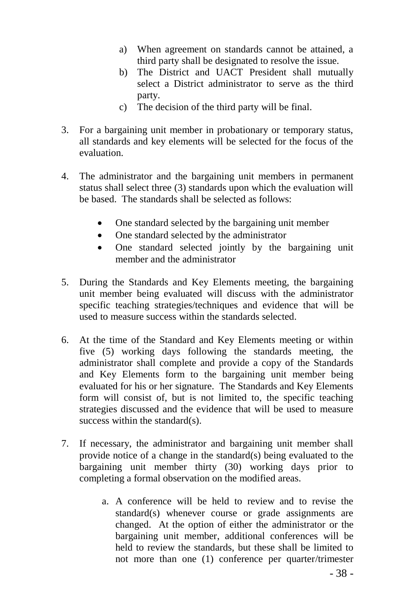- a) When agreement on standards cannot be attained, a third party shall be designated to resolve the issue.
- b) The District and UACT President shall mutually select a District administrator to serve as the third party.
- c) The decision of the third party will be final.
- 3. For a bargaining unit member in probationary or temporary status, all standards and key elements will be selected for the focus of the evaluation.
- 4. The administrator and the bargaining unit members in permanent status shall select three (3) standards upon which the evaluation will be based. The standards shall be selected as follows:
	- One standard selected by the bargaining unit member
	- One standard selected by the administrator
	- One standard selected jointly by the bargaining unit member and the administrator
- 5. During the Standards and Key Elements meeting, the bargaining unit member being evaluated will discuss with the administrator specific teaching strategies/techniques and evidence that will be used to measure success within the standards selected.
- 6. At the time of the Standard and Key Elements meeting or within five (5) working days following the standards meeting, the administrator shall complete and provide a copy of the Standards and Key Elements form to the bargaining unit member being evaluated for his or her signature. The Standards and Key Elements form will consist of, but is not limited to, the specific teaching strategies discussed and the evidence that will be used to measure success within the standard(s).
- 7. If necessary, the administrator and bargaining unit member shall provide notice of a change in the standard(s) being evaluated to the bargaining unit member thirty (30) working days prior to completing a formal observation on the modified areas.
	- a. A conference will be held to review and to revise the standard(s) whenever course or grade assignments are changed. At the option of either the administrator or the bargaining unit member, additional conferences will be held to review the standards, but these shall be limited to not more than one (1) conference per quarter/trimester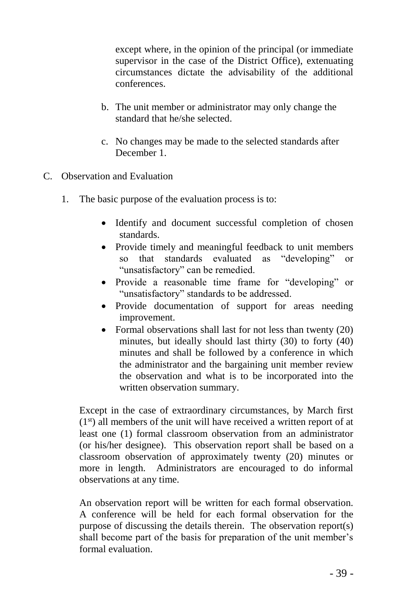except where, in the opinion of the principal (or immediate supervisor in the case of the District Office), extenuating circumstances dictate the advisability of the additional conferences.

- b. The unit member or administrator may only change the standard that he/she selected.
- c. No changes may be made to the selected standards after December 1.
- C. Observation and Evaluation
	- 1. The basic purpose of the evaluation process is to:
		- Identify and document successful completion of chosen standards.
		- Provide timely and meaningful feedback to unit members so that standards evaluated as "developing" or "unsatisfactory" can be remedied.
		- Provide a reasonable time frame for "developing" or "unsatisfactory" standards to be addressed.
		- Provide documentation of support for areas needing improvement.
		- Formal observations shall last for not less than twenty (20) minutes, but ideally should last thirty (30) to forty (40) minutes and shall be followed by a conference in which the administrator and the bargaining unit member review the observation and what is to be incorporated into the written observation summary.

Except in the case of extraordinary circumstances, by March first  $(1<sup>st</sup>)$  all members of the unit will have received a written report of at least one (1) formal classroom observation from an administrator (or his/her designee). This observation report shall be based on a classroom observation of approximately twenty (20) minutes or more in length. Administrators are encouraged to do informal observations at any time.

An observation report will be written for each formal observation. A conference will be held for each formal observation for the purpose of discussing the details therein. The observation report(s) shall become part of the basis for preparation of the unit member's formal evaluation.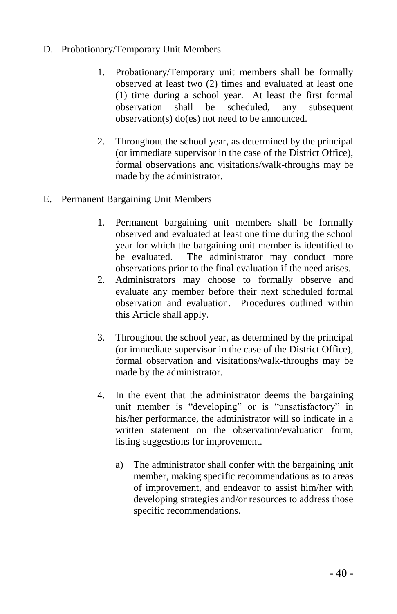- D. Probationary/Temporary Unit Members
	- 1. Probationary/Temporary unit members shall be formally observed at least two (2) times and evaluated at least one (1) time during a school year. At least the first formal observation shall be scheduled, any subsequent observation(s) do(es) not need to be announced.
	- 2. Throughout the school year, as determined by the principal (or immediate supervisor in the case of the District Office), formal observations and visitations/walk-throughs may be made by the administrator.
- E. Permanent Bargaining Unit Members
	- 1. Permanent bargaining unit members shall be formally observed and evaluated at least one time during the school year for which the bargaining unit member is identified to be evaluated. The administrator may conduct more observations prior to the final evaluation if the need arises.
	- 2. Administrators may choose to formally observe and evaluate any member before their next scheduled formal observation and evaluation. Procedures outlined within this Article shall apply.
	- 3. Throughout the school year, as determined by the principal (or immediate supervisor in the case of the District Office), formal observation and visitations/walk-throughs may be made by the administrator.
	- 4. In the event that the administrator deems the bargaining unit member is "developing" or is "unsatisfactory" in his/her performance, the administrator will so indicate in a written statement on the observation/evaluation form, listing suggestions for improvement.
		- a) The administrator shall confer with the bargaining unit member, making specific recommendations as to areas of improvement, and endeavor to assist him/her with developing strategies and/or resources to address those specific recommendations.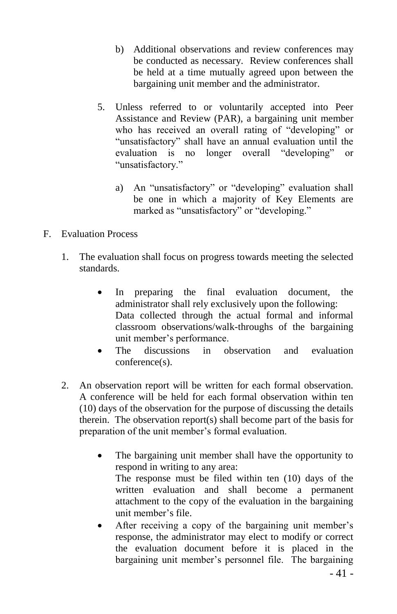- b) Additional observations and review conferences may be conducted as necessary. Review conferences shall be held at a time mutually agreed upon between the bargaining unit member and the administrator.
- 5. Unless referred to or voluntarily accepted into Peer Assistance and Review (PAR), a bargaining unit member who has received an overall rating of "developing" or "unsatisfactory" shall have an annual evaluation until the evaluation is no longer overall "developing" or "unsatisfactory."
	- a) An "unsatisfactory" or "developing" evaluation shall be one in which a majority of Key Elements are marked as "unsatisfactory" or "developing."
- F. Evaluation Process
	- 1. The evaluation shall focus on progress towards meeting the selected standards.
		- In preparing the final evaluation document, the administrator shall rely exclusively upon the following: Data collected through the actual formal and informal classroom observations/walk-throughs of the bargaining unit member's performance.
		- The discussions in observation and evaluation conference(s).
	- 2. An observation report will be written for each formal observation. A conference will be held for each formal observation within ten (10) days of the observation for the purpose of discussing the details therein. The observation report(s) shall become part of the basis for preparation of the unit member's formal evaluation.
		- The bargaining unit member shall have the opportunity to respond in writing to any area: The response must be filed within ten (10) days of the written evaluation and shall become a permanent attachment to the copy of the evaluation in the bargaining unit member's file.
		- After receiving a copy of the bargaining unit member's response, the administrator may elect to modify or correct the evaluation document before it is placed in the bargaining unit member's personnel file. The bargaining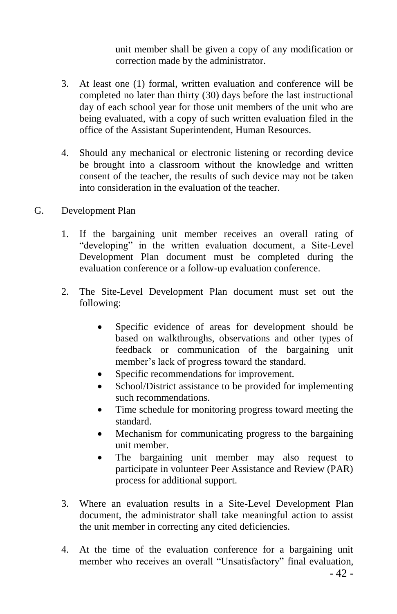unit member shall be given a copy of any modification or correction made by the administrator.

- 3. At least one (1) formal, written evaluation and conference will be completed no later than thirty (30) days before the last instructional day of each school year for those unit members of the unit who are being evaluated, with a copy of such written evaluation filed in the office of the Assistant Superintendent, Human Resources.
- 4. Should any mechanical or electronic listening or recording device be brought into a classroom without the knowledge and written consent of the teacher, the results of such device may not be taken into consideration in the evaluation of the teacher.
- G. Development Plan
	- 1. If the bargaining unit member receives an overall rating of "developing" in the written evaluation document, a Site-Level Development Plan document must be completed during the evaluation conference or a follow-up evaluation conference.
	- 2. The Site-Level Development Plan document must set out the following:
		- Specific evidence of areas for development should be based on walkthroughs, observations and other types of feedback or communication of the bargaining unit member's lack of progress toward the standard.
		- Specific recommendations for improvement.
		- School/District assistance to be provided for implementing such recommendations.
		- Time schedule for monitoring progress toward meeting the standard.
		- Mechanism for communicating progress to the bargaining unit member.
		- The bargaining unit member may also request to participate in volunteer Peer Assistance and Review (PAR) process for additional support.
	- 3. Where an evaluation results in a Site-Level Development Plan document, the administrator shall take meaningful action to assist the unit member in correcting any cited deficiencies.
	- 4. At the time of the evaluation conference for a bargaining unit member who receives an overall "Unsatisfactory" final evaluation,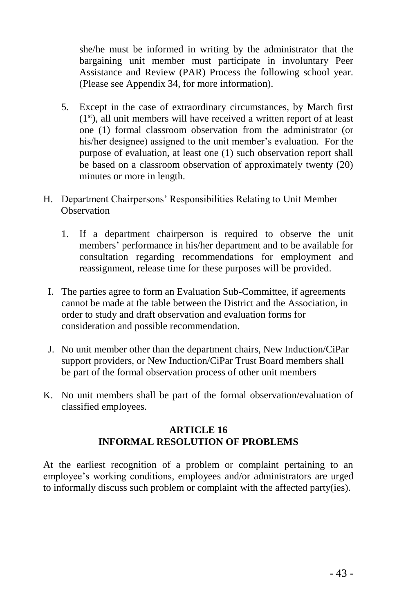she/he must be informed in writing by the administrator that the bargaining unit member must participate in involuntary Peer Assistance and Review (PAR) Process the following school year. (Please see Appendix 34, for more information).

- 5. Except in the case of extraordinary circumstances, by March first  $(1<sup>st</sup>)$ , all unit members will have received a written report of at least one (1) formal classroom observation from the administrator (or his/her designee) assigned to the unit member's evaluation. For the purpose of evaluation, at least one (1) such observation report shall be based on a classroom observation of approximately twenty (20) minutes or more in length.
- H. Department Chairpersons' Responsibilities Relating to Unit Member **Observation** 
	- 1. If a department chairperson is required to observe the unit members' performance in his/her department and to be available for consultation regarding recommendations for employment and reassignment, release time for these purposes will be provided.
	- I. The parties agree to form an Evaluation Sub-Committee, if agreements cannot be made at the table between the District and the Association, in order to study and draft observation and evaluation forms for consideration and possible recommendation.
	- J. No unit member other than the department chairs, New Induction/CiPar support providers, or New Induction/CiPar Trust Board members shall be part of the formal observation process of other unit members
- K. No unit members shall be part of the formal observation/evaluation of classified employees.

## **ARTICLE 16 INFORMAL RESOLUTION OF PROBLEMS**

At the earliest recognition of a problem or complaint pertaining to an employee's working conditions, employees and/or administrators are urged to informally discuss such problem or complaint with the affected party(ies).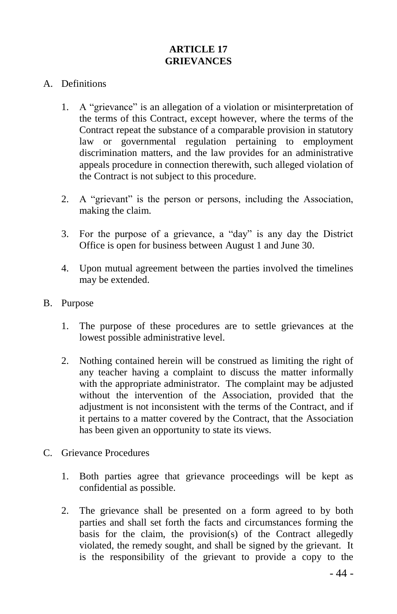# **ARTICLE 17 GRIEVANCES**

#### A. Definitions

- 1. A "grievance" is an allegation of a violation or misinterpretation of the terms of this Contract, except however, where the terms of the Contract repeat the substance of a comparable provision in statutory law or governmental regulation pertaining to employment discrimination matters, and the law provides for an administrative appeals procedure in connection therewith, such alleged violation of the Contract is not subject to this procedure.
- 2. A "grievant" is the person or persons, including the Association, making the claim.
- 3. For the purpose of a grievance, a "day" is any day the District Office is open for business between August 1 and June 30.
- 4. Upon mutual agreement between the parties involved the timelines may be extended.
- B. Purpose
	- 1. The purpose of these procedures are to settle grievances at the lowest possible administrative level.
	- 2. Nothing contained herein will be construed as limiting the right of any teacher having a complaint to discuss the matter informally with the appropriate administrator. The complaint may be adjusted without the intervention of the Association, provided that the adjustment is not inconsistent with the terms of the Contract, and if it pertains to a matter covered by the Contract, that the Association has been given an opportunity to state its views.
- C. Grievance Procedures
	- 1. Both parties agree that grievance proceedings will be kept as confidential as possible.
	- 2. The grievance shall be presented on a form agreed to by both parties and shall set forth the facts and circumstances forming the basis for the claim, the provision(s) of the Contract allegedly violated, the remedy sought, and shall be signed by the grievant. It is the responsibility of the grievant to provide a copy to the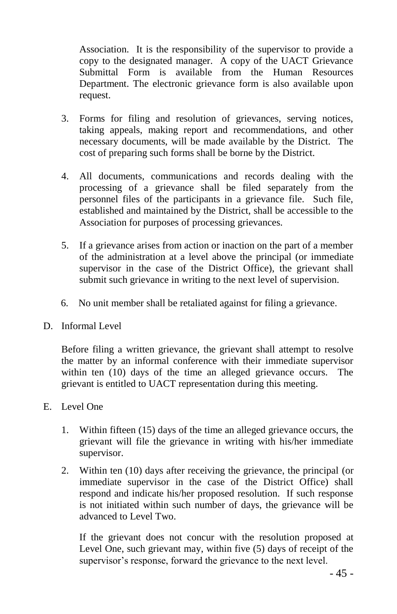Association. It is the responsibility of the supervisor to provide a copy to the designated manager. A copy of the UACT Grievance Submittal Form is available from the Human Resources Department. The electronic grievance form is also available upon request.

- 3. Forms for filing and resolution of grievances, serving notices, taking appeals, making report and recommendations, and other necessary documents, will be made available by the District. The cost of preparing such forms shall be borne by the District.
- 4. All documents, communications and records dealing with the processing of a grievance shall be filed separately from the personnel files of the participants in a grievance file. Such file, established and maintained by the District, shall be accessible to the Association for purposes of processing grievances.
- 5. If a grievance arises from action or inaction on the part of a member of the administration at a level above the principal (or immediate supervisor in the case of the District Office), the grievant shall submit such grievance in writing to the next level of supervision.
- 6. No unit member shall be retaliated against for filing a grievance.
- D. Informal Level

Before filing a written grievance, the grievant shall attempt to resolve the matter by an informal conference with their immediate supervisor within ten (10) days of the time an alleged grievance occurs. The grievant is entitled to UACT representation during this meeting.

- E. Level One
	- 1. Within fifteen (15) days of the time an alleged grievance occurs, the grievant will file the grievance in writing with his/her immediate supervisor.
	- 2. Within ten (10) days after receiving the grievance, the principal (or immediate supervisor in the case of the District Office) shall respond and indicate his/her proposed resolution. If such response is not initiated within such number of days, the grievance will be advanced to Level Two.

If the grievant does not concur with the resolution proposed at Level One, such grievant may, within five (5) days of receipt of the supervisor's response, forward the grievance to the next level.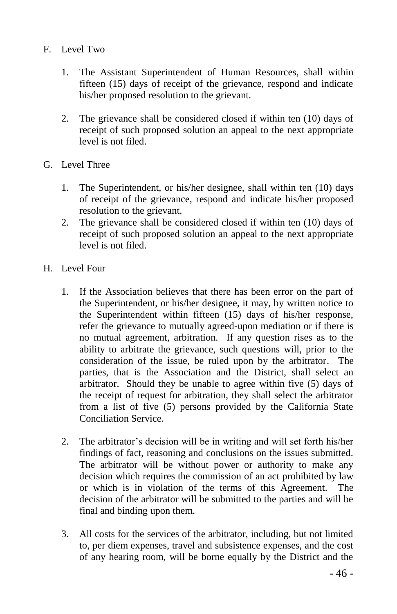- F. Level Two
	- 1. The Assistant Superintendent of Human Resources, shall within fifteen (15) days of receipt of the grievance, respond and indicate his/her proposed resolution to the grievant.
	- 2. The grievance shall be considered closed if within ten (10) days of receipt of such proposed solution an appeal to the next appropriate level is not filed.
- G. Level Three
	- 1. The Superintendent, or his/her designee, shall within ten (10) days of receipt of the grievance, respond and indicate his/her proposed resolution to the grievant.
	- 2. The grievance shall be considered closed if within ten (10) days of receipt of such proposed solution an appeal to the next appropriate level is not filed.
- H. Level Four
	- 1. If the Association believes that there has been error on the part of the Superintendent, or his/her designee, it may, by written notice to the Superintendent within fifteen (15) days of his/her response, refer the grievance to mutually agreed-upon mediation or if there is no mutual agreement, arbitration. If any question rises as to the ability to arbitrate the grievance, such questions will, prior to the consideration of the issue, be ruled upon by the arbitrator. The parties, that is the Association and the District, shall select an arbitrator. Should they be unable to agree within five (5) days of the receipt of request for arbitration, they shall select the arbitrator from a list of five (5) persons provided by the California State Conciliation Service.
	- 2. The arbitrator's decision will be in writing and will set forth his/her findings of fact, reasoning and conclusions on the issues submitted. The arbitrator will be without power or authority to make any decision which requires the commission of an act prohibited by law or which is in violation of the terms of this Agreement. The decision of the arbitrator will be submitted to the parties and will be final and binding upon them.
	- 3. All costs for the services of the arbitrator, including, but not limited to, per diem expenses, travel and subsistence expenses, and the cost of any hearing room, will be borne equally by the District and the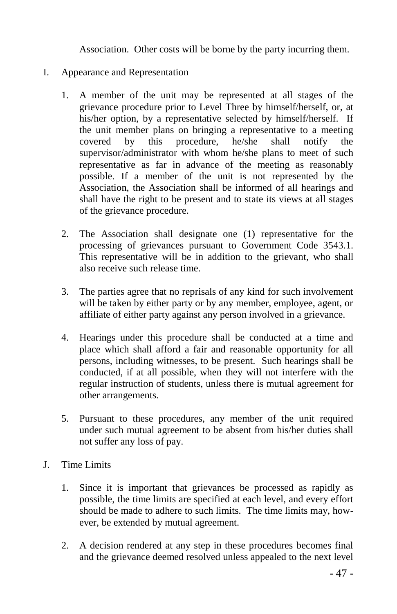Association. Other costs will be borne by the party incurring them.

- I. Appearance and Representation
	- 1. A member of the unit may be represented at all stages of the grievance procedure prior to Level Three by himself/herself, or, at his/her option, by a representative selected by himself/herself. If the unit member plans on bringing a representative to a meeting covered by this procedure, he/she shall notify the supervisor/administrator with whom he/she plans to meet of such representative as far in advance of the meeting as reasonably possible. If a member of the unit is not represented by the Association, the Association shall be informed of all hearings and shall have the right to be present and to state its views at all stages of the grievance procedure.
	- 2. The Association shall designate one (1) representative for the processing of grievances pursuant to Government Code 3543.1. This representative will be in addition to the grievant, who shall also receive such release time.
	- 3. The parties agree that no reprisals of any kind for such involvement will be taken by either party or by any member, employee, agent, or affiliate of either party against any person involved in a grievance.
	- 4. Hearings under this procedure shall be conducted at a time and place which shall afford a fair and reasonable opportunity for all persons, including witnesses, to be present. Such hearings shall be conducted, if at all possible, when they will not interfere with the regular instruction of students, unless there is mutual agreement for other arrangements.
	- 5. Pursuant to these procedures, any member of the unit required under such mutual agreement to be absent from his/her duties shall not suffer any loss of pay.
- J. Time Limits
	- 1. Since it is important that grievances be processed as rapidly as possible, the time limits are specified at each level, and every effort should be made to adhere to such limits. The time limits may, however, be extended by mutual agreement.
	- 2. A decision rendered at any step in these procedures becomes final and the grievance deemed resolved unless appealed to the next level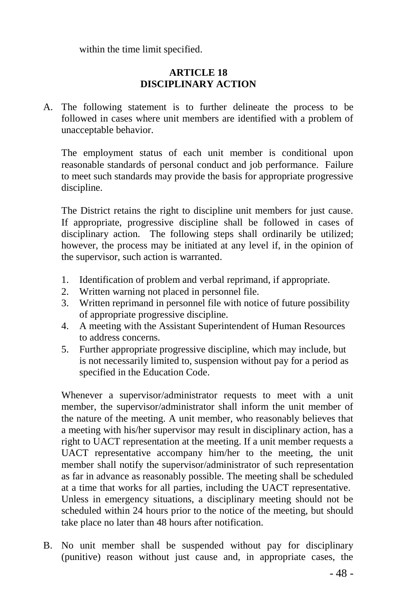within the time limit specified.

## **ARTICLE 18 DISCIPLINARY ACTION**

A. The following statement is to further delineate the process to be followed in cases where unit members are identified with a problem of unacceptable behavior.

The employment status of each unit member is conditional upon reasonable standards of personal conduct and job performance. Failure to meet such standards may provide the basis for appropriate progressive discipline.

The District retains the right to discipline unit members for just cause. If appropriate, progressive discipline shall be followed in cases of disciplinary action. The following steps shall ordinarily be utilized; however, the process may be initiated at any level if, in the opinion of the supervisor, such action is warranted.

- 1. Identification of problem and verbal reprimand, if appropriate.
- 2. Written warning not placed in personnel file.
- 3. Written reprimand in personnel file with notice of future possibility of appropriate progressive discipline.
- 4. A meeting with the Assistant Superintendent of Human Resources to address concerns.
- 5. Further appropriate progressive discipline, which may include, but is not necessarily limited to, suspension without pay for a period as specified in the Education Code.

Whenever a supervisor/administrator requests to meet with a unit member, the supervisor/administrator shall inform the unit member of the nature of the meeting. A unit member, who reasonably believes that a meeting with his/her supervisor may result in disciplinary action, has a right to UACT representation at the meeting. If a unit member requests a UACT representative accompany him/her to the meeting, the unit member shall notify the supervisor/administrator of such representation as far in advance as reasonably possible. The meeting shall be scheduled at a time that works for all parties, including the UACT representative. Unless in emergency situations, a disciplinary meeting should not be scheduled within 24 hours prior to the notice of the meeting, but should take place no later than 48 hours after notification.

B. No unit member shall be suspended without pay for disciplinary (punitive) reason without just cause and, in appropriate cases, the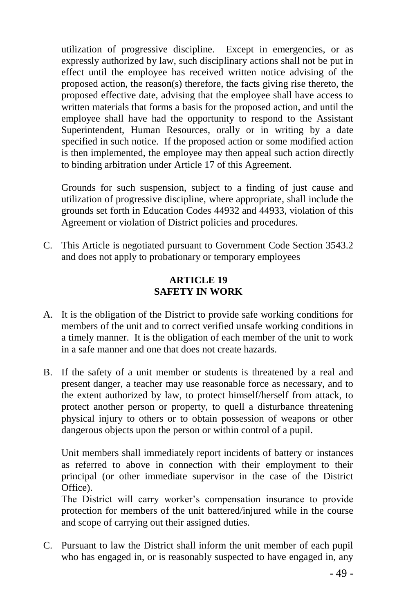utilization of progressive discipline. Except in emergencies, or as expressly authorized by law, such disciplinary actions shall not be put in effect until the employee has received written notice advising of the proposed action, the reason(s) therefore, the facts giving rise thereto, the proposed effective date, advising that the employee shall have access to written materials that forms a basis for the proposed action, and until the employee shall have had the opportunity to respond to the Assistant Superintendent, Human Resources, orally or in writing by a date specified in such notice. If the proposed action or some modified action is then implemented, the employee may then appeal such action directly to binding arbitration under Article 17 of this Agreement.

Grounds for such suspension, subject to a finding of just cause and utilization of progressive discipline, where appropriate, shall include the grounds set forth in Education Codes 44932 and 44933, violation of this Agreement or violation of District policies and procedures.

C. This Article is negotiated pursuant to Government Code Section 3543.2 and does not apply to probationary or temporary employees

## **ARTICLE 19 SAFETY IN WORK**

- A. It is the obligation of the District to provide safe working conditions for members of the unit and to correct verified unsafe working conditions in a timely manner. It is the obligation of each member of the unit to work in a safe manner and one that does not create hazards.
- B. If the safety of a unit member or students is threatened by a real and present danger, a teacher may use reasonable force as necessary, and to the extent authorized by law, to protect himself/herself from attack, to protect another person or property, to quell a disturbance threatening physical injury to others or to obtain possession of weapons or other dangerous objects upon the person or within control of a pupil.

Unit members shall immediately report incidents of battery or instances as referred to above in connection with their employment to their principal (or other immediate supervisor in the case of the District Office).

The District will carry worker's compensation insurance to provide protection for members of the unit battered/injured while in the course and scope of carrying out their assigned duties.

C. Pursuant to law the District shall inform the unit member of each pupil who has engaged in, or is reasonably suspected to have engaged in, any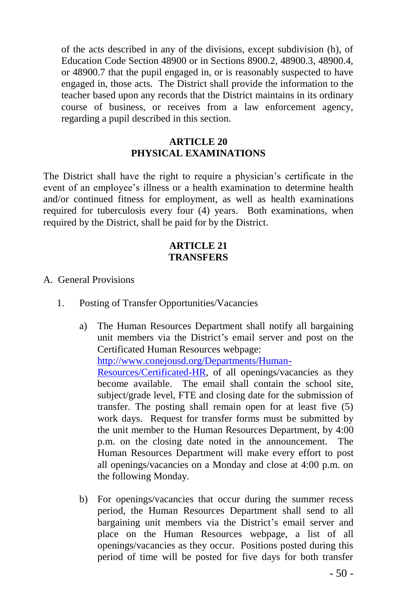of the acts described in any of the divisions, except subdivision (h), of Education Code Section 48900 or in Sections 8900.2, 48900.3, 48900.4, or 48900.7 that the pupil engaged in, or is reasonably suspected to have engaged in, those acts. The District shall provide the information to the teacher based upon any records that the District maintains in its ordinary course of business, or receives from a law enforcement agency, regarding a pupil described in this section.

## **ARTICLE 20 PHYSICAL EXAMINATIONS**

The District shall have the right to require a physician's certificate in the event of an employee's illness or a health examination to determine health and/or continued fitness for employment, as well as health examinations required for tuberculosis every four (4) years. Both examinations, when required by the District, shall be paid for by the District.

## **ARTICLE 21 TRANSFERS**

- A. General Provisions
	- 1. Posting of Transfer Opportunities/Vacancies
		- a) The Human Resources Department shall notify all bargaining unit members via the District's email server and post on the Certificated Human Resources webpage:

[http://www.conejousd.org/Departments/Human-](http://www.conejousd.org/Departments/Human-Resources/Certificated-HR)

[Resources/Certificated-HR,](http://www.conejousd.org/Departments/Human-Resources/Certificated-HR) of all openings/vacancies as they become available. The email shall contain the school site, subject/grade level, FTE and closing date for the submission of transfer. The posting shall remain open for at least five (5) work days. Request for transfer forms must be submitted by the unit member to the Human Resources Department, by 4:00 p.m. on the closing date noted in the announcement. The Human Resources Department will make every effort to post all openings/vacancies on a Monday and close at 4:00 p.m. on the following Monday.

b) For openings/vacancies that occur during the summer recess period, the Human Resources Department shall send to all bargaining unit members via the District's email server and place on the Human Resources webpage, a list of all openings/vacancies as they occur. Positions posted during this period of time will be posted for five days for both transfer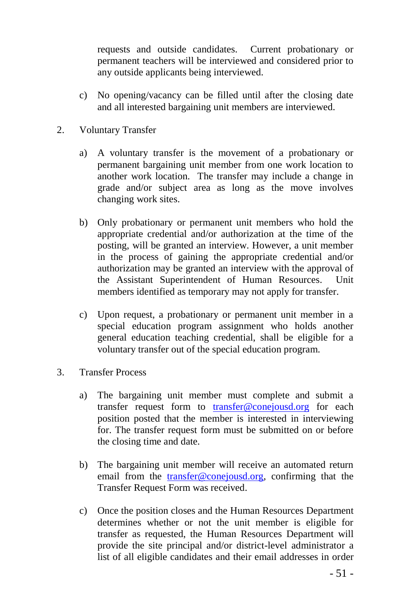requests and outside candidates. Current probationary or permanent teachers will be interviewed and considered prior to any outside applicants being interviewed.

- c) No opening/vacancy can be filled until after the closing date and all interested bargaining unit members are interviewed.
- 2. Voluntary Transfer
	- a) A voluntary transfer is the movement of a probationary or permanent bargaining unit member from one work location to another work location. The transfer may include a change in grade and/or subject area as long as the move involves changing work sites.
	- b) Only probationary or permanent unit members who hold the appropriate credential and/or authorization at the time of the posting, will be granted an interview. However, a unit member in the process of gaining the appropriate credential and/or authorization may be granted an interview with the approval of the Assistant Superintendent of Human Resources. Unit members identified as temporary may not apply for transfer.
	- c) Upon request, a probationary or permanent unit member in a special education program assignment who holds another general education teaching credential, shall be eligible for a voluntary transfer out of the special education program.
- 3. Transfer Process
	- a) The bargaining unit member must complete and submit a transfer request form to [transfer@conejousd.org](mailto:transfer@conejousd.org?subject=Transfer) for each position posted that the member is interested in interviewing for. The transfer request form must be submitted on or before the closing time and date.
	- b) The bargaining unit member will receive an automated return email from the [transfer@conejousd.org,](mailto:transfer@conejousd.org?subject=Transfer) confirming that the Transfer Request Form was received.
	- c) Once the position closes and the Human Resources Department determines whether or not the unit member is eligible for transfer as requested, the Human Resources Department will provide the site principal and/or district-level administrator a list of all eligible candidates and their email addresses in order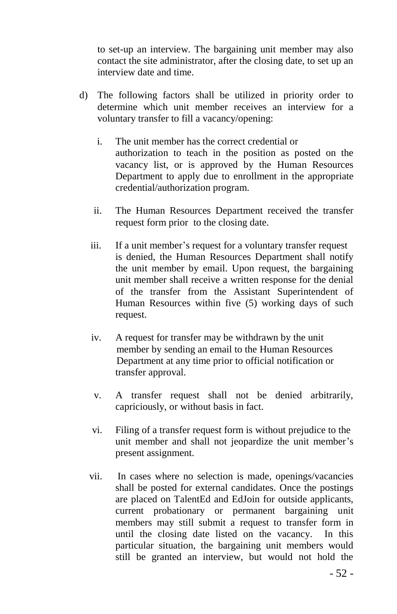to set-up an interview. The bargaining unit member may also contact the site administrator, after the closing date, to set up an interview date and time.

- d) The following factors shall be utilized in priority order to determine which unit member receives an interview for a voluntary transfer to fill a vacancy/opening:
	- i. The unit member has the correct credential or authorization to teach in the position as posted on the vacancy list, or is approved by the Human Resources Department to apply due to enrollment in the appropriate credential/authorization program.
	- ii. The Human Resources Department received the transfer request form prior to the closing date.
	- iii. If a unit member's request for a voluntary transfer request is denied, the Human Resources Department shall notify the unit member by email. Upon request, the bargaining unit member shall receive a written response for the denial of the transfer from the Assistant Superintendent of Human Resources within five (5) working days of such request.
	- iv. A request for transfer may be withdrawn by the unit member by sending an email to the Human Resources Department at any time prior to official notification or transfer approval.
	- v. A transfer request shall not be denied arbitrarily, capriciously, or without basis in fact.
	- vi. Filing of a transfer request form is without prejudice to the unit member and shall not jeopardize the unit member's present assignment.
	- vii. In cases where no selection is made, openings/vacancies shall be posted for external candidates. Once the postings are placed on TalentEd and EdJoin for outside applicants, current probationary or permanent bargaining unit members may still submit a request to transfer form in until the closing date listed on the vacancy. In this particular situation, the bargaining unit members would still be granted an interview, but would not hold the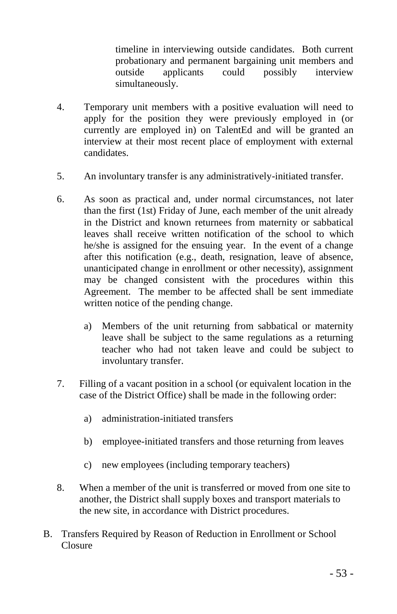timeline in interviewing outside candidates. Both current probationary and permanent bargaining unit members and outside applicants could possibly interview simultaneously.

- 4. Temporary unit members with a positive evaluation will need to apply for the position they were previously employed in (or currently are employed in) on TalentEd and will be granted an interview at their most recent place of employment with external candidates.
- 5. An involuntary transfer is any administratively-initiated transfer.
- 6. As soon as practical and, under normal circumstances, not later than the first (1st) Friday of June, each member of the unit already in the District and known returnees from maternity or sabbatical leaves shall receive written notification of the school to which he/she is assigned for the ensuing year. In the event of a change after this notification (e.g., death, resignation, leave of absence, unanticipated change in enrollment or other necessity), assignment may be changed consistent with the procedures within this Agreement. The member to be affected shall be sent immediate written notice of the pending change.
	- a) Members of the unit returning from sabbatical or maternity leave shall be subject to the same regulations as a returning teacher who had not taken leave and could be subject to involuntary transfer.
- 7. Filling of a vacant position in a school (or equivalent location in the case of the District Office) shall be made in the following order:
	- a) administration-initiated transfers
	- b) employee-initiated transfers and those returning from leaves
	- c) new employees (including temporary teachers)
- 8. When a member of the unit is transferred or moved from one site to another, the District shall supply boxes and transport materials to the new site, in accordance with District procedures.
- B. Transfers Required by Reason of Reduction in Enrollment or School Closure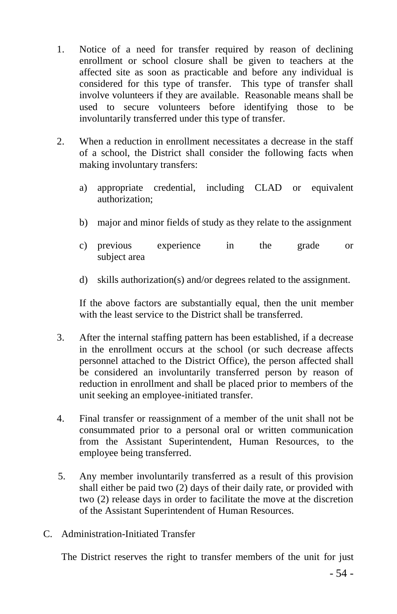- 1. Notice of a need for transfer required by reason of declining enrollment or school closure shall be given to teachers at the affected site as soon as practicable and before any individual is considered for this type of transfer. This type of transfer shall involve volunteers if they are available. Reasonable means shall be used to secure volunteers before identifying those to be involuntarily transferred under this type of transfer.
- 2. When a reduction in enrollment necessitates a decrease in the staff of a school, the District shall consider the following facts when making involuntary transfers:
	- a) appropriate credential, including CLAD or equivalent authorization;
	- b) major and minor fields of study as they relate to the assignment
	- c) previous experience in the grade or subject area
	- d) skills authorization(s) and/or degrees related to the assignment.

If the above factors are substantially equal, then the unit member with the least service to the District shall be transferred.

- 3. After the internal staffing pattern has been established, if a decrease in the enrollment occurs at the school (or such decrease affects personnel attached to the District Office), the person affected shall be considered an involuntarily transferred person by reason of reduction in enrollment and shall be placed prior to members of the unit seeking an employee-initiated transfer.
- 4. Final transfer or reassignment of a member of the unit shall not be consummated prior to a personal oral or written communication from the Assistant Superintendent, Human Resources, to the employee being transferred.
- 5. Any member involuntarily transferred as a result of this provision shall either be paid two (2) days of their daily rate, or provided with two (2) release days in order to facilitate the move at the discretion of the Assistant Superintendent of Human Resources.
- C. Administration-Initiated Transfer

The District reserves the right to transfer members of the unit for just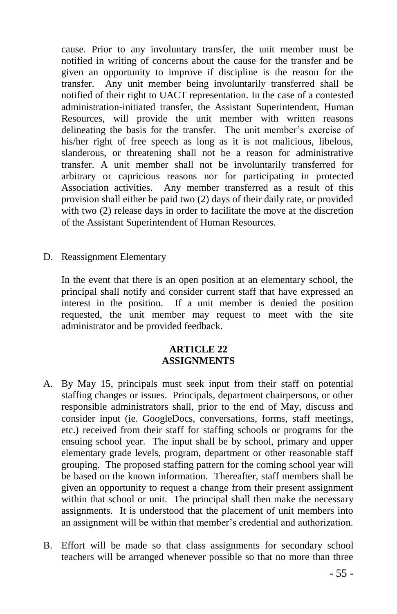cause. Prior to any involuntary transfer, the unit member must be notified in writing of concerns about the cause for the transfer and be given an opportunity to improve if discipline is the reason for the transfer. Any unit member being involuntarily transferred shall be notified of their right to UACT representation. In the case of a contested administration-initiated transfer, the Assistant Superintendent, Human Resources, will provide the unit member with written reasons delineating the basis for the transfer. The unit member's exercise of his/her right of free speech as long as it is not malicious, libelous, slanderous, or threatening shall not be a reason for administrative transfer. A unit member shall not be involuntarily transferred for arbitrary or capricious reasons nor for participating in protected Association activities. Any member transferred as a result of this provision shall either be paid two (2) days of their daily rate, or provided with two  $(2)$  release days in order to facilitate the move at the discretion of the Assistant Superintendent of Human Resources.

D. Reassignment Elementary

In the event that there is an open position at an elementary school, the principal shall notify and consider current staff that have expressed an interest in the position. If a unit member is denied the position requested, the unit member may request to meet with the site administrator and be provided feedback.

#### **ARTICLE 22 ASSIGNMENTS**

- A. By May 15, principals must seek input from their staff on potential staffing changes or issues. Principals, department chairpersons, or other responsible administrators shall, prior to the end of May, discuss and consider input (ie. GoogleDocs, conversations, forms, staff meetings, etc.) received from their staff for staffing schools or programs for the ensuing school year. The input shall be by school, primary and upper elementary grade levels, program, department or other reasonable staff grouping. The proposed staffing pattern for the coming school year will be based on the known information. Thereafter, staff members shall be given an opportunity to request a change from their present assignment within that school or unit. The principal shall then make the necessary assignments. It is understood that the placement of unit members into an assignment will be within that member's credential and authorization.
- B. Effort will be made so that class assignments for secondary school teachers will be arranged whenever possible so that no more than three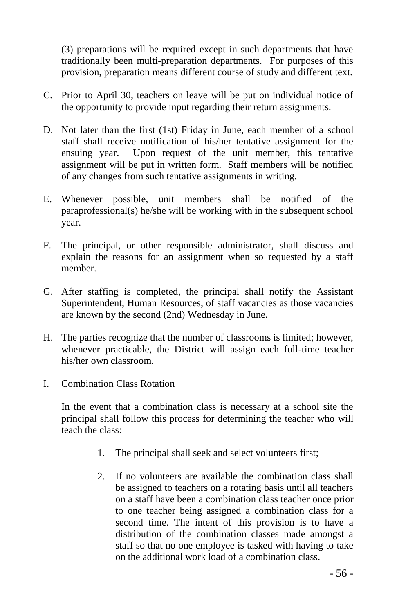(3) preparations will be required except in such departments that have traditionally been multi-preparation departments. For purposes of this provision, preparation means different course of study and different text.

- C. Prior to April 30, teachers on leave will be put on individual notice of the opportunity to provide input regarding their return assignments.
- D. Not later than the first (1st) Friday in June, each member of a school staff shall receive notification of his/her tentative assignment for the ensuing year. Upon request of the unit member, this tentative assignment will be put in written form. Staff members will be notified of any changes from such tentative assignments in writing.
- E. Whenever possible, unit members shall be notified of the paraprofessional(s) he/she will be working with in the subsequent school year.
- F. The principal, or other responsible administrator, shall discuss and explain the reasons for an assignment when so requested by a staff member.
- G. After staffing is completed, the principal shall notify the Assistant Superintendent, Human Resources, of staff vacancies as those vacancies are known by the second (2nd) Wednesday in June.
- H. The parties recognize that the number of classrooms is limited; however, whenever practicable, the District will assign each full-time teacher his/her own classroom.
- I. Combination Class Rotation

In the event that a combination class is necessary at a school site the principal shall follow this process for determining the teacher who will teach the class:

- 1. The principal shall seek and select volunteers first;
- 2. If no volunteers are available the combination class shall be assigned to teachers on a rotating basis until all teachers on a staff have been a combination class teacher once prior to one teacher being assigned a combination class for a second time. The intent of this provision is to have a distribution of the combination classes made amongst a staff so that no one employee is tasked with having to take on the additional work load of a combination class.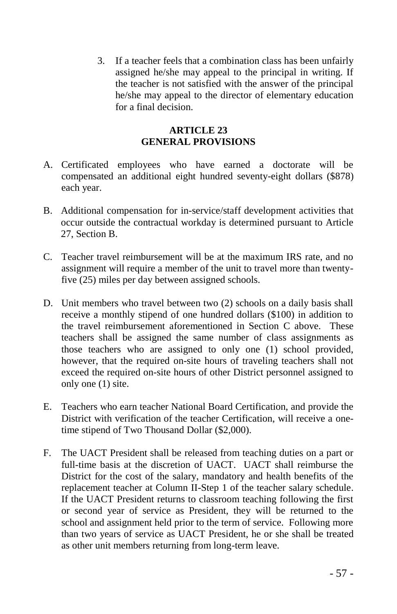3. If a teacher feels that a combination class has been unfairly assigned he/she may appeal to the principal in writing. If the teacher is not satisfied with the answer of the principal he/she may appeal to the director of elementary education for a final decision.

# **ARTICLE 23 GENERAL PROVISIONS**

- A. Certificated employees who have earned a doctorate will be compensated an additional eight hundred seventy-eight dollars (\$878) each year.
- B. Additional compensation for in-service/staff development activities that occur outside the contractual workday is determined pursuant to Article 27, Section B.
- C. Teacher travel reimbursement will be at the maximum IRS rate, and no assignment will require a member of the unit to travel more than twentyfive (25) miles per day between assigned schools.
- D. Unit members who travel between two (2) schools on a daily basis shall receive a monthly stipend of one hundred dollars (\$100) in addition to the travel reimbursement aforementioned in Section C above. These teachers shall be assigned the same number of class assignments as those teachers who are assigned to only one (1) school provided, however, that the required on-site hours of traveling teachers shall not exceed the required on-site hours of other District personnel assigned to only one (1) site.
- E. Teachers who earn teacher National Board Certification, and provide the District with verification of the teacher Certification, will receive a onetime stipend of Two Thousand Dollar (\$2,000).
- F. The UACT President shall be released from teaching duties on a part or full-time basis at the discretion of UACT. UACT shall reimburse the District for the cost of the salary, mandatory and health benefits of the replacement teacher at Column II-Step 1 of the teacher salary schedule. If the UACT President returns to classroom teaching following the first or second year of service as President, they will be returned to the school and assignment held prior to the term of service. Following more than two years of service as UACT President, he or she shall be treated as other unit members returning from long-term leave.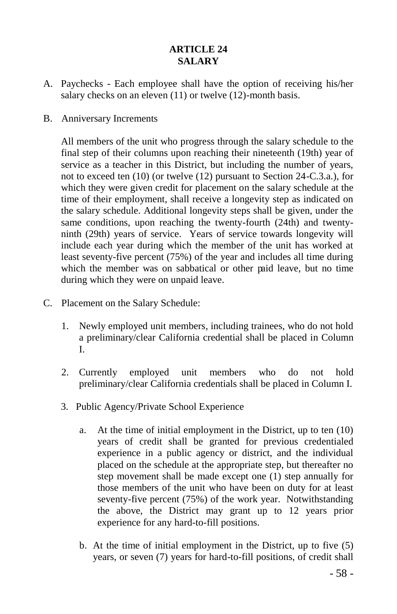# **ARTICLE 24 SALARY**

- A. Paychecks Each employee shall have the option of receiving his/her salary checks on an eleven (11) or twelve (12)-month basis.
- B. Anniversary Increments

All members of the unit who progress through the salary schedule to the final step of their columns upon reaching their nineteenth (19th) year of service as a teacher in this District, but including the number of years, not to exceed ten (10) (or twelve (12) pursuant to Section 24-C.3.a.), for which they were given credit for placement on the salary schedule at the time of their employment, shall receive a longevity step as indicated on the salary schedule. Additional longevity steps shall be given, under the same conditions, upon reaching the twenty-fourth (24th) and twentyninth (29th) years of service. Years of service towards longevity will include each year during which the member of the unit has worked at least seventy-five percent (75%) of the year and includes all time during which the member was on sabbatical or other paid leave, but no time during which they were on unpaid leave.

- C. Placement on the Salary Schedule:
	- 1. Newly employed unit members, including trainees, who do not hold a preliminary/clear California credential shall be placed in Column I.
	- 2. Currently employed unit members who do not hold preliminary/clear California credentials shall be placed in Column I.
	- 3. Public Agency/Private School Experience
		- a. At the time of initial employment in the District, up to ten (10) years of credit shall be granted for previous credentialed experience in a public agency or district, and the individual placed on the schedule at the appropriate step, but thereafter no step movement shall be made except one (1) step annually for those members of the unit who have been on duty for at least seventy-five percent (75%) of the work year. Notwithstanding the above, the District may grant up to 12 years prior experience for any hard-to-fill positions.
		- b. At the time of initial employment in the District, up to five (5) years, or seven (7) years for hard-to-fill positions, of credit shall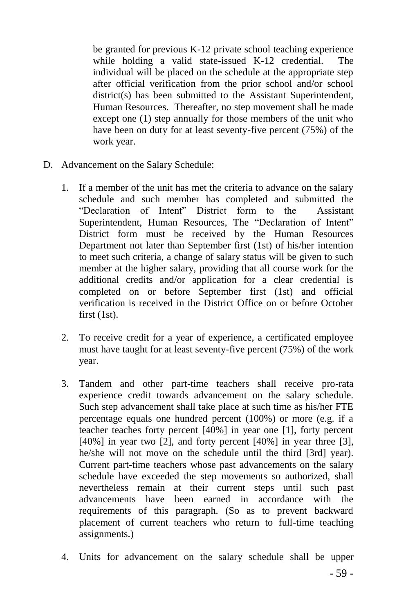be granted for previous K-12 private school teaching experience while holding a valid state-issued K-12 credential. The individual will be placed on the schedule at the appropriate step after official verification from the prior school and/or school district(s) has been submitted to the Assistant Superintendent. Human Resources. Thereafter, no step movement shall be made except one (1) step annually for those members of the unit who have been on duty for at least seventy-five percent (75%) of the work year.

- D. Advancement on the Salary Schedule:
	- 1. If a member of the unit has met the criteria to advance on the salary schedule and such member has completed and submitted the "Declaration of Intent" District form to the Assistant Superintendent, Human Resources, The "Declaration of Intent" District form must be received by the Human Resources Department not later than September first (1st) of his/her intention to meet such criteria, a change of salary status will be given to such member at the higher salary, providing that all course work for the additional credits and/or application for a clear credential is completed on or before September first (1st) and official verification is received in the District Office on or before October first (1st).
	- 2. To receive credit for a year of experience, a certificated employee must have taught for at least seventy-five percent (75%) of the work year.
	- 3. Tandem and other part-time teachers shall receive pro-rata experience credit towards advancement on the salary schedule. Such step advancement shall take place at such time as his/her FTE percentage equals one hundred percent (100%) or more (e.g. if a teacher teaches forty percent [40%] in year one [1], forty percent [40%] in year two [2], and forty percent [40%] in year three [3], he/she will not move on the schedule until the third [3rd] year). Current part-time teachers whose past advancements on the salary schedule have exceeded the step movements so authorized, shall nevertheless remain at their current steps until such past advancements have been earned in accordance with the requirements of this paragraph. (So as to prevent backward placement of current teachers who return to full-time teaching assignments.)
	- 4. Units for advancement on the salary schedule shall be upper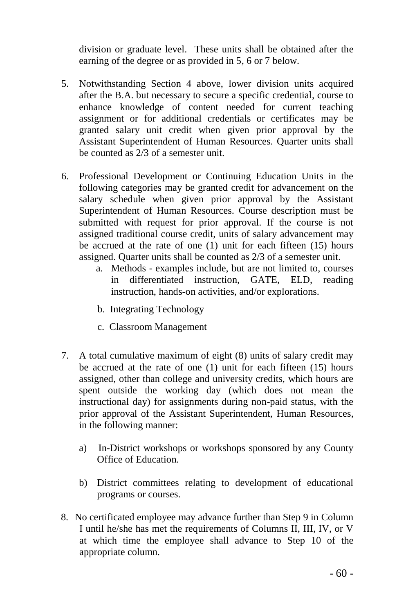division or graduate level. These units shall be obtained after the earning of the degree or as provided in 5, 6 or 7 below.

- 5. Notwithstanding Section 4 above, lower division units acquired after the B.A. but necessary to secure a specific credential, course to enhance knowledge of content needed for current teaching assignment or for additional credentials or certificates may be granted salary unit credit when given prior approval by the Assistant Superintendent of Human Resources. Quarter units shall be counted as 2/3 of a semester unit.
- 6. Professional Development or Continuing Education Units in the following categories may be granted credit for advancement on the salary schedule when given prior approval by the Assistant Superintendent of Human Resources. Course description must be submitted with request for prior approval. If the course is not assigned traditional course credit, units of salary advancement may be accrued at the rate of one (1) unit for each fifteen (15) hours assigned. Quarter units shall be counted as 2/3 of a semester unit.
	- a. Methods examples include, but are not limited to, courses in differentiated instruction, GATE, ELD, reading instruction, hands-on activities, and/or explorations.
	- b. Integrating Technology
	- c. Classroom Management
- 7. A total cumulative maximum of eight (8) units of salary credit may be accrued at the rate of one (1) unit for each fifteen (15) hours assigned, other than college and university credits, which hours are spent outside the working day (which does not mean the instructional day) for assignments during non-paid status, with the prior approval of the Assistant Superintendent, Human Resources, in the following manner:
	- a) In-District workshops or workshops sponsored by any County Office of Education.
	- b) District committees relating to development of educational programs or courses.
- 8. No certificated employee may advance further than Step 9 in Column I until he/she has met the requirements of Columns II, III, IV, or V at which time the employee shall advance to Step 10 of the appropriate column.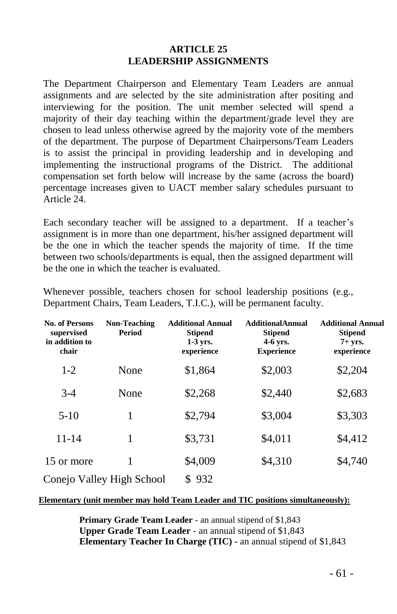#### **ARTICLE 25 LEADERSHIP ASSIGNMENTS**

The Department Chairperson and Elementary Team Leaders are annual assignments and are selected by the site administration after positing and interviewing for the position. The unit member selected will spend a majority of their day teaching within the department/grade level they are chosen to lead unless otherwise agreed by the majority vote of the members of the department. The purpose of Department Chairpersons/Team Leaders is to assist the principal in providing leadership and in developing and implementing the instructional programs of the District. The additional compensation set forth below will increase by the same (across the board) percentage increases given to UACT member salary schedules pursuant to Article 24.

Each secondary teacher will be assigned to a department. If a teacher's assignment is in more than one department, his/her assigned department will be the one in which the teacher spends the majority of time. If the time between two schools/departments is equal, then the assigned department will be the one in which the teacher is evaluated.

| <b>No. of Persons</b><br>supervised<br>in addition to<br>chair | <b>Non-Teaching</b><br>Period | <b>Additional Annual</b><br><b>Stipend</b><br>$1-3$ vrs.<br>experience | <b>Additional Annual</b><br><b>Stipend</b><br>4-6 yrs.<br><b>Experience</b> | <b>Additional Annual</b><br><b>Stipend</b><br>$7+$ vrs.<br>experience |
|----------------------------------------------------------------|-------------------------------|------------------------------------------------------------------------|-----------------------------------------------------------------------------|-----------------------------------------------------------------------|
| $1-2$                                                          | None                          | \$1,864                                                                | \$2,003                                                                     | \$2,204                                                               |
| $3-4$                                                          | None                          | \$2,268                                                                | \$2,440                                                                     | \$2,683                                                               |
| $5-10$                                                         | 1                             | \$2,794                                                                | \$3,004                                                                     | \$3,303                                                               |
| 11-14                                                          | 1                             | \$3,731                                                                | \$4,011                                                                     | \$4,412                                                               |
| 15 or more                                                     | 1                             | \$4,009                                                                | \$4,310                                                                     | \$4,740                                                               |
|                                                                | Conejo Valley High School     | \$932                                                                  |                                                                             |                                                                       |

Whenever possible, teachers chosen for school leadership positions (e.g., Department Chairs, Team Leaders, T.I.C.), will be permanent faculty.

#### **Elementary (unit member may hold Team Leader and TIC positions simultaneously):**

**Primary Grade Team Leader** - an annual stipend of \$1,843 **Upper Grade Team Leader** - an annual stipend of \$1,843 **Elementary Teacher In Charge (TIC) -** an annual stipend of \$1,843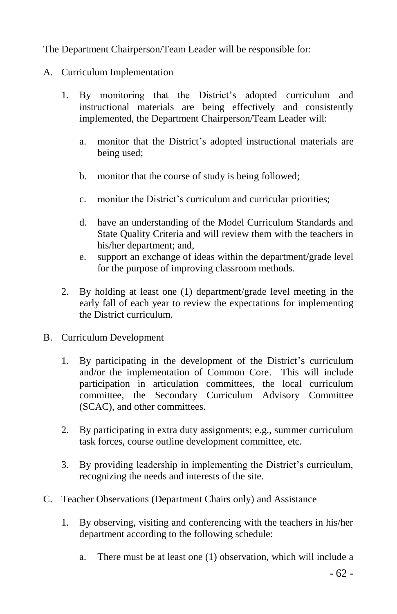The Department Chairperson/Team Leader will be responsible for:

- A. Curriculum Implementation
	- 1. By monitoring that the District's adopted curriculum and instructional materials are being effectively and consistently implemented, the Department Chairperson/Team Leader will:
		- a. monitor that the District's adopted instructional materials are being used;
		- b. monitor that the course of study is being followed;
		- c. monitor the District's curriculum and curricular priorities;
		- d. have an understanding of the Model Curriculum Standards and State Quality Criteria and will review them with the teachers in his/her department; and,
		- e. support an exchange of ideas within the department/grade level for the purpose of improving classroom methods.
	- 2. By holding at least one (1) department/grade level meeting in the early fall of each year to review the expectations for implementing the District curriculum.
- B. Curriculum Development
	- 1. By participating in the development of the District's curriculum and/or the implementation of Common Core. This will include participation in articulation committees, the local curriculum committee, the Secondary Curriculum Advisory Committee (SCAC), and other committees.
	- 2. By participating in extra duty assignments; e.g., summer curriculum task forces, course outline development committee, etc.
	- 3. By providing leadership in implementing the District's curriculum, recognizing the needs and interests of the site.
- C. Teacher Observations (Department Chairs only) and Assistance
	- 1. By observing, visiting and conferencing with the teachers in his/her department according to the following schedule:
		- a. There must be at least one (1) observation, which will include a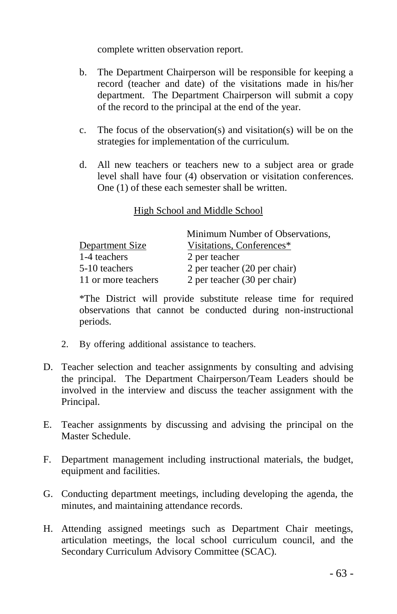complete written observation report.

- b. The Department Chairperson will be responsible for keeping a record (teacher and date) of the visitations made in his/her department. The Department Chairperson will submit a copy of the record to the principal at the end of the year.
- c. The focus of the observation(s) and visitation(s) will be on the strategies for implementation of the curriculum.
- d. All new teachers or teachers new to a subject area or grade level shall have four (4) observation or visitation conferences. One (1) of these each semester shall be written.

# High School and Middle School

|                     | Minimum Number of Observations, |
|---------------------|---------------------------------|
| Department Size     | Visitations, Conferences*       |
| 1-4 teachers        | 2 per teacher                   |
| 5-10 teachers       | 2 per teacher (20 per chair)    |
| 11 or more teachers | 2 per teacher (30 per chair)    |

\*The District will provide substitute release time for required observations that cannot be conducted during non-instructional periods.

- 2. By offering additional assistance to teachers.
- D. Teacher selection and teacher assignments by consulting and advising the principal. The Department Chairperson/Team Leaders should be involved in the interview and discuss the teacher assignment with the Principal.
- E. Teacher assignments by discussing and advising the principal on the Master Schedule.
- F. Department management including instructional materials, the budget, equipment and facilities.
- G. Conducting department meetings, including developing the agenda, the minutes, and maintaining attendance records.
- H. Attending assigned meetings such as Department Chair meetings, articulation meetings, the local school curriculum council, and the Secondary Curriculum Advisory Committee (SCAC).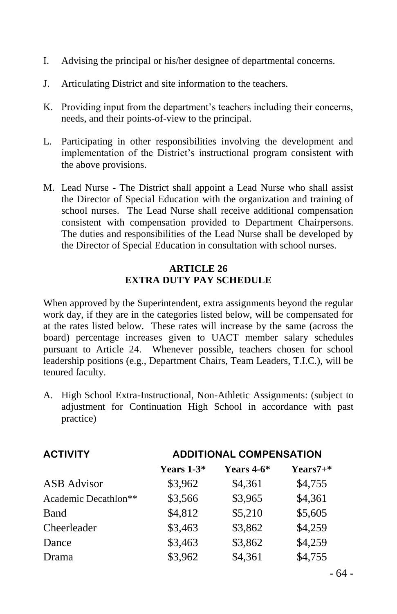- I. Advising the principal or his/her designee of departmental concerns.
- J. Articulating District and site information to the teachers.
- K. Providing input from the department's teachers including their concerns, needs, and their points-of-view to the principal.
- L. Participating in other responsibilities involving the development and implementation of the District's instructional program consistent with the above provisions.
- M. Lead Nurse The District shall appoint a Lead Nurse who shall assist the Director of Special Education with the organization and training of school nurses. The Lead Nurse shall receive additional compensation consistent with compensation provided to Department Chairpersons. The duties and responsibilities of the Lead Nurse shall be developed by the Director of Special Education in consultation with school nurses.

### **ARTICLE 26 EXTRA DUTY PAY SCHEDULE**

When approved by the Superintendent, extra assignments beyond the regular work day, if they are in the categories listed below, will be compensated for at the rates listed below. These rates will increase by the same (across the board) percentage increases given to UACT member salary schedules pursuant to Article 24. Whenever possible, teachers chosen for school leadership positions (e.g., Department Chairs, Team Leaders, T.I.C.), will be tenured faculty.

A. High School Extra-Instructional, Non-Athletic Assignments: (subject to adjustment for Continuation High School in accordance with past practice)

| <b>ACTIVITY</b>      | <b>ADDITIONAL COMPENSATION</b> |                   |              |  |
|----------------------|--------------------------------|-------------------|--------------|--|
|                      | Years $1-3*$                   | <b>Years 4-6*</b> | $Years7 + *$ |  |
| ASB Advisor          | \$3,962                        | \$4,361           | \$4,755      |  |
| Academic Decathlon** | \$3,566                        | \$3,965           | \$4,361      |  |
| Band                 | \$4,812                        | \$5,210           | \$5,605      |  |
| Cheerleader          | \$3,463                        | \$3,862           | \$4,259      |  |
| Dance                | \$3,463                        | \$3,862           | \$4,259      |  |
| Drama                | \$3,962                        | \$4,361           | \$4,755      |  |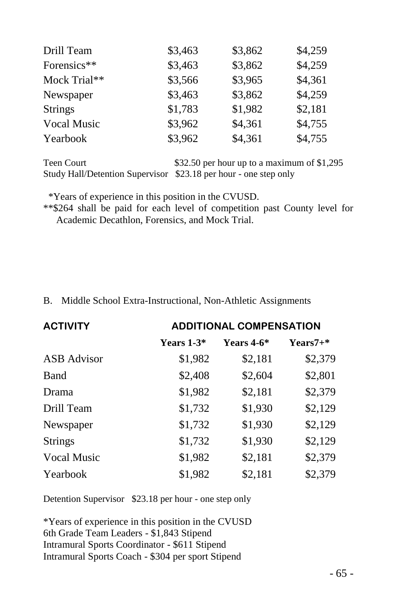| Drill Team     | \$3,463 | \$3,862 | \$4,259 |
|----------------|---------|---------|---------|
| Forensics**    | \$3,463 | \$3,862 | \$4,259 |
| Mock Trial**   | \$3,566 | \$3,965 | \$4,361 |
| Newspaper      | \$3,463 | \$3,862 | \$4,259 |
| <b>Strings</b> | \$1,783 | \$1,982 | \$2,181 |
| Vocal Music    | \$3,962 | \$4,361 | \$4,755 |
| Yearbook       | \$3,962 | \$4,361 | \$4,755 |

Teen Court \$32.50 per hour up to a maximum of \$1,295 Study Hall/Detention Supervisor \$23.18 per hour - one step only

\*Years of experience in this position in the CVUSD.

\*\*\$264 shall be paid for each level of competition past County level for Academic Decathlon, Forensics, and Mock Trial.

B. Middle School Extra-Instructional, Non-Athletic Assignments

| <b>ACTIVITY</b>    | <b>ADDITIONAL COMPENSATION</b> |              |            |  |
|--------------------|--------------------------------|--------------|------------|--|
|                    | Years $1-3*$                   | Years $4-6*$ | $Years7+*$ |  |
| <b>ASB</b> Advisor | \$1,982                        | \$2,181      | \$2,379    |  |
| Band               | \$2,408                        | \$2,604      | \$2,801    |  |
| Drama              | \$1,982                        | \$2,181      | \$2,379    |  |
| Drill Team         | \$1,732                        | \$1,930      | \$2,129    |  |
| Newspaper          | \$1,732                        | \$1,930      | \$2,129    |  |
| <b>Strings</b>     | \$1,732                        | \$1,930      | \$2,129    |  |
| Vocal Music        | \$1,982                        | \$2,181      | \$2,379    |  |
| Yearbook           | \$1,982                        | \$2,181      | \$2,379    |  |

Detention Supervisor \$23.18 per hour - one step only

\*Years of experience in this position in the CVUSD 6th Grade Team Leaders - \$1,843 Stipend Intramural Sports Coordinator - \$611 Stipend Intramural Sports Coach - \$304 per sport Stipend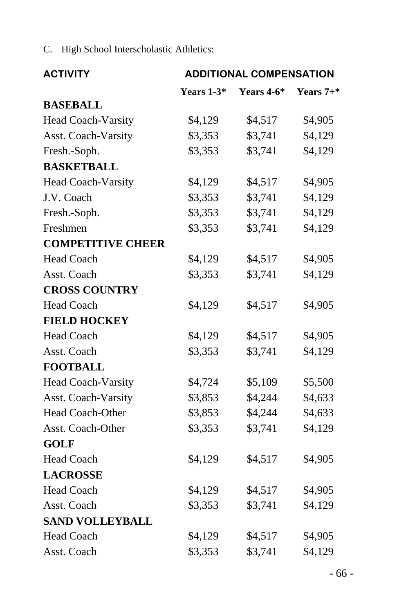C. High School Interscholastic Athletics:

| <b>ACTIVITY</b>           | <b>ADDITIONAL COMPENSATION</b> |            |              |
|---------------------------|--------------------------------|------------|--------------|
|                           | Years 1-3*                     | Years 4-6* | Years $7+$ * |
| <b>BASEBALL</b>           |                                |            |              |
| Head Coach-Varsity        | \$4,129                        | \$4,517    | \$4,905      |
| Asst. Coach-Varsity       | \$3,353                        | \$3,741    | \$4,129      |
| Fresh.-Soph.              | \$3,353                        | \$3,741    | \$4,129      |
| <b>BASKETBALL</b>         |                                |            |              |
| <b>Head Coach-Varsity</b> | \$4,129                        | \$4,517    | \$4,905      |
| J.V. Coach                | \$3,353                        | \$3,741    | \$4,129      |
| Fresh.-Soph.              | \$3,353                        | \$3,741    | \$4,129      |
| Freshmen                  | \$3,353                        | \$3,741    | \$4,129      |
| <b>COMPETITIVE CHEER</b>  |                                |            |              |
| <b>Head Coach</b>         | \$4,129                        | \$4,517    | \$4,905      |
| Asst. Coach               | \$3,353                        | \$3,741    | \$4,129      |
| <b>CROSS COUNTRY</b>      |                                |            |              |
| <b>Head Coach</b>         | \$4,129                        | \$4,517    | \$4,905      |
| <b>FIELD HOCKEY</b>       |                                |            |              |
| <b>Head Coach</b>         | \$4,129                        | \$4,517    | \$4,905      |
| Asst. Coach               | \$3,353                        | \$3,741    | \$4,129      |
| <b>FOOTBALL</b>           |                                |            |              |
| Head Coach-Varsity        | \$4,724                        | \$5,109    | \$5,500      |
| Asst. Coach-Varsity       | \$3,853                        | \$4,244    | \$4,633      |
| <b>Head Coach-Other</b>   | \$3,853                        | \$4,244    | \$4,633      |
| Asst. Coach-Other         | \$3,353                        | \$3,741    | \$4,129      |
| <b>GOLF</b>               |                                |            |              |
| <b>Head Coach</b>         | \$4,129                        | \$4,517    | \$4,905      |
| <b>LACROSSE</b>           |                                |            |              |
| <b>Head Coach</b>         | \$4,129                        | \$4,517    | \$4,905      |
| Asst. Coach               | \$3,353                        | \$3,741    | \$4,129      |
| <b>SAND VOLLEYBALL</b>    |                                |            |              |
| <b>Head Coach</b>         | \$4,129                        | \$4,517    | \$4,905      |
| Asst. Coach               | \$3,353                        | \$3,741    | \$4,129      |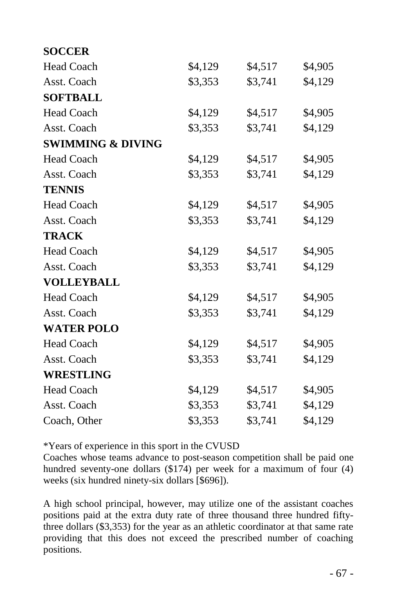| <b>SOCCER</b>                |         |         |         |
|------------------------------|---------|---------|---------|
| <b>Head Coach</b>            | \$4,129 | \$4,517 | \$4,905 |
| Asst. Coach                  | \$3,353 | \$3,741 | \$4,129 |
| <b>SOFTBALL</b>              |         |         |         |
| <b>Head Coach</b>            | \$4,129 | \$4,517 | \$4,905 |
| Asst. Coach                  | \$3,353 | \$3,741 | \$4,129 |
| <b>SWIMMING &amp; DIVING</b> |         |         |         |
| <b>Head Coach</b>            | \$4,129 | \$4,517 | \$4,905 |
| Asst. Coach                  | \$3,353 | \$3,741 | \$4,129 |
| <b>TENNIS</b>                |         |         |         |
| <b>Head Coach</b>            | \$4,129 | \$4,517 | \$4,905 |
| Asst. Coach                  | \$3,353 | \$3,741 | \$4,129 |
| <b>TRACK</b>                 |         |         |         |
| <b>Head Coach</b>            | \$4,129 | \$4,517 | \$4,905 |
| Asst. Coach                  | \$3,353 | \$3,741 | \$4,129 |
| <b>VOLLEYBALL</b>            |         |         |         |
| <b>Head Coach</b>            | \$4,129 | \$4,517 | \$4,905 |
| Asst. Coach                  | \$3,353 | \$3,741 | \$4,129 |
| <b>WATER POLO</b>            |         |         |         |
| <b>Head Coach</b>            | \$4,129 | \$4,517 | \$4,905 |
| Asst. Coach                  | \$3,353 | \$3,741 | \$4,129 |
| <b>WRESTLING</b>             |         |         |         |
| <b>Head Coach</b>            | \$4,129 | \$4,517 | \$4,905 |
| Asst. Coach                  | \$3,353 | \$3,741 | \$4,129 |
| Coach, Other                 | \$3,353 | \$3,741 | \$4,129 |

\*Years of experience in this sport in the CVUSD

Coaches whose teams advance to post-season competition shall be paid one hundred seventy-one dollars (\$174) per week for a maximum of four (4) weeks (six hundred ninety-six dollars [\$696]).

A high school principal, however, may utilize one of the assistant coaches positions paid at the extra duty rate of three thousand three hundred fiftythree dollars (\$3,353) for the year as an athletic coordinator at that same rate providing that this does not exceed the prescribed number of coaching positions.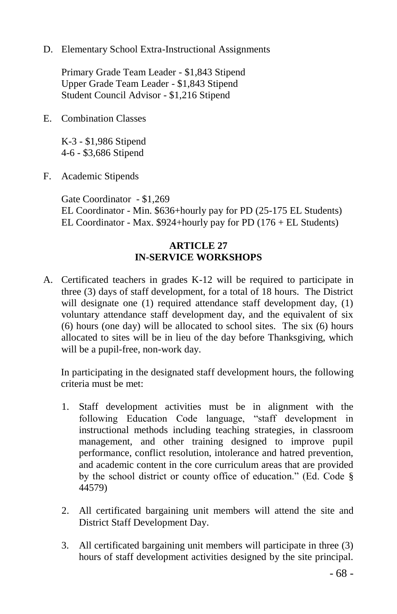D. Elementary School Extra-Instructional Assignments

Primary Grade Team Leader - \$1,843 Stipend Upper Grade Team Leader - \$1,843 Stipend Student Council Advisor - \$1,216 Stipend

E. Combination Classes

K-3 - \$1,986 Stipend 4-6 - \$3,686 Stipend

F. Academic Stipends

Gate Coordinator - \$1,269 EL Coordinator - Min. \$636+hourly pay for PD (25-175 EL Students) EL Coordinator - Max. \$924+hourly pay for PD (176 + EL Students)

### **ARTICLE 27 IN-SERVICE WORKSHOPS**

A. Certificated teachers in grades K-12 will be required to participate in three (3) days of staff development, for a total of 18 hours. The District will designate one (1) required attendance staff development day, (1) voluntary attendance staff development day, and the equivalent of six (6) hours (one day) will be allocated to school sites. The six (6) hours allocated to sites will be in lieu of the day before Thanksgiving, which will be a pupil-free, non-work day.

In participating in the designated staff development hours, the following criteria must be met:

- 1. Staff development activities must be in alignment with the following Education Code language, "staff development in instructional methods including teaching strategies, in classroom management, and other training designed to improve pupil performance, conflict resolution, intolerance and hatred prevention, and academic content in the core curriculum areas that are provided by the school district or county office of education." (Ed. Code § 44579)
- 2. All certificated bargaining unit members will attend the site and District Staff Development Day.
- 3. All certificated bargaining unit members will participate in three (3) hours of staff development activities designed by the site principal.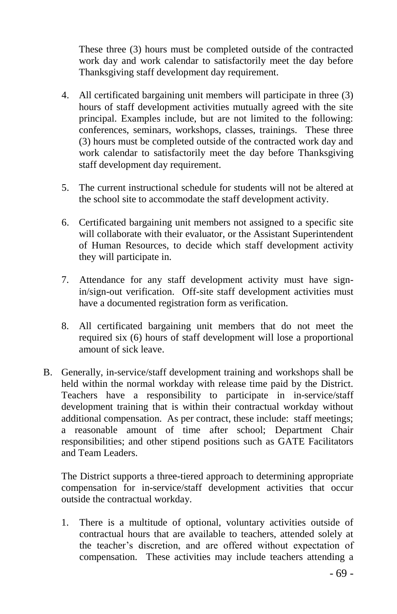These three (3) hours must be completed outside of the contracted work day and work calendar to satisfactorily meet the day before Thanksgiving staff development day requirement.

- 4. All certificated bargaining unit members will participate in three (3) hours of staff development activities mutually agreed with the site principal. Examples include, but are not limited to the following: conferences, seminars, workshops, classes, trainings. These three (3) hours must be completed outside of the contracted work day and work calendar to satisfactorily meet the day before Thanksgiving staff development day requirement.
- 5. The current instructional schedule for students will not be altered at the school site to accommodate the staff development activity.
- 6. Certificated bargaining unit members not assigned to a specific site will collaborate with their evaluator, or the Assistant Superintendent of Human Resources, to decide which staff development activity they will participate in.
- 7. Attendance for any staff development activity must have signin/sign-out verification. Off-site staff development activities must have a documented registration form as verification.
- 8. All certificated bargaining unit members that do not meet the required six (6) hours of staff development will lose a proportional amount of sick leave.
- B. Generally, in-service/staff development training and workshops shall be held within the normal workday with release time paid by the District. Teachers have a responsibility to participate in in-service/staff development training that is within their contractual workday without additional compensation. As per contract, these include: staff meetings; a reasonable amount of time after school; Department Chair responsibilities; and other stipend positions such as GATE Facilitators and Team Leaders.

The District supports a three-tiered approach to determining appropriate compensation for in-service/staff development activities that occur outside the contractual workday.

1. There is a multitude of optional, voluntary activities outside of contractual hours that are available to teachers, attended solely at the teacher's discretion, and are offered without expectation of compensation. These activities may include teachers attending a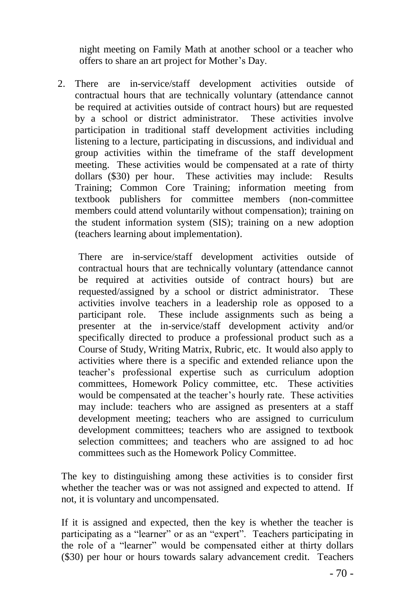night meeting on Family Math at another school or a teacher who offers to share an art project for Mother's Day.

2. There are in-service/staff development activities outside of contractual hours that are technically voluntary (attendance cannot be required at activities outside of contract hours) but are requested by a school or district administrator. These activities involve participation in traditional staff development activities including listening to a lecture, participating in discussions, and individual and group activities within the timeframe of the staff development meeting. These activities would be compensated at a rate of thirty dollars (\$30) per hour. These activities may include: Results Training; Common Core Training; information meeting from textbook publishers for committee members (non-committee members could attend voluntarily without compensation); training on the student information system (SIS); training on a new adoption (teachers learning about implementation).

There are in-service/staff development activities outside of contractual hours that are technically voluntary (attendance cannot be required at activities outside of contract hours) but are requested/assigned by a school or district administrator. These activities involve teachers in a leadership role as opposed to a participant role. These include assignments such as being a presenter at the in-service/staff development activity and/or specifically directed to produce a professional product such as a Course of Study, Writing Matrix, Rubric, etc. It would also apply to activities where there is a specific and extended reliance upon the teacher's professional expertise such as curriculum adoption committees, Homework Policy committee, etc. These activities would be compensated at the teacher's hourly rate. These activities may include: teachers who are assigned as presenters at a staff development meeting; teachers who are assigned to curriculum development committees; teachers who are assigned to textbook selection committees; and teachers who are assigned to ad hoc committees such as the Homework Policy Committee.

The key to distinguishing among these activities is to consider first whether the teacher was or was not assigned and expected to attend. If not, it is voluntary and uncompensated.

If it is assigned and expected, then the key is whether the teacher is participating as a "learner" or as an "expert". Teachers participating in the role of a "learner" would be compensated either at thirty dollars (\$30) per hour or hours towards salary advancement credit. Teachers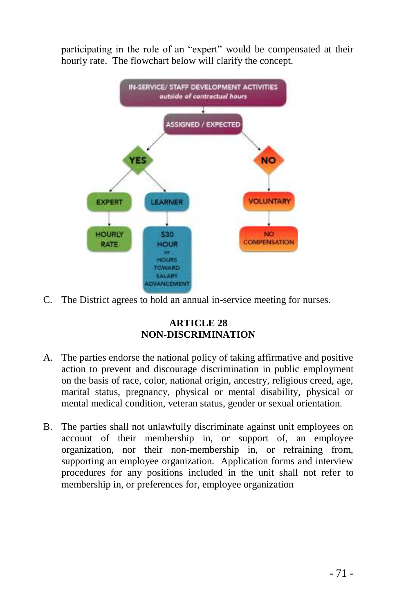participating in the role of an "expert" would be compensated at their hourly rate. The flowchart below will clarify the concept.



C. The District agrees to hold an annual in-service meeting for nurses.

# **ARTICLE 28 NON-DISCRIMINATION**

- A. The parties endorse the national policy of taking affirmative and positive action to prevent and discourage discrimination in public employment on the basis of race, color, national origin, ancestry, religious creed, age, marital status, pregnancy, physical or mental disability, physical or mental medical condition, veteran status, gender or sexual orientation.
- B. The parties shall not unlawfully discriminate against unit employees on account of their membership in, or support of, an employee organization, nor their non-membership in, or refraining from, supporting an employee organization. Application forms and interview procedures for any positions included in the unit shall not refer to membership in, or preferences for, employee organization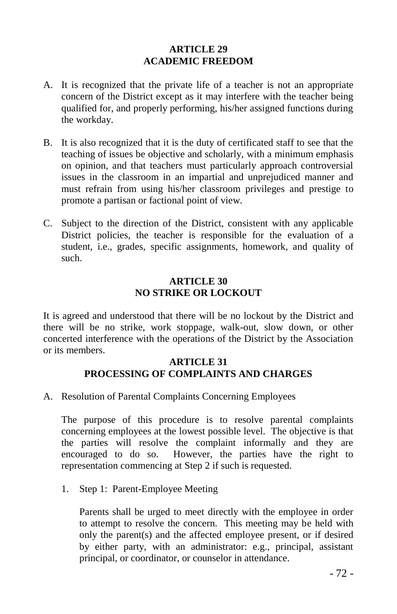### **ARTICLE 29 ACADEMIC FREEDOM**

- A. It is recognized that the private life of a teacher is not an appropriate concern of the District except as it may interfere with the teacher being qualified for, and properly performing, his/her assigned functions during the workday.
- B. It is also recognized that it is the duty of certificated staff to see that the teaching of issues be objective and scholarly, with a minimum emphasis on opinion, and that teachers must particularly approach controversial issues in the classroom in an impartial and unprejudiced manner and must refrain from using his/her classroom privileges and prestige to promote a partisan or factional point of view.
- C. Subject to the direction of the District, consistent with any applicable District policies, the teacher is responsible for the evaluation of a student, i.e., grades, specific assignments, homework, and quality of such.

#### **ARTICLE 30 NO STRIKE OR LOCKOUT**

It is agreed and understood that there will be no lockout by the District and there will be no strike, work stoppage, walk-out, slow down, or other concerted interference with the operations of the District by the Association or its members.

#### **ARTICLE 31 PROCESSING OF COMPLAINTS AND CHARGES**

A. Resolution of Parental Complaints Concerning Employees

The purpose of this procedure is to resolve parental complaints concerning employees at the lowest possible level. The objective is that the parties will resolve the complaint informally and they are encouraged to do so. However, the parties have the right to representation commencing at Step 2 if such is requested.

1. Step 1: Parent-Employee Meeting

Parents shall be urged to meet directly with the employee in order to attempt to resolve the concern. This meeting may be held with only the parent(s) and the affected employee present, or if desired by either party, with an administrator: e.g., principal, assistant principal, or coordinator, or counselor in attendance.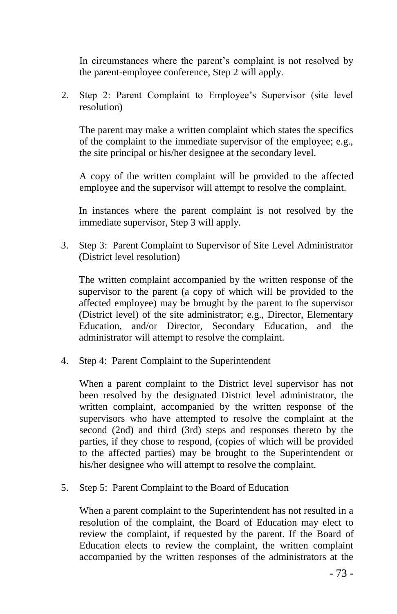In circumstances where the parent's complaint is not resolved by the parent-employee conference, Step 2 will apply.

2. Step 2: Parent Complaint to Employee's Supervisor (site level resolution)

The parent may make a written complaint which states the specifics of the complaint to the immediate supervisor of the employee; e.g., the site principal or his/her designee at the secondary level.

A copy of the written complaint will be provided to the affected employee and the supervisor will attempt to resolve the complaint.

In instances where the parent complaint is not resolved by the immediate supervisor, Step 3 will apply.

3. Step 3: Parent Complaint to Supervisor of Site Level Administrator (District level resolution)

The written complaint accompanied by the written response of the supervisor to the parent (a copy of which will be provided to the affected employee) may be brought by the parent to the supervisor (District level) of the site administrator; e.g., Director, Elementary Education, and/or Director, Secondary Education, and the administrator will attempt to resolve the complaint.

4. Step 4: Parent Complaint to the Superintendent

When a parent complaint to the District level supervisor has not been resolved by the designated District level administrator, the written complaint, accompanied by the written response of the supervisors who have attempted to resolve the complaint at the second (2nd) and third (3rd) steps and responses thereto by the parties, if they chose to respond, (copies of which will be provided to the affected parties) may be brought to the Superintendent or his/her designee who will attempt to resolve the complaint.

5. Step 5: Parent Complaint to the Board of Education

When a parent complaint to the Superintendent has not resulted in a resolution of the complaint, the Board of Education may elect to review the complaint, if requested by the parent. If the Board of Education elects to review the complaint, the written complaint accompanied by the written responses of the administrators at the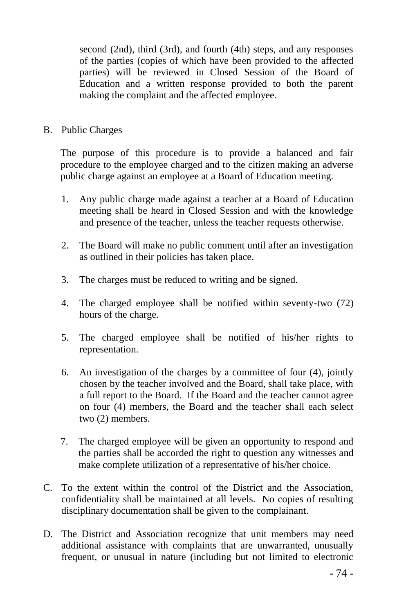second (2nd), third (3rd), and fourth (4th) steps, and any responses of the parties (copies of which have been provided to the affected parties) will be reviewed in Closed Session of the Board of Education and a written response provided to both the parent making the complaint and the affected employee.

B. Public Charges

The purpose of this procedure is to provide a balanced and fair procedure to the employee charged and to the citizen making an adverse public charge against an employee at a Board of Education meeting.

- 1. Any public charge made against a teacher at a Board of Education meeting shall be heard in Closed Session and with the knowledge and presence of the teacher, unless the teacher requests otherwise.
- 2. The Board will make no public comment until after an investigation as outlined in their policies has taken place.
- 3. The charges must be reduced to writing and be signed.
- 4. The charged employee shall be notified within seventy-two (72) hours of the charge.
- 5. The charged employee shall be notified of his/her rights to representation.
- 6. An investigation of the charges by a committee of four (4), jointly chosen by the teacher involved and the Board, shall take place, with a full report to the Board. If the Board and the teacher cannot agree on four (4) members, the Board and the teacher shall each select two (2) members.
- 7. The charged employee will be given an opportunity to respond and the parties shall be accorded the right to question any witnesses and make complete utilization of a representative of his/her choice.
- C. To the extent within the control of the District and the Association, confidentiality shall be maintained at all levels. No copies of resulting disciplinary documentation shall be given to the complainant.
- D. The District and Association recognize that unit members may need additional assistance with complaints that are unwarranted, unusually frequent, or unusual in nature (including but not limited to electronic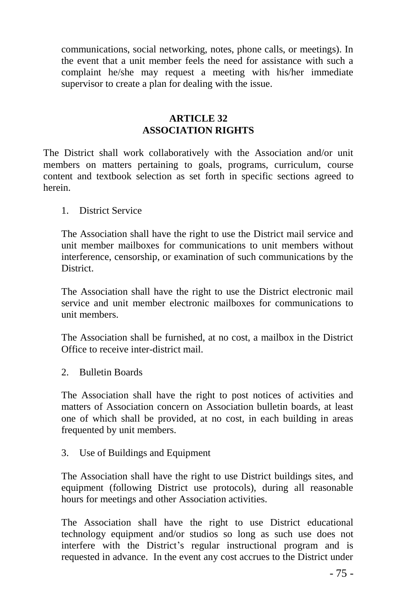communications, social networking, notes, phone calls, or meetings). In the event that a unit member feels the need for assistance with such a complaint he/she may request a meeting with his/her immediate supervisor to create a plan for dealing with the issue.

#### **ARTICLE 32 ASSOCIATION RIGHTS**

The District shall work collaboratively with the Association and/or unit members on matters pertaining to goals, programs, curriculum, course content and textbook selection as set forth in specific sections agreed to herein.

1. District Service

The Association shall have the right to use the District mail service and unit member mailboxes for communications to unit members without interference, censorship, or examination of such communications by the District.

The Association shall have the right to use the District electronic mail service and unit member electronic mailboxes for communications to unit members.

The Association shall be furnished, at no cost, a mailbox in the District Office to receive inter-district mail.

2. Bulletin Boards

The Association shall have the right to post notices of activities and matters of Association concern on Association bulletin boards, at least one of which shall be provided, at no cost, in each building in areas frequented by unit members.

3. Use of Buildings and Equipment

The Association shall have the right to use District buildings sites, and equipment (following District use protocols), during all reasonable hours for meetings and other Association activities.

The Association shall have the right to use District educational technology equipment and/or studios so long as such use does not interfere with the District's regular instructional program and is requested in advance. In the event any cost accrues to the District under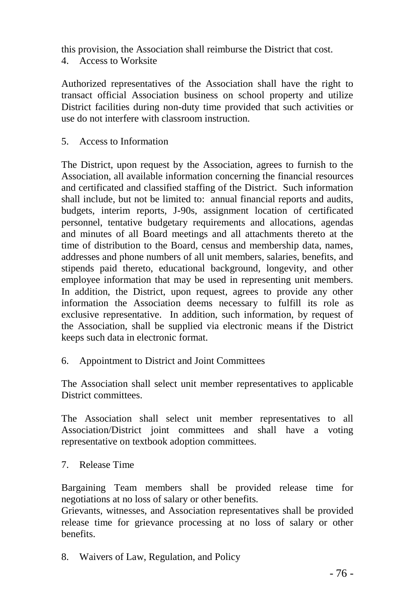this provision, the Association shall reimburse the District that cost. 4. Access to Worksite

Authorized representatives of the Association shall have the right to transact official Association business on school property and utilize District facilities during non-duty time provided that such activities or use do not interfere with classroom instruction.

5. Access to Information

The District, upon request by the Association, agrees to furnish to the Association, all available information concerning the financial resources and certificated and classified staffing of the District. Such information shall include, but not be limited to: annual financial reports and audits, budgets, interim reports, J-90s, assignment location of certificated personnel, tentative budgetary requirements and allocations, agendas and minutes of all Board meetings and all attachments thereto at the time of distribution to the Board, census and membership data, names, addresses and phone numbers of all unit members, salaries, benefits, and stipends paid thereto, educational background, longevity, and other employee information that may be used in representing unit members. In addition, the District, upon request, agrees to provide any other information the Association deems necessary to fulfill its role as exclusive representative. In addition, such information, by request of the Association, shall be supplied via electronic means if the District keeps such data in electronic format.

6. Appointment to District and Joint Committees

The Association shall select unit member representatives to applicable District committees.

The Association shall select unit member representatives to all Association/District joint committees and shall have a voting representative on textbook adoption committees.

7. Release Time

Bargaining Team members shall be provided release time for negotiations at no loss of salary or other benefits.

Grievants, witnesses, and Association representatives shall be provided release time for grievance processing at no loss of salary or other benefits.

8. Waivers of Law, Regulation, and Policy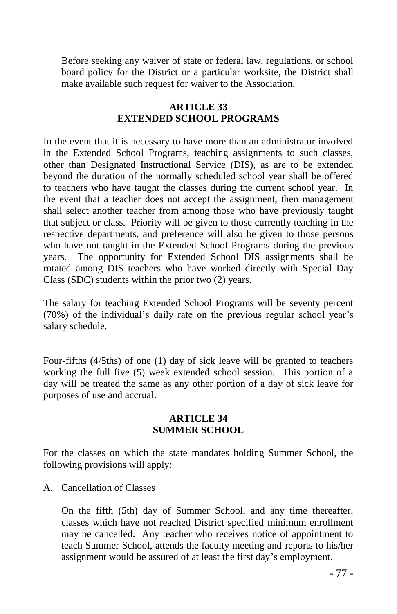Before seeking any waiver of state or federal law, regulations, or school board policy for the District or a particular worksite, the District shall make available such request for waiver to the Association.

## **ARTICLE 33 EXTENDED SCHOOL PROGRAMS**

In the event that it is necessary to have more than an administrator involved in the Extended School Programs, teaching assignments to such classes, other than Designated Instructional Service (DIS), as are to be extended beyond the duration of the normally scheduled school year shall be offered to teachers who have taught the classes during the current school year. In the event that a teacher does not accept the assignment, then management shall select another teacher from among those who have previously taught that subject or class. Priority will be given to those currently teaching in the respective departments, and preference will also be given to those persons who have not taught in the Extended School Programs during the previous years. The opportunity for Extended School DIS assignments shall be rotated among DIS teachers who have worked directly with Special Day Class (SDC) students within the prior two (2) years.

The salary for teaching Extended School Programs will be seventy percent (70%) of the individual's daily rate on the previous regular school year's salary schedule.

Four-fifths (4/5ths) of one (1) day of sick leave will be granted to teachers working the full five (5) week extended school session. This portion of a day will be treated the same as any other portion of a day of sick leave for purposes of use and accrual.

#### **ARTICLE 34 SUMMER SCHOOL**

For the classes on which the state mandates holding Summer School, the following provisions will apply:

A. Cancellation of Classes

On the fifth (5th) day of Summer School, and any time thereafter, classes which have not reached District specified minimum enrollment may be cancelled. Any teacher who receives notice of appointment to teach Summer School, attends the faculty meeting and reports to his/her assignment would be assured of at least the first day's employment.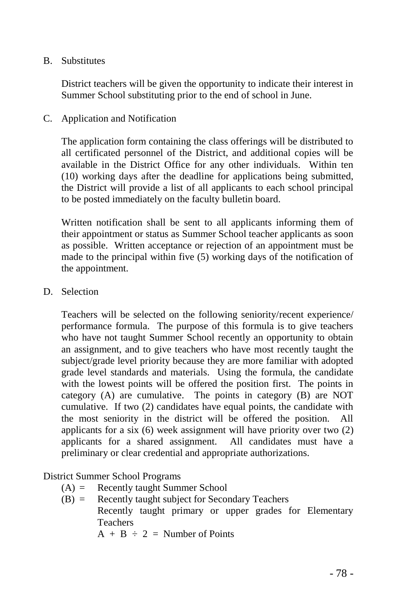#### B. Substitutes

District teachers will be given the opportunity to indicate their interest in Summer School substituting prior to the end of school in June.

C. Application and Notification

The application form containing the class offerings will be distributed to all certificated personnel of the District, and additional copies will be available in the District Office for any other individuals. Within ten (10) working days after the deadline for applications being submitted, the District will provide a list of all applicants to each school principal to be posted immediately on the faculty bulletin board.

Written notification shall be sent to all applicants informing them of their appointment or status as Summer School teacher applicants as soon as possible. Written acceptance or rejection of an appointment must be made to the principal within five (5) working days of the notification of the appointment.

D. Selection

Teachers will be selected on the following seniority/recent experience/ performance formula. The purpose of this formula is to give teachers who have not taught Summer School recently an opportunity to obtain an assignment, and to give teachers who have most recently taught the subject/grade level priority because they are more familiar with adopted grade level standards and materials. Using the formula, the candidate with the lowest points will be offered the position first. The points in category (A) are cumulative. The points in category (B) are NOT cumulative. If two (2) candidates have equal points, the candidate with the most seniority in the district will be offered the position. All applicants for a six (6) week assignment will have priority over two (2) applicants for a shared assignment. All candidates must have a preliminary or clear credential and appropriate authorizations.

## District Summer School Programs

- (A) = Recently taught Summer School
- (B) = Recently taught subject for Secondary Teachers Recently taught primary or upper grades for Elementary Teachers  $A + B \div 2 =$  Number of Points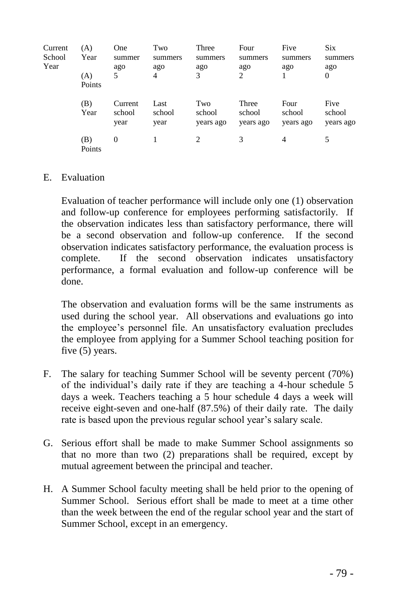| Current<br>School<br>Year | (A)<br>Year<br>(A)<br>Points | One<br>summer<br>ago<br>5 | Two<br>summers<br>ago<br>4 | Three<br>summers<br>ago<br>3 | Four<br>summers<br>ago<br>$\overline{c}$ | Five<br>summers<br>ago      | <b>Six</b><br>summers<br>ago<br>$\mathbf{0}$ |
|---------------------------|------------------------------|---------------------------|----------------------------|------------------------------|------------------------------------------|-----------------------------|----------------------------------------------|
|                           | (B)<br>Year                  | Current<br>school<br>year | Last<br>school<br>year     | Two<br>school<br>years ago   | Three<br>school<br>years ago             | Four<br>school<br>years ago | Five<br>school<br>years ago                  |
|                           | (B)<br>Points                | $\theta$                  |                            | 2                            | 3                                        | 4                           | 5                                            |

#### E. Evaluation

Evaluation of teacher performance will include only one (1) observation and follow-up conference for employees performing satisfactorily. If the observation indicates less than satisfactory performance, there will be a second observation and follow-up conference. If the second observation indicates satisfactory performance, the evaluation process is complete. If the second observation indicates unsatisfactory performance, a formal evaluation and follow-up conference will be done.

The observation and evaluation forms will be the same instruments as used during the school year. All observations and evaluations go into the employee's personnel file. An unsatisfactory evaluation precludes the employee from applying for a Summer School teaching position for five (5) years.

- F. The salary for teaching Summer School will be seventy percent (70%) of the individual's daily rate if they are teaching a 4-hour schedule 5 days a week. Teachers teaching a 5 hour schedule 4 days a week will receive eight-seven and one-half (87.5%) of their daily rate. The daily rate is based upon the previous regular school year's salary scale.
- G. Serious effort shall be made to make Summer School assignments so that no more than two (2) preparations shall be required, except by mutual agreement between the principal and teacher.
- H. A Summer School faculty meeting shall be held prior to the opening of Summer School. Serious effort shall be made to meet at a time other than the week between the end of the regular school year and the start of Summer School, except in an emergency.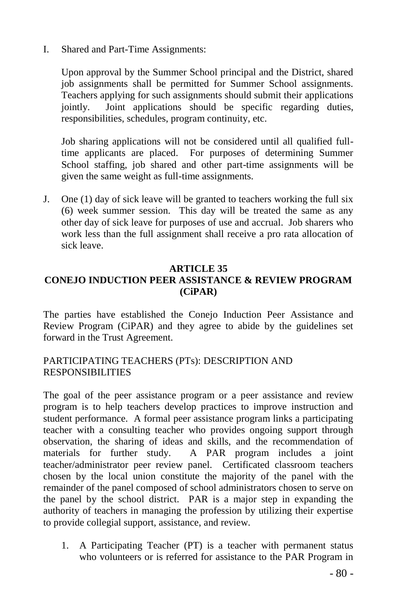I. Shared and Part-Time Assignments:

Upon approval by the Summer School principal and the District, shared job assignments shall be permitted for Summer School assignments. Teachers applying for such assignments should submit their applications jointly. Joint applications should be specific regarding duties, responsibilities, schedules, program continuity, etc.

Job sharing applications will not be considered until all qualified fulltime applicants are placed. For purposes of determining Summer School staffing, job shared and other part-time assignments will be given the same weight as full-time assignments.

J. One (1) day of sick leave will be granted to teachers working the full six (6) week summer session. This day will be treated the same as any other day of sick leave for purposes of use and accrual. Job sharers who work less than the full assignment shall receive a pro rata allocation of sick leave.

#### **ARTICLE 35 CONEJO INDUCTION PEER ASSISTANCE & REVIEW PROGRAM (CiPAR)**

The parties have established the Conejo Induction Peer Assistance and Review Program (CiPAR) and they agree to abide by the guidelines set forward in the Trust Agreement.

## PARTICIPATING TEACHERS (PTs): DESCRIPTION AND RESPONSIBILITIES

The goal of the peer assistance program or a peer assistance and review program is to help teachers develop practices to improve instruction and student performance. A formal peer assistance program links a participating teacher with a consulting teacher who provides ongoing support through observation, the sharing of ideas and skills, and the recommendation of materials for further study. A PAR program includes a joint teacher/administrator peer review panel. Certificated classroom teachers chosen by the local union constitute the majority of the panel with the remainder of the panel composed of school administrators chosen to serve on the panel by the school district. PAR is a major step in expanding the authority of teachers in managing the profession by utilizing their expertise to provide collegial support, assistance, and review.

1. A Participating Teacher (PT) is a teacher with permanent status who volunteers or is referred for assistance to the PAR Program in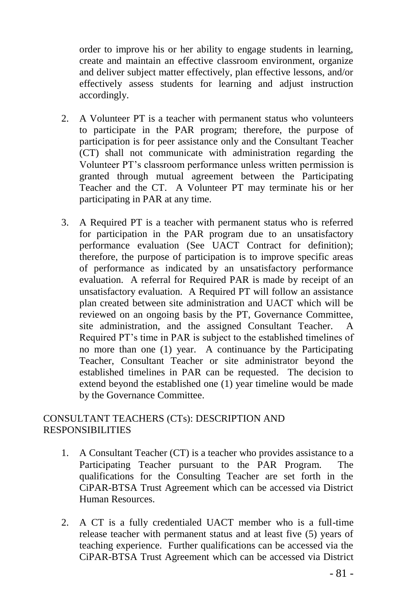order to improve his or her ability to engage students in learning, create and maintain an effective classroom environment, organize and deliver subject matter effectively, plan effective lessons, and/or effectively assess students for learning and adjust instruction accordingly.

- 2. A Volunteer PT is a teacher with permanent status who volunteers to participate in the PAR program; therefore, the purpose of participation is for peer assistance only and the Consultant Teacher (CT) shall not communicate with administration regarding the Volunteer PT's classroom performance unless written permission is granted through mutual agreement between the Participating Teacher and the CT. A Volunteer PT may terminate his or her participating in PAR at any time.
- 3. A Required PT is a teacher with permanent status who is referred for participation in the PAR program due to an unsatisfactory performance evaluation (See UACT Contract for definition); therefore, the purpose of participation is to improve specific areas of performance as indicated by an unsatisfactory performance evaluation. A referral for Required PAR is made by receipt of an unsatisfactory evaluation. A Required PT will follow an assistance plan created between site administration and UACT which will be reviewed on an ongoing basis by the PT, Governance Committee, site administration, and the assigned Consultant Teacher. A Required PT's time in PAR is subject to the established timelines of no more than one (1) year. A continuance by the Participating Teacher, Consultant Teacher or site administrator beyond the established timelines in PAR can be requested. The decision to extend beyond the established one (1) year timeline would be made by the Governance Committee.

## CONSULTANT TEACHERS (CTs): DESCRIPTION AND RESPONSIBILITIES

- 1. A Consultant Teacher (CT) is a teacher who provides assistance to a Participating Teacher pursuant to the PAR Program. The qualifications for the Consulting Teacher are set forth in the CiPAR-BTSA Trust Agreement which can be accessed via District Human Resources.
- 2. A CT is a fully credentialed UACT member who is a full-time release teacher with permanent status and at least five (5) years of teaching experience. Further qualifications can be accessed via the CiPAR-BTSA Trust Agreement which can be accessed via District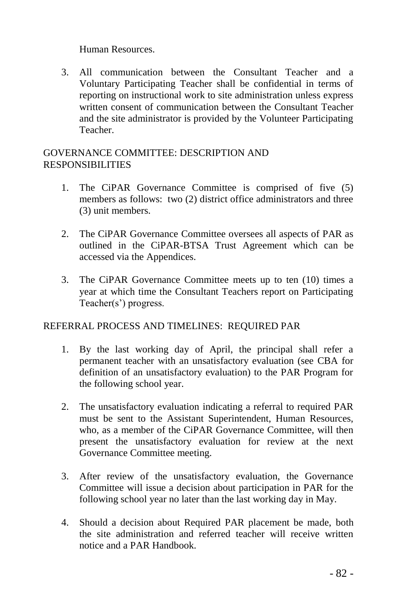Human Resources.

3. All communication between the Consultant Teacher and a Voluntary Participating Teacher shall be confidential in terms of reporting on instructional work to site administration unless express written consent of communication between the Consultant Teacher and the site administrator is provided by the Volunteer Participating Teacher.

## GOVERNANCE COMMITTEE: DESCRIPTION AND RESPONSIBILITIES

- 1. The CiPAR Governance Committee is comprised of five (5) members as follows: two (2) district office administrators and three (3) unit members.
- 2. The CiPAR Governance Committee oversees all aspects of PAR as outlined in the CiPAR-BTSA Trust Agreement which can be accessed via the Appendices.
- 3. The CiPAR Governance Committee meets up to ten (10) times a year at which time the Consultant Teachers report on Participating Teacher(s') progress.

## REFERRAL PROCESS AND TIMELINES: REQUIRED PAR

- 1. By the last working day of April, the principal shall refer a permanent teacher with an unsatisfactory evaluation (see CBA for definition of an unsatisfactory evaluation) to the PAR Program for the following school year.
- 2. The unsatisfactory evaluation indicating a referral to required PAR must be sent to the Assistant Superintendent, Human Resources, who, as a member of the CiPAR Governance Committee, will then present the unsatisfactory evaluation for review at the next Governance Committee meeting.
- 3. After review of the unsatisfactory evaluation, the Governance Committee will issue a decision about participation in PAR for the following school year no later than the last working day in May.
- 4. Should a decision about Required PAR placement be made, both the site administration and referred teacher will receive written notice and a PAR Handbook.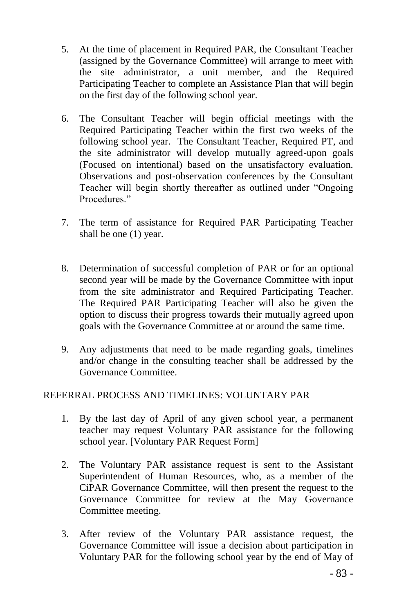- 5. At the time of placement in Required PAR, the Consultant Teacher (assigned by the Governance Committee) will arrange to meet with the site administrator, a unit member, and the Required Participating Teacher to complete an Assistance Plan that will begin on the first day of the following school year.
- 6. The Consultant Teacher will begin official meetings with the Required Participating Teacher within the first two weeks of the following school year. The Consultant Teacher, Required PT, and the site administrator will develop mutually agreed-upon goals (Focused on intentional) based on the unsatisfactory evaluation. Observations and post-observation conferences by the Consultant Teacher will begin shortly thereafter as outlined under "Ongoing Procedures."
- 7. The term of assistance for Required PAR Participating Teacher shall be one (1) year.
- 8. Determination of successful completion of PAR or for an optional second year will be made by the Governance Committee with input from the site administrator and Required Participating Teacher. The Required PAR Participating Teacher will also be given the option to discuss their progress towards their mutually agreed upon goals with the Governance Committee at or around the same time.
- 9. Any adjustments that need to be made regarding goals, timelines and/or change in the consulting teacher shall be addressed by the Governance Committee.

## REFERRAL PROCESS AND TIMELINES: VOLUNTARY PAR

- 1. By the last day of April of any given school year, a permanent teacher may request Voluntary PAR assistance for the following school year. [Voluntary PAR Request Form]
- 2. The Voluntary PAR assistance request is sent to the Assistant Superintendent of Human Resources, who, as a member of the CiPAR Governance Committee, will then present the request to the Governance Committee for review at the May Governance Committee meeting.
- 3. After review of the Voluntary PAR assistance request, the Governance Committee will issue a decision about participation in Voluntary PAR for the following school year by the end of May of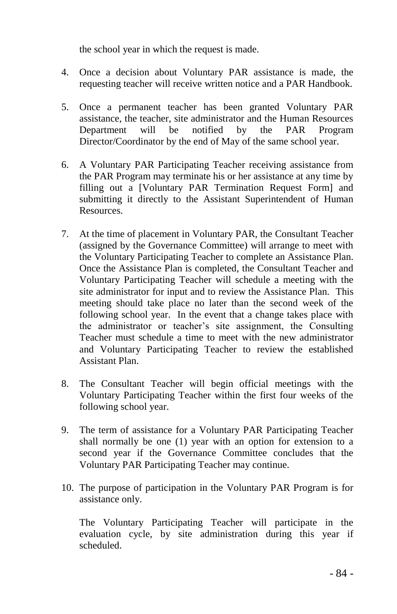the school year in which the request is made.

- 4. Once a decision about Voluntary PAR assistance is made, the requesting teacher will receive written notice and a PAR Handbook.
- 5. Once a permanent teacher has been granted Voluntary PAR assistance, the teacher, site administrator and the Human Resources Department will be notified by the PAR Program Director/Coordinator by the end of May of the same school year.
- 6. A Voluntary PAR Participating Teacher receiving assistance from the PAR Program may terminate his or her assistance at any time by filling out a [Voluntary PAR Termination Request Form] and submitting it directly to the Assistant Superintendent of Human Resources.
- 7. At the time of placement in Voluntary PAR, the Consultant Teacher (assigned by the Governance Committee) will arrange to meet with the Voluntary Participating Teacher to complete an Assistance Plan. Once the Assistance Plan is completed, the Consultant Teacher and Voluntary Participating Teacher will schedule a meeting with the site administrator for input and to review the Assistance Plan. This meeting should take place no later than the second week of the following school year. In the event that a change takes place with the administrator or teacher's site assignment, the Consulting Teacher must schedule a time to meet with the new administrator and Voluntary Participating Teacher to review the established Assistant Plan.
- 8. The Consultant Teacher will begin official meetings with the Voluntary Participating Teacher within the first four weeks of the following school year.
- 9. The term of assistance for a Voluntary PAR Participating Teacher shall normally be one (1) year with an option for extension to a second year if the Governance Committee concludes that the Voluntary PAR Participating Teacher may continue.
- 10. The purpose of participation in the Voluntary PAR Program is for assistance only.

The Voluntary Participating Teacher will participate in the evaluation cycle, by site administration during this year if scheduled.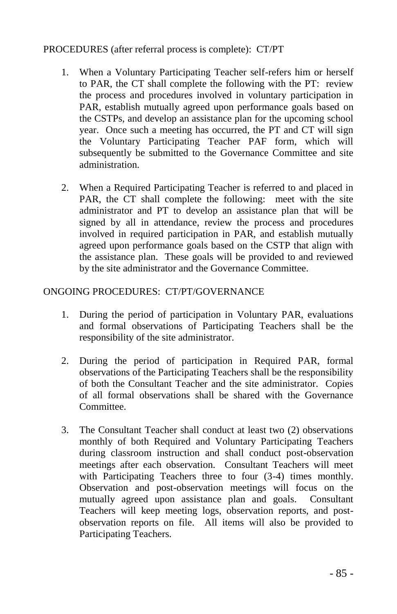### PROCEDURES (after referral process is complete): CT/PT

- 1. When a Voluntary Participating Teacher self-refers him or herself to PAR, the CT shall complete the following with the PT: review the process and procedures involved in voluntary participation in PAR, establish mutually agreed upon performance goals based on the CSTPs, and develop an assistance plan for the upcoming school year. Once such a meeting has occurred, the PT and CT will sign the Voluntary Participating Teacher PAF form, which will subsequently be submitted to the Governance Committee and site administration.
- 2. When a Required Participating Teacher is referred to and placed in PAR, the CT shall complete the following: meet with the site administrator and PT to develop an assistance plan that will be signed by all in attendance, review the process and procedures involved in required participation in PAR, and establish mutually agreed upon performance goals based on the CSTP that align with the assistance plan. These goals will be provided to and reviewed by the site administrator and the Governance Committee.

#### ONGOING PROCEDURES: CT/PT/GOVERNANCE

- 1. During the period of participation in Voluntary PAR, evaluations and formal observations of Participating Teachers shall be the responsibility of the site administrator.
- 2. During the period of participation in Required PAR, formal observations of the Participating Teachers shall be the responsibility of both the Consultant Teacher and the site administrator. Copies of all formal observations shall be shared with the Governance Committee.
- 3. The Consultant Teacher shall conduct at least two (2) observations monthly of both Required and Voluntary Participating Teachers during classroom instruction and shall conduct post-observation meetings after each observation. Consultant Teachers will meet with Participating Teachers three to four  $(3-4)$  times monthly. Observation and post-observation meetings will focus on the mutually agreed upon assistance plan and goals. Consultant Teachers will keep meeting logs, observation reports, and postobservation reports on file. All items will also be provided to Participating Teachers.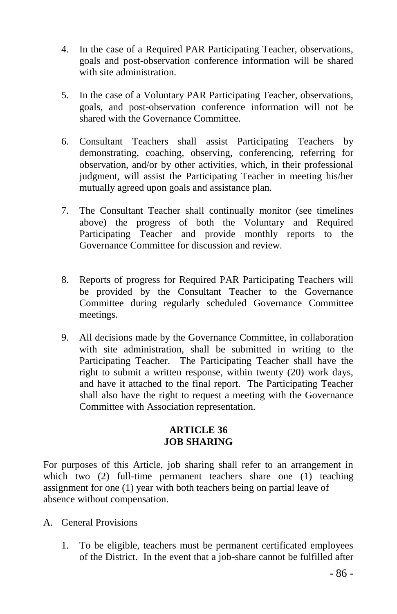- 4. In the case of a Required PAR Participating Teacher, observations, goals and post-observation conference information will be shared with site administration.
- 5. In the case of a Voluntary PAR Participating Teacher, observations, goals, and post-observation conference information will not be shared with the Governance Committee.
- 6. Consultant Teachers shall assist Participating Teachers by demonstrating, coaching, observing, conferencing, referring for observation, and/or by other activities, which, in their professional judgment, will assist the Participating Teacher in meeting his/her mutually agreed upon goals and assistance plan.
- 7. The Consultant Teacher shall continually monitor (see timelines above) the progress of both the Voluntary and Required Participating Teacher and provide monthly reports to the Governance Committee for discussion and review.
- 8. Reports of progress for Required PAR Participating Teachers will be provided by the Consultant Teacher to the Governance Committee during regularly scheduled Governance Committee meetings.
- 9. All decisions made by the Governance Committee, in collaboration with site administration, shall be submitted in writing to the Participating Teacher. The Participating Teacher shall have the right to submit a written response, within twenty (20) work days, and have it attached to the final report. The Participating Teacher shall also have the right to request a meeting with the Governance Committee with Association representation.

## **ARTICLE 36 JOB SHARING**

For purposes of this Article, job sharing shall refer to an arrangement in which two (2) full-time permanent teachers share one (1) teaching assignment for one (1) year with both teachers being on partial leave of absence without compensation.

- A. General Provisions
	- 1. To be eligible, teachers must be permanent certificated employees of the District. In the event that a job-share cannot be fulfilled after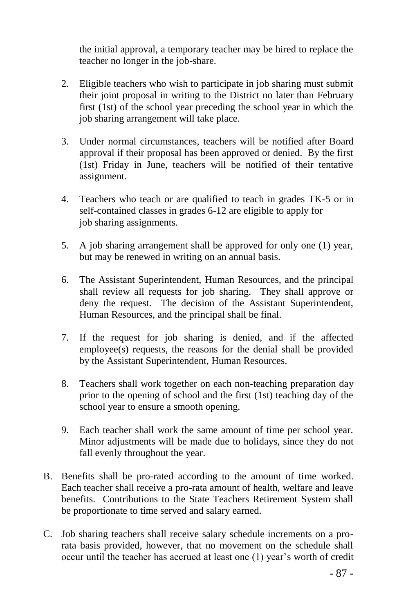the initial approval, a temporary teacher may be hired to replace the teacher no longer in the job-share.

- 2. Eligible teachers who wish to participate in job sharing must submit their joint proposal in writing to the District no later than February first (1st) of the school year preceding the school year in which the job sharing arrangement will take place.
- 3. Under normal circumstances, teachers will be notified after Board approval if their proposal has been approved or denied. By the first (1st) Friday in June, teachers will be notified of their tentative assignment.
- 4. Teachers who teach or are qualified to teach in grades TK-5 or in self-contained classes in grades 6-12 are eligible to apply for job sharing assignments.
- 5. A job sharing arrangement shall be approved for only one (1) year, but may be renewed in writing on an annual basis.
- 6. The Assistant Superintendent, Human Resources, and the principal shall review all requests for job sharing. They shall approve or deny the request. The decision of the Assistant Superintendent, Human Resources, and the principal shall be final.
- 7. If the request for job sharing is denied, and if the affected employee(s) requests, the reasons for the denial shall be provided by the Assistant Superintendent, Human Resources.
- 8. Teachers shall work together on each non-teaching preparation day prior to the opening of school and the first (1st) teaching day of the school year to ensure a smooth opening.
- 9. Each teacher shall work the same amount of time per school year. Minor adjustments will be made due to holidays, since they do not fall evenly throughout the year.
- B. Benefits shall be pro-rated according to the amount of time worked. Each teacher shall receive a pro-rata amount of health, welfare and leave benefits. Contributions to the State Teachers Retirement System shall be proportionate to time served and salary earned.
- C. Job sharing teachers shall receive salary schedule increments on a prorata basis provided, however, that no movement on the schedule shall occur until the teacher has accrued at least one (1) year's worth of credit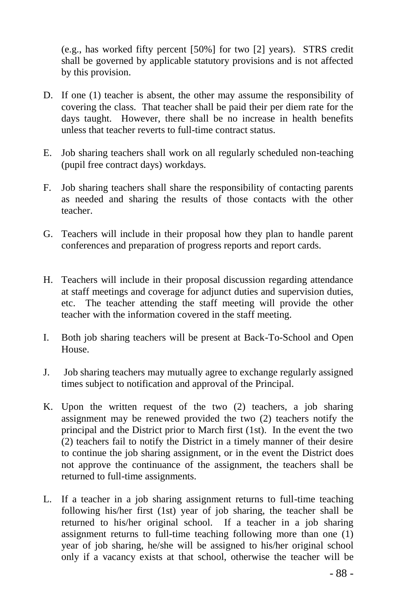(e.g., has worked fifty percent [50%] for two [2] years). STRS credit shall be governed by applicable statutory provisions and is not affected by this provision.

- D. If one (1) teacher is absent, the other may assume the responsibility of covering the class. That teacher shall be paid their per diem rate for the days taught. However, there shall be no increase in health benefits unless that teacher reverts to full-time contract status.
- E. Job sharing teachers shall work on all regularly scheduled non-teaching (pupil free contract days) workdays.
- F. Job sharing teachers shall share the responsibility of contacting parents as needed and sharing the results of those contacts with the other teacher.
- G. Teachers will include in their proposal how they plan to handle parent conferences and preparation of progress reports and report cards.
- H. Teachers will include in their proposal discussion regarding attendance at staff meetings and coverage for adjunct duties and supervision duties, etc. The teacher attending the staff meeting will provide the other teacher with the information covered in the staff meeting.
- I. Both job sharing teachers will be present at Back-To-School and Open House.
- J. Job sharing teachers may mutually agree to exchange regularly assigned times subject to notification and approval of the Principal.
- K. Upon the written request of the two (2) teachers, a job sharing assignment may be renewed provided the two (2) teachers notify the principal and the District prior to March first (1st). In the event the two (2) teachers fail to notify the District in a timely manner of their desire to continue the job sharing assignment, or in the event the District does not approve the continuance of the assignment, the teachers shall be returned to full-time assignments.
- L. If a teacher in a job sharing assignment returns to full-time teaching following his/her first (1st) year of job sharing, the teacher shall be returned to his/her original school. If a teacher in a job sharing assignment returns to full-time teaching following more than one (1) year of job sharing, he/she will be assigned to his/her original school only if a vacancy exists at that school, otherwise the teacher will be

- 88 -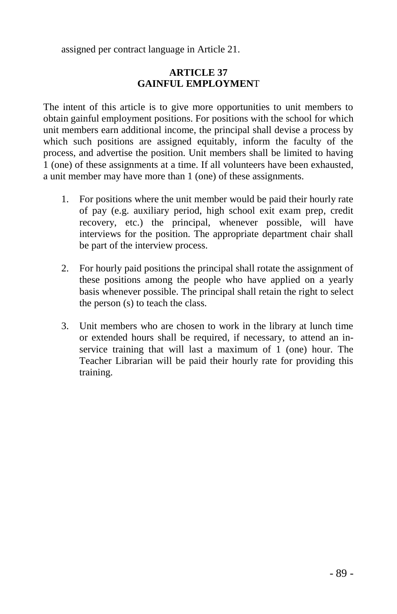assigned per contract language in Article 21.

## **ARTICLE 37 GAINFUL EMPLOYMEN**T

The intent of this article is to give more opportunities to unit members to obtain gainful employment positions. For positions with the school for which unit members earn additional income, the principal shall devise a process by which such positions are assigned equitably, inform the faculty of the process, and advertise the position. Unit members shall be limited to having 1 (one) of these assignments at a time. If all volunteers have been exhausted, a unit member may have more than 1 (one) of these assignments.

- 1. For positions where the unit member would be paid their hourly rate of pay (e.g. auxiliary period, high school exit exam prep, credit recovery, etc.) the principal, whenever possible, will have interviews for the position. The appropriate department chair shall be part of the interview process.
- 2. For hourly paid positions the principal shall rotate the assignment of these positions among the people who have applied on a yearly basis whenever possible. The principal shall retain the right to select the person (s) to teach the class.
- 3. Unit members who are chosen to work in the library at lunch time or extended hours shall be required, if necessary, to attend an inservice training that will last a maximum of 1 (one) hour. The Teacher Librarian will be paid their hourly rate for providing this training.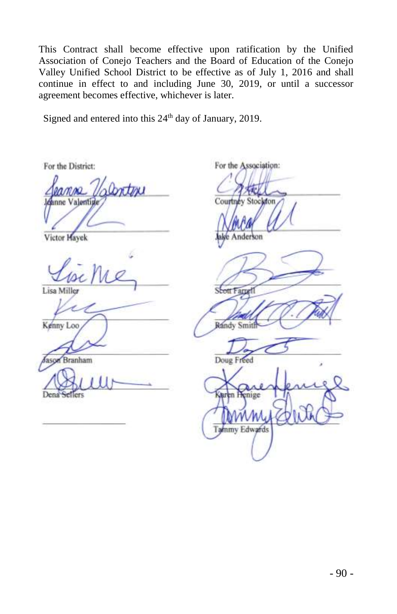This Contract shall become effective upon ratification by the Unified Association of Conejo Teachers and the Board of Education of the Conejo Valley Unified School District to be effective as of July 1, 2016 and shall continue in effect to and including June 30, 2019, or until a successor agreement becomes effective, whichever is later.

Signed and entered into this 24<sup>th</sup> day of January, 2019.

For the District:

 $\overline{a}$   $\overline{a}$   $\overline{a}$  $h$  Continu Courtney Stockton

 $Lapunc$ 

Lisa Miller

Jason Branham Doug Freed

Dena Sellers

For the Association:

\_\_\_\_\_\_\_\_\_\_\_\_\_\_\_\_\_\_\_\_\_\_\_\_\_\_\_\_

Victor Hayek Management of Schools Chairperson, Negotiating Team and Schools Chairperson, Negotiating Team and Team and Team and Team and Team and Team and Team and Team and Team and Team and Team and Team and Team and Tea

 $\nu_{12}$   $\nu_{23}$ **tt Farget1** 

 \_\_\_\_\_\_\_\_\_\_\_\_\_\_\_\_\_\_\_\_\_\_\_\_\_\_\_\_\_ Kenny Loo Randy Smit

 $M_{\odot}$ Geren F enige  $A_1, A_2, A_3, A_4, A_5, A_6, A_7, A_8, A_9, A_1, A_2, A_3, A_4, A_5, A_6, A_7, A_8, A_9, A_1, A_2, A_3, A_4, A_5, A_6, A_7, A_8, A_9, A_1, A_2, A_3, A_4, A_5, A_6, A_7, A_8, A_9, A_1, A_2, A_3, A_4, A_5, A_1, A_2, A_3, A_4, A_5, A_6, A_7, A_8, A_9, A_1, A_2, A_3, A_4, A_5,$ member, Negotiating Team Member, Negotiating Team Members, Negotiating Team Members, Negotiating Team Members,  $\Box$ Member, Negotiating Team Member, Negotiating Team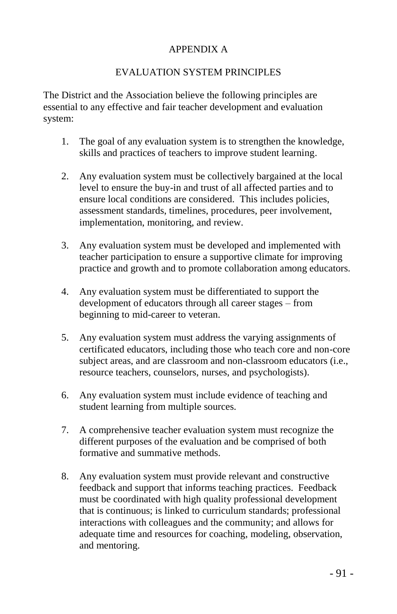## APPENDIX A

## EVALUATION SYSTEM PRINCIPLES

The District and the Association believe the following principles are essential to any effective and fair teacher development and evaluation system:

- 1. The goal of any evaluation system is to strengthen the knowledge, skills and practices of teachers to improve student learning.
- 2. Any evaluation system must be collectively bargained at the local level to ensure the buy-in and trust of all affected parties and to ensure local conditions are considered. This includes policies, assessment standards, timelines, procedures, peer involvement, implementation, monitoring, and review.
- 3. Any evaluation system must be developed and implemented with teacher participation to ensure a supportive climate for improving practice and growth and to promote collaboration among educators.
- 4. Any evaluation system must be differentiated to support the development of educators through all career stages – from beginning to mid-career to veteran.
- 5. Any evaluation system must address the varying assignments of certificated educators, including those who teach core and non-core subject areas, and are classroom and non-classroom educators (i.e., resource teachers, counselors, nurses, and psychologists).
- 6. Any evaluation system must include evidence of teaching and student learning from multiple sources.
- 7. A comprehensive teacher evaluation system must recognize the different purposes of the evaluation and be comprised of both formative and summative methods.
- 8. Any evaluation system must provide relevant and constructive feedback and support that informs teaching practices. Feedback must be coordinated with high quality professional development that is continuous; is linked to curriculum standards; professional interactions with colleagues and the community; and allows for adequate time and resources for coaching, modeling, observation, and mentoring.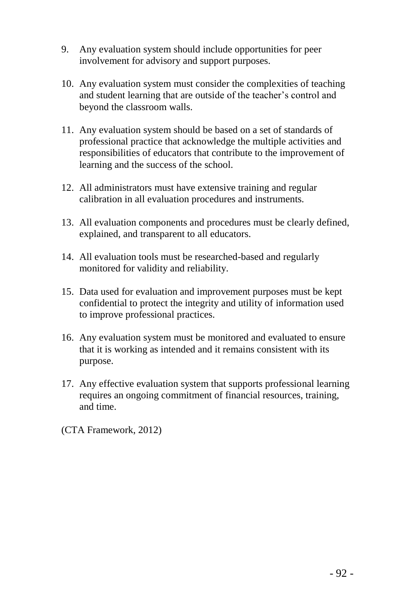- 9. Any evaluation system should include opportunities for peer involvement for advisory and support purposes.
- 10. Any evaluation system must consider the complexities of teaching and student learning that are outside of the teacher's control and beyond the classroom walls.
- 11. Any evaluation system should be based on a set of standards of professional practice that acknowledge the multiple activities and responsibilities of educators that contribute to the improvement of learning and the success of the school.
- 12. All administrators must have extensive training and regular calibration in all evaluation procedures and instruments.
- 13. All evaluation components and procedures must be clearly defined, explained, and transparent to all educators.
- 14. All evaluation tools must be researched-based and regularly monitored for validity and reliability.
- 15. Data used for evaluation and improvement purposes must be kept confidential to protect the integrity and utility of information used to improve professional practices.
- 16. Any evaluation system must be monitored and evaluated to ensure that it is working as intended and it remains consistent with its purpose.
- 17. Any effective evaluation system that supports professional learning requires an ongoing commitment of financial resources, training, and time.

(CTA Framework, 2012)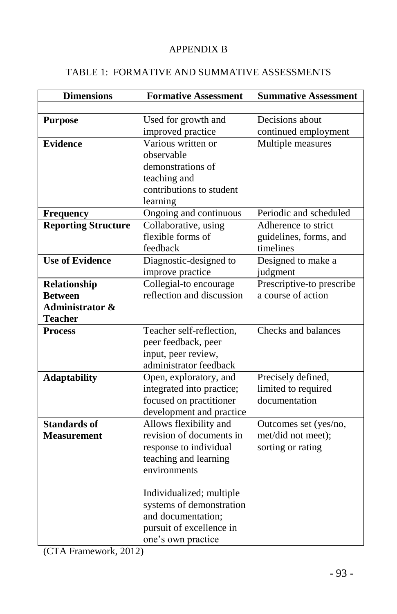# APPENDIX B

# TABLE 1: FORMATIVE AND SUMMATIVE ASSESSMENTS

| <b>Dimensions</b>          | <b>Formative Assessment</b>      | <b>Summative Assessment</b> |
|----------------------------|----------------------------------|-----------------------------|
|                            |                                  |                             |
| <b>Purpose</b>             | Used for growth and              | Decisions about             |
|                            | improved practice                | continued employment        |
| <b>Evidence</b>            | $\overline{V}$ arious written or | Multiple measures           |
|                            | observable                       |                             |
|                            | demonstrations of                |                             |
|                            | teaching and                     |                             |
|                            | contributions to student         |                             |
|                            | learning                         |                             |
| <b>Frequency</b>           | Ongoing and continuous           | Periodic and scheduled      |
| <b>Reporting Structure</b> | Collaborative, using             | Adherence to strict         |
|                            | flexible forms of                | guidelines, forms, and      |
|                            | feedback                         | timelines                   |
| <b>Use of Evidence</b>     | Diagnostic-designed to           | Designed to make a          |
|                            | improve practice                 | judgment                    |
| Relationship               | Collegial-to encourage           | Prescriptive-to prescribe   |
| <b>Between</b>             | reflection and discussion        | a course of action          |
| <b>Administrator &amp;</b> |                                  |                             |
| <b>Teacher</b>             |                                  |                             |
| <b>Process</b>             | Teacher self-reflection,         | Checks and balances         |
|                            | peer feedback, peer              |                             |
|                            | input, peer review,              |                             |
|                            | administrator feedback           |                             |
| <b>Adaptability</b>        | Open, exploratory, and           | Precisely defined,          |
|                            | integrated into practice;        | limited to required         |
|                            | focused on practitioner          | documentation               |
|                            | development and practice         |                             |
| <b>Standards of</b>        | Allows flexibility and           | Outcomes set (yes/no,       |
| <b>Measurement</b>         | revision of documents in         | met/did not meet);          |
|                            | response to individual           | sorting or rating           |
|                            | teaching and learning            |                             |
|                            | environments                     |                             |
|                            | Individualized; multiple         |                             |
|                            | systems of demonstration         |                             |
|                            | and documentation;               |                             |
|                            | pursuit of excellence in         |                             |
|                            | one's own practice               |                             |

(CTA Framework, 2012)